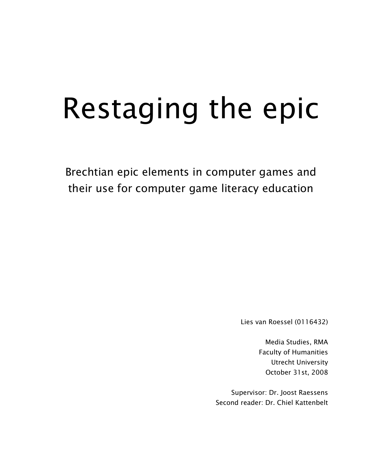# Restaging the epic

Brechtian epic elements in computer games and their use for computer game literacy education

Lies van Roessel (0116432)

Media Studies, RMA Faculty of Humanities Utrecht University October 31st, 2008

Supervisor: Dr. Joost Raessens Second reader: Dr. Chiel Kattenbelt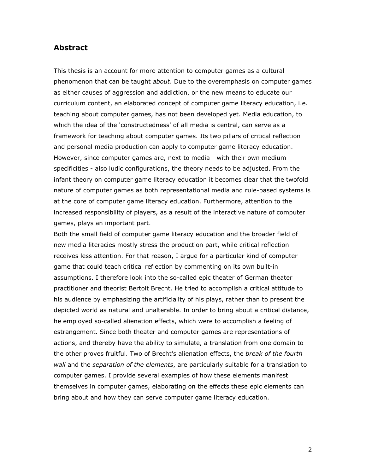## Abstract

This thesis is an account for more attention to computer games as a cultural phenomenon that can be taught *about*. Due to the overemphasis on computer games as either causes of aggression and addiction, or the new means to educate our curriculum content, an elaborated concept of computer game literacy education, i.e. teaching about computer games, has not been developed yet. Media education, to which the idea of the 'constructedness' of all media is central, can serve as a framework for teaching about computer games. Its two pillars of critical reflection and personal media production can apply to computer game literacy education. However, since computer games are, next to media - with their own medium specificities - also ludic configurations, the theory needs to be adjusted. From the infant theory on computer game literacy education it becomes clear that the twofold nature of computer games as both representational media and rule-based systems is at the core of computer game literacy education. Furthermore, attention to the increased responsibility of players, as a result of the interactive nature of computer games, plays an important part.

Both the small field of computer game literacy education and the broader field of new media literacies mostly stress the production part, while critical reflection receives less attention. For that reason, I argue for a particular kind of computer game that could teach critical reflection by commenting on its own built-in assumptions. I therefore look into the so-called epic theater of German theater practitioner and theorist Bertolt Brecht. He tried to accomplish a critical attitude to his audience by emphasizing the artificiality of his plays, rather than to present the depicted world as natural and unalterable. In order to bring about a critical distance, he employed so-called alienation effects, which were to accomplish a feeling of estrangement. Since both theater and computer games are representations of actions, and thereby have the ability to simulate, a translation from one domain to the other proves fruitful. Two of Brecht's alienation effects, the break of the fourth wall and the separation of the elements, are particularly suitable for a translation to computer games. I provide several examples of how these elements manifest themselves in computer games, elaborating on the effects these epic elements can bring about and how they can serve computer game literacy education.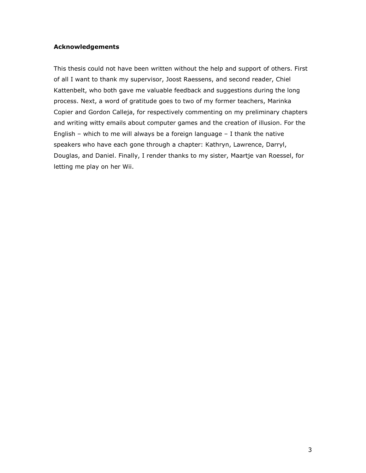### Acknowledgements

This thesis could not have been written without the help and support of others. First of all I want to thank my supervisor, Joost Raessens, and second reader, Chiel Kattenbelt, who both gave me valuable feedback and suggestions during the long process. Next, a word of gratitude goes to two of my former teachers, Marinka Copier and Gordon Calleja, for respectively commenting on my preliminary chapters and writing witty emails about computer games and the creation of illusion. For the English – which to me will always be a foreign language – I thank the native speakers who have each gone through a chapter: Kathryn, Lawrence, Darryl, Douglas, and Daniel. Finally, I render thanks to my sister, Maartje van Roessel, for letting me play on her Wii.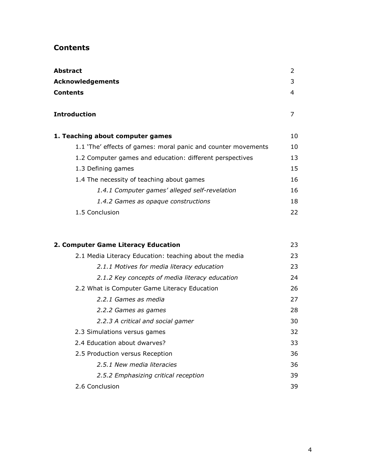# Contents

| Abstract                                                      | 2  |
|---------------------------------------------------------------|----|
| <b>Acknowledgements</b>                                       | 3  |
| Contents                                                      | 4  |
| Introduction                                                  | 7  |
| 1. Teaching about computer games                              | 10 |
| 1.1 'The' effects of games: moral panic and counter movements | 10 |
| 1.2 Computer games and education: different perspectives      | 13 |
| 1.3 Defining games                                            | 15 |
| 1.4 The necessity of teaching about games                     | 16 |
| 1.4.1 Computer games' alleged self-revelation                 | 16 |
| 1.4.2 Games as opaque constructions                           | 18 |
| 1.5 Conclusion                                                | 22 |
|                                                               |    |

| 2. Computer Game Literacy Education                    | 23 |
|--------------------------------------------------------|----|
| 2.1 Media Literacy Education: teaching about the media | 23 |
| 2.1.1 Motives for media literacy education             | 23 |
| 2.1.2 Key concepts of media literacy education         | 24 |
| 2.2 What is Computer Game Literacy Education           | 26 |
| 2.2.1 Games as media                                   | 27 |
| 2.2.2 Games as games                                   | 28 |
| 2.2.3 A critical and social gamer                      | 30 |
| 2.3 Simulations versus games                           | 32 |
| 2.4 Education about dwarves?                           | 33 |
| 2.5 Production versus Reception                        | 36 |
| 2.5.1 New media literacies                             | 36 |
| 2.5.2 Emphasizing critical reception                   | 39 |
| 2.6 Conclusion                                         | 39 |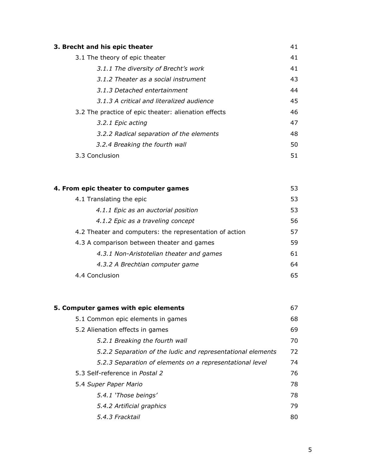| 3. Brecht and his epic theater                       | 41 |
|------------------------------------------------------|----|
| 3.1 The theory of epic theater                       | 41 |
| 3.1.1 The diversity of Brecht's work                 | 41 |
| 3.1.2 Theater as a social instrument                 | 43 |
| 3.1.3 Detached entertainment                         | 44 |
| 3.1.3 A critical and literalized audience            | 45 |
| 3.2 The practice of epic theater: alienation effects | 46 |
| 3.2.1 Epic acting                                    | 47 |
| 3.2.2 Radical separation of the elements             | 48 |
| 3.2.4 Breaking the fourth wall                       | 50 |
| 3.3 Conclusion                                       | 51 |

| 4. From epic theater to computer games                  | 53 |
|---------------------------------------------------------|----|
| 4.1 Translating the epic                                | 53 |
| 4.1.1 Epic as an auctorial position                     | 53 |
| 4.1.2 Epic as a traveling concept                       | 56 |
| 4.2 Theater and computers: the representation of action | 57 |
| 4.3 A comparison between theater and games              | 59 |
| 4.3.1 Non-Aristotelian theater and games                | 61 |
| 4.3.2 A Brechtian computer game                         | 64 |
| 4.4 Conclusion                                          | 65 |

| 5. Computer games with epic elements                        | 67 |
|-------------------------------------------------------------|----|
| 5.1 Common epic elements in games                           | 68 |
| 5.2 Alienation effects in games                             | 69 |
| 5.2.1 Breaking the fourth wall                              | 70 |
| 5.2.2 Separation of the ludic and representational elements | 72 |
| 5.2.3 Separation of elements on a representational level    | 74 |
| 5.3 Self-reference in Postal 2                              | 76 |
| 5.4 Super Paper Mario                                       | 78 |
| 5.4.1 'Those beings'                                        | 78 |
| 5.4.2 Artificial graphics                                   | 79 |
| 5.4.3 Fracktail                                             | 80 |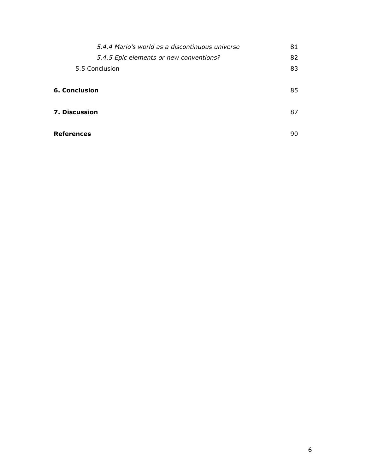| 5.4.4 Mario's world as a discontinuous universe | 81 |
|-------------------------------------------------|----|
| 5.4.5 Epic elements or new conventions?         | 82 |
| 5.5 Conclusion                                  | 83 |
|                                                 |    |
| <b>6. Conclusion</b>                            | 85 |
|                                                 |    |
| <b>7. Discussion</b>                            | 87 |
|                                                 |    |
| <b>References</b>                               | 90 |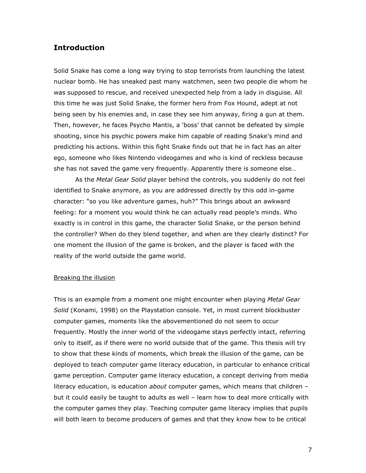# Introduction

Solid Snake has come a long way trying to stop terrorists from launching the latest nuclear bomb. He has sneaked past many watchmen, seen two people die whom he was supposed to rescue, and received unexpected help from a lady in disguise. All this time he was just Solid Snake, the former hero from Fox Hound, adept at not being seen by his enemies and, in case they see him anyway, firing a gun at them. Then, however, he faces Psycho Mantis, a 'boss' that cannot be defeated by simple shooting, since his psychic powers make him capable of reading Snake's mind and predicting his actions. Within this fight Snake finds out that he in fact has an alter ego, someone who likes Nintendo videogames and who is kind of reckless because she has not saved the game very frequently. Apparently there is someone else…

As the Metal Gear Solid player behind the controls, you suddenly do not feel identified to Snake anymore, as you are addressed directly by this odd in-game character: "so you like adventure games, huh?" This brings about an awkward feeling: for a moment you would think he can actually read people's minds. Who exactly is in control in this game, the character Solid Snake, or the person behind the controller? When do they blend together, and when are they clearly distinct? For one moment the illusion of the game is broken, and the player is faced with the reality of the world outside the game world.

### Breaking the illusion

This is an example from a moment one might encounter when playing Metal Gear Solid (Konami, 1998) on the Playstation console. Yet, in most current blockbuster computer games, moments like the abovementioned do not seem to occur frequently. Mostly the inner world of the videogame stays perfectly intact, referring only to itself, as if there were no world outside that of the game. This thesis will try to show that these kinds of moments, which break the illusion of the game, can be deployed to teach computer game literacy education, in particular to enhance critical game perception. Computer game literacy education, a concept deriving from media literacy education, is education *about* computer games, which means that children but it could easily be taught to adults as well – learn how to deal more critically with the computer games they play. Teaching computer game literacy implies that pupils will both learn to become producers of games and that they know how to be critical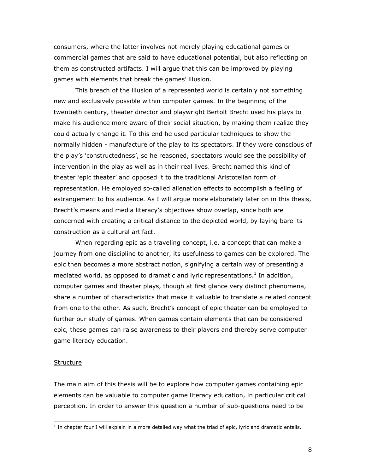consumers, where the latter involves not merely playing educational games or commercial games that are said to have educational potential, but also reflecting on them as constructed artifacts. I will argue that this can be improved by playing games with elements that break the games' illusion.

This breach of the illusion of a represented world is certainly not something new and exclusively possible within computer games. In the beginning of the twentieth century, theater director and playwright Bertolt Brecht used his plays to make his audience more aware of their social situation, by making them realize they could actually change it. To this end he used particular techniques to show the normally hidden - manufacture of the play to its spectators. If they were conscious of the play's 'constructedness', so he reasoned, spectators would see the possibility of intervention in the play as well as in their real lives. Brecht named this kind of theater 'epic theater' and opposed it to the traditional Aristotelian form of representation. He employed so-called alienation effects to accomplish a feeling of estrangement to his audience. As I will argue more elaborately later on in this thesis, Brecht's means and media literacy's objectives show overlap, since both are concerned with creating a critical distance to the depicted world, by laying bare its construction as a cultural artifact.

When regarding epic as a traveling concept, i.e. a concept that can make a journey from one discipline to another, its usefulness to games can be explored. The epic then becomes a more abstract notion, signifying a certain way of presenting a mediated world, as opposed to dramatic and lyric representations.<sup>1</sup> In addition, computer games and theater plays, though at first glance very distinct phenomena, share a number of characteristics that make it valuable to translate a related concept from one to the other. As such, Brecht's concept of epic theater can be employed to further our study of games. When games contain elements that can be considered epic, these games can raise awareness to their players and thereby serve computer game literacy education.

### **Structure**

The main aim of this thesis will be to explore how computer games containing epic elements can be valuable to computer game literacy education, in particular critical perception. In order to answer this question a number of sub-questions need to be

 1 In chapter four I will explain in a more detailed way what the triad of epic, lyric and dramatic entails.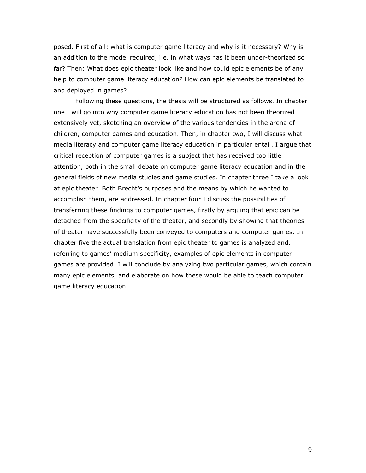posed. First of all: what is computer game literacy and why is it necessary? Why is an addition to the model required, i.e. in what ways has it been under-theorized so far? Then: What does epic theater look like and how could epic elements be of any help to computer game literacy education? How can epic elements be translated to and deployed in games?

Following these questions, the thesis will be structured as follows. In chapter one I will go into why computer game literacy education has not been theorized extensively yet, sketching an overview of the various tendencies in the arena of children, computer games and education. Then, in chapter two, I will discuss what media literacy and computer game literacy education in particular entail. I argue that critical reception of computer games is a subject that has received too little attention, both in the small debate on computer game literacy education and in the general fields of new media studies and game studies. In chapter three I take a look at epic theater. Both Brecht's purposes and the means by which he wanted to accomplish them, are addressed. In chapter four I discuss the possibilities of transferring these findings to computer games, firstly by arguing that epic can be detached from the specificity of the theater, and secondly by showing that theories of theater have successfully been conveyed to computers and computer games. In chapter five the actual translation from epic theater to games is analyzed and, referring to games' medium specificity, examples of epic elements in computer games are provided. I will conclude by analyzing two particular games, which contain many epic elements, and elaborate on how these would be able to teach computer game literacy education.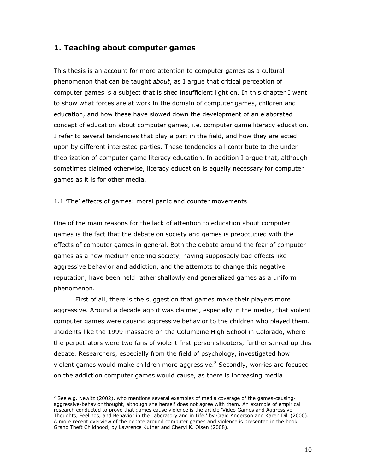# 1. Teaching about computer games

This thesis is an account for more attention to computer games as a cultural phenomenon that can be taught about, as I argue that critical perception of computer games is a subject that is shed insufficient light on. In this chapter I want to show what forces are at work in the domain of computer games, children and education, and how these have slowed down the development of an elaborated concept of education about computer games, i.e. computer game literacy education. I refer to several tendencies that play a part in the field, and how they are acted upon by different interested parties. These tendencies all contribute to the undertheorization of computer game literacy education. In addition I argue that, although sometimes claimed otherwise, literacy education is equally necessary for computer games as it is for other media.

### 1.1 'The' effects of games: moral panic and counter movements

One of the main reasons for the lack of attention to education about computer games is the fact that the debate on society and games is preoccupied with the effects of computer games in general. Both the debate around the fear of computer games as a new medium entering society, having supposedly bad effects like aggressive behavior and addiction, and the attempts to change this negative reputation, have been held rather shallowly and generalized games as a uniform phenomenon.

First of all, there is the suggestion that games make their players more aggressive. Around a decade ago it was claimed, especially in the media, that violent computer games were causing aggressive behavior to the children who played them. Incidents like the 1999 massacre on the Columbine High School in Colorado, where the perpetrators were two fans of violent first-person shooters, further stirred up this debate. Researchers, especially from the field of psychology, investigated how violent games would make children more aggressive.<sup>2</sup> Secondly, worries are focused on the addiction computer games would cause, as there is increasing media

 2 See e.g. Newitz (2002), who mentions several examples of media coverage of the games-causingaggressive-behavior thought, although she herself does not agree with them. An example of empirical research conducted to prove that games cause violence is the article 'Video Games and Aggressive Thoughts, Feelings, and Behavior in the Laboratory and in Life.' by Craig Anderson and Karen Dill (2000). A more recent overview of the debate around computer games and violence is presented in the book Grand Theft Childhood, by Lawrence Kutner and Cheryl K. Olsen (2008).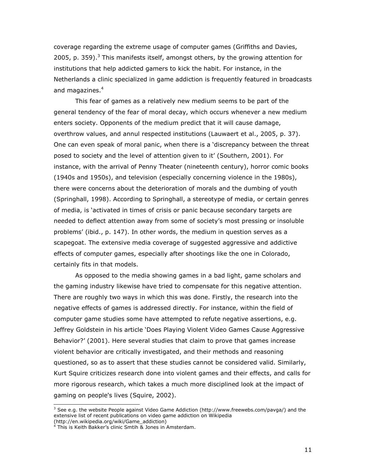coverage regarding the extreme usage of computer games (Griffiths and Davies, 2005, p. 359).<sup>3</sup> This manifests itself, amongst others, by the growing attention for institutions that help addicted gamers to kick the habit. For instance, in the Netherlands a clinic specialized in game addiction is frequently featured in broadcasts and magazines.<sup>4</sup>

This fear of games as a relatively new medium seems to be part of the general tendency of the fear of moral decay, which occurs whenever a new medium enters society. Opponents of the medium predict that it will cause damage, overthrow values, and annul respected institutions (Lauwaert et al., 2005, p. 37). One can even speak of moral panic, when there is a 'discrepancy between the threat posed to society and the level of attention given to it' (Southern, 2001). For instance, with the arrival of Penny Theater (nineteenth century), horror comic books (1940s and 1950s), and television (especially concerning violence in the 1980s), there were concerns about the deterioration of morals and the dumbing of youth (Springhall, 1998). According to Springhall, a stereotype of media, or certain genres of media, is 'activated in times of crisis or panic because secondary targets are needed to deflect attention away from some of society's most pressing or insoluble problems' (ibid., p. 147). In other words, the medium in question serves as a scapegoat. The extensive media coverage of suggested aggressive and addictive effects of computer games, especially after shootings like the one in Colorado, certainly fits in that models.

As opposed to the media showing games in a bad light, game scholars and the gaming industry likewise have tried to compensate for this negative attention. There are roughly two ways in which this was done. Firstly, the research into the negative effects of games is addressed directly. For instance, within the field of computer game studies some have attempted to refute negative assertions, e.g. Jeffrey Goldstein in his article 'Does Playing Violent Video Games Cause Aggressive Behavior?' (2001). Here several studies that claim to prove that games increase violent behavior are critically investigated, and their methods and reasoning questioned, so as to assert that these studies cannot be considered valid. Similarly, Kurt Squire criticizes research done into violent games and their effects, and calls for more rigorous research, which takes a much more disciplined look at the impact of gaming on people's lives (Squire, 2002).

 3 See e.g. the website People against Video Game Addiction (http://www.freewebs.com/pavga/) and the extensive list of recent publications on video game addiction on Wikipedia

<sup>(</sup>http://en.wikipedia.org/wiki/Game\_addiction) 4 This is Keith Bakker's clinic Smtih & Jones in Amsterdam.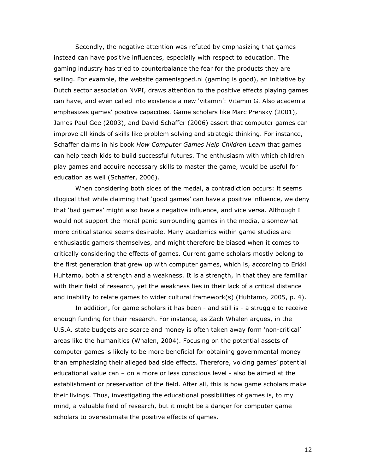Secondly, the negative attention was refuted by emphasizing that games instead can have positive influences, especially with respect to education. The gaming industry has tried to counterbalance the fear for the products they are selling. For example, the website gamenisgoed.nl (gaming is good), an initiative by Dutch sector association NVPI, draws attention to the positive effects playing games can have, and even called into existence a new 'vitamin': Vitamin G. Also academia emphasizes games' positive capacities. Game scholars like Marc Prensky (2001), James Paul Gee (2003), and David Schaffer (2006) assert that computer games can improve all kinds of skills like problem solving and strategic thinking. For instance, Schaffer claims in his book How Computer Games Help Children Learn that games can help teach kids to build successful futures. The enthusiasm with which children play games and acquire necessary skills to master the game, would be useful for education as well (Schaffer, 2006).

When considering both sides of the medal, a contradiction occurs: it seems illogical that while claiming that 'good games' can have a positive influence, we deny that 'bad games' might also have a negative influence, and vice versa. Although I would not support the moral panic surrounding games in the media, a somewhat more critical stance seems desirable. Many academics within game studies are enthusiastic gamers themselves, and might therefore be biased when it comes to critically considering the effects of games. Current game scholars mostly belong to the first generation that grew up with computer games, which is, according to Erkki Huhtamo, both a strength and a weakness. It is a strength, in that they are familiar with their field of research, yet the weakness lies in their lack of a critical distance and inability to relate games to wider cultural framework(s) (Huhtamo, 2005, p. 4).

In addition, for game scholars it has been - and still is - a struggle to receive enough funding for their research. For instance, as Zach Whalen argues, in the U.S.A. state budgets are scarce and money is often taken away form 'non-critical' areas like the humanities (Whalen, 2004). Focusing on the potential assets of computer games is likely to be more beneficial for obtaining governmental money than emphasizing their alleged bad side effects. Therefore, voicing games' potential educational value can – on a more or less conscious level - also be aimed at the establishment or preservation of the field. After all, this is how game scholars make their livings. Thus, investigating the educational possibilities of games is, to my mind, a valuable field of research, but it might be a danger for computer game scholars to overestimate the positive effects of games.

12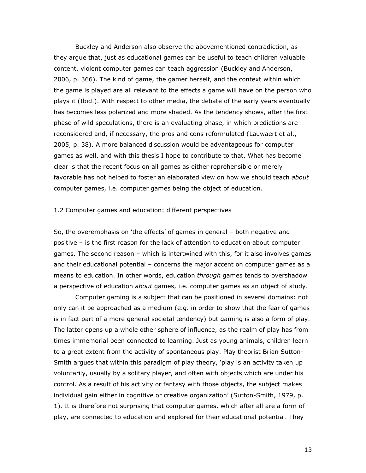Buckley and Anderson also observe the abovementioned contradiction, as they argue that, just as educational games can be useful to teach children valuable content, violent computer games can teach aggression (Buckley and Anderson, 2006, p. 366). The kind of game, the gamer herself, and the context within which the game is played are all relevant to the effects a game will have on the person who plays it (Ibid.). With respect to other media, the debate of the early years eventually has becomes less polarized and more shaded. As the tendency shows, after the first phase of wild speculations, there is an evaluating phase, in which predictions are reconsidered and, if necessary, the pros and cons reformulated (Lauwaert et al., 2005, p. 38). A more balanced discussion would be advantageous for computer games as well, and with this thesis I hope to contribute to that. What has become clear is that the recent focus on all games as either reprehensible or merely favorable has not helped to foster an elaborated view on how we should teach about computer games, i.e. computer games being the object of education.

### 1.2 Computer games and education: different perspectives

So, the overemphasis on 'the effects' of games in general – both negative and positive – is the first reason for the lack of attention to education about computer games. The second reason – which is intertwined with this, for it also involves games and their educational potential – concerns the major accent on computer games as a means to education. In other words, education *through* games tends to overshadow a perspective of education *about* games, i.e. computer games as an object of study.

 Computer gaming is a subject that can be positioned in several domains: not only can it be approached as a medium (e.g. in order to show that the fear of games is in fact part of a more general societal tendency) but gaming is also a form of play. The latter opens up a whole other sphere of influence, as the realm of play has from times immemorial been connected to learning. Just as young animals, children learn to a great extent from the activity of spontaneous play. Play theorist Brian Sutton-Smith argues that within this paradigm of play theory, 'play is an activity taken up voluntarily, usually by a solitary player, and often with objects which are under his control. As a result of his activity or fantasy with those objects, the subject makes individual gain either in cognitive or creative organization' (Sutton-Smith, 1979, p. 1). It is therefore not surprising that computer games, which after all are a form of play, are connected to education and explored for their educational potential. They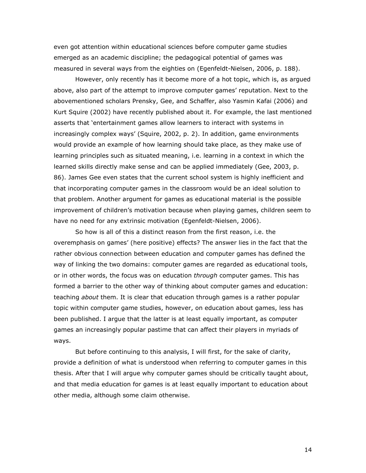even got attention within educational sciences before computer game studies emerged as an academic discipline; the pedagogical potential of games was measured in several ways from the eighties on (Egenfeldt-Nielsen, 2006, p. 188).

However, only recently has it become more of a hot topic, which is, as argued above, also part of the attempt to improve computer games' reputation. Next to the abovementioned scholars Prensky, Gee, and Schaffer, also Yasmin Kafai (2006) and Kurt Squire (2002) have recently published about it. For example, the last mentioned asserts that 'entertainment games allow learners to interact with systems in increasingly complex ways' (Squire, 2002, p. 2). In addition, game environments would provide an example of how learning should take place, as they make use of learning principles such as situated meaning, i.e. learning in a context in which the learned skills directly make sense and can be applied immediately (Gee, 2003, p. 86). James Gee even states that the current school system is highly inefficient and that incorporating computer games in the classroom would be an ideal solution to that problem. Another argument for games as educational material is the possible improvement of children's motivation because when playing games, children seem to have no need for any extrinsic motivation (Egenfeldt-Nielsen, 2006).

 So how is all of this a distinct reason from the first reason, i.e. the overemphasis on games' (here positive) effects? The answer lies in the fact that the rather obvious connection between education and computer games has defined the way of linking the two domains: computer games are regarded as educational tools, or in other words, the focus was on education through computer games. This has formed a barrier to the other way of thinking about computer games and education: teaching *about* them. It is clear that education through games is a rather popular topic within computer game studies, however, on education about games, less has been published. I argue that the latter is at least equally important, as computer games an increasingly popular pastime that can affect their players in myriads of ways.

But before continuing to this analysis, I will first, for the sake of clarity, provide a definition of what is understood when referring to computer games in this thesis. After that I will argue why computer games should be critically taught about, and that media education for games is at least equally important to education about other media, although some claim otherwise.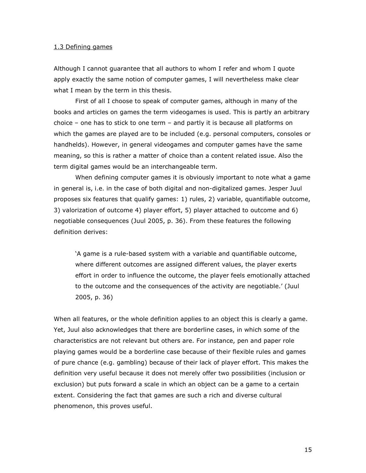### 1.3 Defining games

Although I cannot guarantee that all authors to whom I refer and whom I quote apply exactly the same notion of computer games, I will nevertheless make clear what I mean by the term in this thesis.

First of all I choose to speak of computer games, although in many of the books and articles on games the term videogames is used. This is partly an arbitrary choice – one has to stick to one term – and partly it is because all platforms on which the games are played are to be included (e.g. personal computers, consoles or handhelds). However, in general videogames and computer games have the same meaning, so this is rather a matter of choice than a content related issue. Also the term digital games would be an interchangeable term.

When defining computer games it is obviously important to note what a game in general is, i.e. in the case of both digital and non-digitalized games. Jesper Juul proposes six features that qualify games: 1) rules, 2) variable, quantifiable outcome, 3) valorization of outcome 4) player effort, 5) player attached to outcome and 6) negotiable consequences (Juul 2005, p. 36). From these features the following definition derives:

'A game is a rule-based system with a variable and quantifiable outcome, where different outcomes are assigned different values, the player exerts effort in order to influence the outcome, the player feels emotionally attached to the outcome and the consequences of the activity are negotiable.' (Juul 2005, p. 36)

When all features, or the whole definition applies to an object this is clearly a game. Yet, Juul also acknowledges that there are borderline cases, in which some of the characteristics are not relevant but others are. For instance, pen and paper role playing games would be a borderline case because of their flexible rules and games of pure chance (e.g. gambling) because of their lack of player effort. This makes the definition very useful because it does not merely offer two possibilities (inclusion or exclusion) but puts forward a scale in which an object can be a game to a certain extent. Considering the fact that games are such a rich and diverse cultural phenomenon, this proves useful.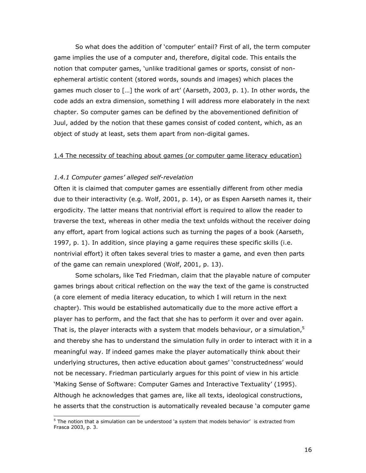So what does the addition of 'computer' entail? First of all, the term computer game implies the use of a computer and, therefore, digital code. This entails the notion that computer games, 'unlike traditional games or sports, consist of nonephemeral artistic content (stored words, sounds and images) which places the games much closer to […] the work of art' (Aarseth, 2003, p. 1). In other words, the code adds an extra dimension, something I will address more elaborately in the next chapter. So computer games can be defined by the abovementioned definition of Juul, added by the notion that these games consist of coded content, which, as an object of study at least, sets them apart from non-digital games.

### 1.4 The necessity of teaching about games (or computer game literacy education)

### 1.4.1 Computer games' alleged self-revelation

Often it is claimed that computer games are essentially different from other media due to their interactivity (e.g. Wolf, 2001, p. 14), or as Espen Aarseth names it, their ergodicity. The latter means that nontrivial effort is required to allow the reader to traverse the text, whereas in other media the text unfolds without the receiver doing any effort, apart from logical actions such as turning the pages of a book (Aarseth, 1997, p. 1). In addition, since playing a game requires these specific skills (i.e. nontrivial effort) it often takes several tries to master a game, and even then parts of the game can remain unexplored (Wolf, 2001, p. 13).

 Some scholars, like Ted Friedman, claim that the playable nature of computer games brings about critical reflection on the way the text of the game is constructed (a core element of media literacy education, to which I will return in the next chapter). This would be established automatically due to the more active effort a player has to perform, and the fact that she has to perform it over and over again. That is, the player interacts with a system that models behaviour, or a simulation, $5$ and thereby she has to understand the simulation fully in order to interact with it in a meaningful way. If indeed games make the player automatically think about their underlying structures, then active education about games' 'constructedness' would not be necessary. Friedman particularly argues for this point of view in his article 'Making Sense of Software: Computer Games and Interactive Textuality' (1995). Although he acknowledges that games are, like all texts, ideological constructions, he asserts that the construction is automatically revealed because 'a computer game

 5 The notion that a simulation can be understood 'a system that models behavior' is extracted from Frasca 2003, p. 3.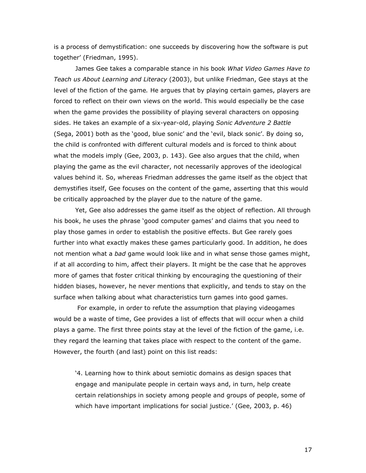is a process of demystification: one succeeds by discovering how the software is put together' (Friedman, 1995).

James Gee takes a comparable stance in his book What Video Games Have to Teach us About Learning and Literacy (2003), but unlike Friedman, Gee stays at the level of the fiction of the game. He argues that by playing certain games, players are forced to reflect on their own views on the world. This would especially be the case when the game provides the possibility of playing several characters on opposing sides. He takes an example of a six-year-old, playing Sonic Adventure 2 Battle (Sega, 2001) both as the 'good, blue sonic' and the 'evil, black sonic'. By doing so, the child is confronted with different cultural models and is forced to think about what the models imply (Gee, 2003, p. 143). Gee also argues that the child, when playing the game as the evil character, not necessarily approves of the ideological values behind it. So, whereas Friedman addresses the game itself as the object that demystifies itself, Gee focuses on the content of the game, asserting that this would be critically approached by the player due to the nature of the game.

Yet, Gee also addresses the game itself as the object of reflection. All through his book, he uses the phrase 'good computer games' and claims that you need to play those games in order to establish the positive effects. But Gee rarely goes further into what exactly makes these games particularly good. In addition, he does not mention what a *bad* game would look like and in what sense those games might, if at all according to him, affect their players. It might be the case that he approves more of games that foster critical thinking by encouraging the questioning of their hidden biases, however, he never mentions that explicitly, and tends to stay on the surface when talking about what characteristics turn games into good games.

 For example, in order to refute the assumption that playing videogames would be a waste of time, Gee provides a list of effects that will occur when a child plays a game. The first three points stay at the level of the fiction of the game, i.e. they regard the learning that takes place with respect to the content of the game. However, the fourth (and last) point on this list reads:

'4. Learning how to think about semiotic domains as design spaces that engage and manipulate people in certain ways and, in turn, help create certain relationships in society among people and groups of people, some of which have important implications for social justice.' (Gee, 2003, p. 46)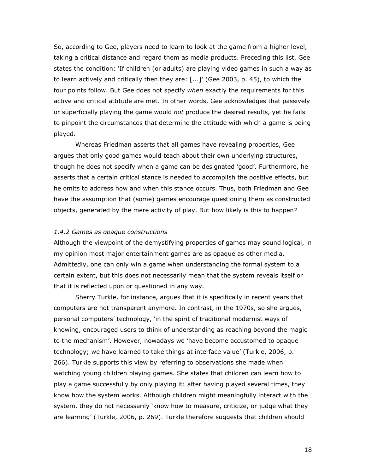So, according to Gee, players need to learn to look at the game from a higher level, taking a critical distance and regard them as media products. Preceding this list, Gee states the condition: 'If children (or adults) are playing video games in such a way as to learn actively and critically then they are: [...]' (Gee 2003, p. 45), to which the four points follow. But Gee does not specify when exactly the requirements for this active and critical attitude are met. In other words, Gee acknowledges that passively or superficially playing the game would not produce the desired results, yet he fails to pinpoint the circumstances that determine the attitude with which a game is being played.

Whereas Friedman asserts that all games have revealing properties, Gee argues that only good games would teach about their own underlying structures, though he does not specify when a game can be designated 'good'. Furthermore, he asserts that a certain critical stance is needed to accomplish the positive effects, but he omits to address how and when this stance occurs. Thus, both Friedman and Gee have the assumption that (some) games encourage questioning them as constructed objects, generated by the mere activity of play. But how likely is this to happen?

### 1.4.2 Games as opaque constructions

Although the viewpoint of the demystifying properties of games may sound logical, in my opinion most major entertainment games are as opaque as other media. Admittedly, one can only win a game when understanding the formal system to a certain extent, but this does not necessarily mean that the system reveals itself or that it is reflected upon or questioned in any way.

Sherry Turkle, for instance, argues that it is specifically in recent years that computers are not transparent anymore. In contrast, in the 1970s, so she argues, personal computers' technology, 'in the spirit of traditional modernist ways of knowing, encouraged users to think of understanding as reaching beyond the magic to the mechanism'. However, nowadays we 'have become accustomed to opaque technology; we have learned to take things at interface value' (Turkle, 2006, p. 266). Turkle supports this view by referring to observations she made when watching young children playing games. She states that children can learn how to play a game successfully by only playing it: after having played several times, they know how the system works. Although children might meaningfully interact with the system, they do not necessarily 'know how to measure, criticize, or judge what they are learning' (Turkle, 2006, p. 269). Turkle therefore suggests that children should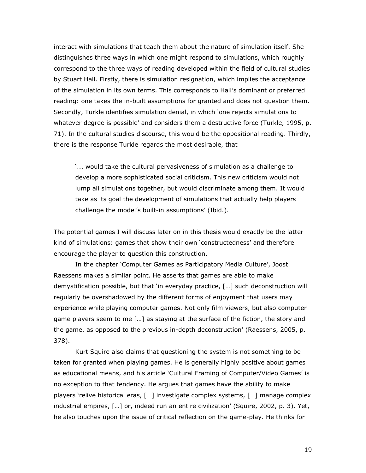interact with simulations that teach them about the nature of simulation itself. She distinguishes three ways in which one might respond to simulations, which roughly correspond to the three ways of reading developed within the field of cultural studies by Stuart Hall. Firstly, there is simulation resignation, which implies the acceptance of the simulation in its own terms. This corresponds to Hall's dominant or preferred reading: one takes the in-built assumptions for granted and does not question them. Secondly, Turkle identifies simulation denial, in which 'one rejects simulations to whatever degree is possible' and considers them a destructive force (Turkle, 1995, p. 71). In the cultural studies discourse, this would be the oppositional reading. Thirdly, there is the response Turkle regards the most desirable, that

'... would take the cultural pervasiveness of simulation as a challenge to develop a more sophisticated social criticism. This new criticism would not lump all simulations together, but would discriminate among them. It would take as its goal the development of simulations that actually help players challenge the model's built-in assumptions' (Ibid.).

The potential games I will discuss later on in this thesis would exactly be the latter kind of simulations: games that show their own 'constructedness' and therefore encourage the player to question this construction.

In the chapter 'Computer Games as Participatory Media Culture', Joost Raessens makes a similar point. He asserts that games are able to make demystification possible, but that 'in everyday practice, […] such deconstruction will regularly be overshadowed by the different forms of enjoyment that users may experience while playing computer games. Not only film viewers, but also computer game players seem to me […] as staying at the surface of the fiction, the story and the game, as opposed to the previous in-depth deconstruction' (Raessens, 2005, p. 378).

Kurt Squire also claims that questioning the system is not something to be taken for granted when playing games. He is generally highly positive about games as educational means, and his article 'Cultural Framing of Computer/Video Games' is no exception to that tendency. He argues that games have the ability to make players 'relive historical eras, […] investigate complex systems, […] manage complex industrial empires, […] or, indeed run an entire civilization' (Squire, 2002, p. 3). Yet, he also touches upon the issue of critical reflection on the game-play. He thinks for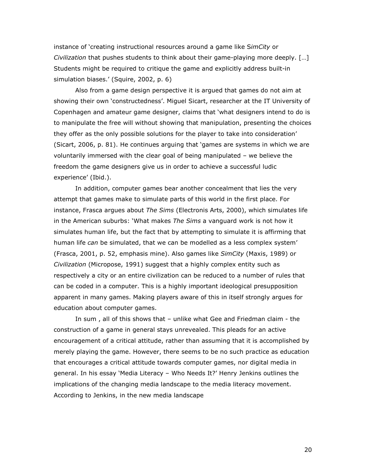instance of 'creating instructional resources around a game like SimCity or Civilization that pushes students to think about their game-playing more deeply. […] Students might be required to critique the game and explicitly address built-in simulation biases.' (Squire, 2002, p. 6)

Also from a game design perspective it is argued that games do not aim at showing their own 'constructedness'. Miguel Sicart, researcher at the IT University of Copenhagen and amateur game designer, claims that 'what designers intend to do is to manipulate the free will without showing that manipulation, presenting the choices they offer as the only possible solutions for the player to take into consideration' (Sicart, 2006, p. 81). He continues arguing that 'games are systems in which we are voluntarily immersed with the clear goal of being manipulated – we believe the freedom the game designers give us in order to achieve a successful ludic experience' (Ibid.).

 In addition, computer games bear another concealment that lies the very attempt that games make to simulate parts of this world in the first place. For instance, Frasca argues about The Sims (Electronis Arts, 2000), which simulates life in the American suburbs: 'What makes The Sims a vanguard work is not how it simulates human life, but the fact that by attempting to simulate it is affirming that human life can be simulated, that we can be modelled as a less complex system' (Frasca, 2001, p. 52, emphasis mine). Also games like SimCity (Maxis, 1989) or Civilization (Micropose, 1991) suggest that a highly complex entity such as respectively a city or an entire civilization can be reduced to a number of rules that can be coded in a computer. This is a highly important ideological presupposition apparent in many games. Making players aware of this in itself strongly argues for education about computer games.

In sum , all of this shows that – unlike what Gee and Friedman claim - the construction of a game in general stays unrevealed. This pleads for an active encouragement of a critical attitude, rather than assuming that it is accomplished by merely playing the game. However, there seems to be no such practice as education that encourages a critical attitude towards computer games, nor digital media in general. In his essay 'Media Literacy – Who Needs It?' Henry Jenkins outlines the implications of the changing media landscape to the media literacy movement. According to Jenkins, in the new media landscape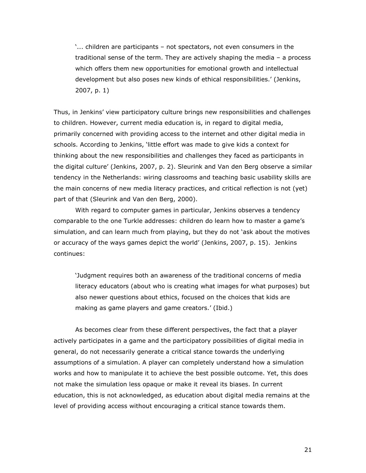'... children are participants – not spectators, not even consumers in the traditional sense of the term. They are actively shaping the media – a process which offers them new opportunities for emotional growth and intellectual development but also poses new kinds of ethical responsibilities.' (Jenkins, 2007, p. 1)

Thus, in Jenkins' view participatory culture brings new responsibilities and challenges to children. However, current media education is, in regard to digital media, primarily concerned with providing access to the internet and other digital media in schools. According to Jenkins, 'little effort was made to give kids a context for thinking about the new responsibilities and challenges they faced as participants in the digital culture' (Jenkins, 2007, p. 2). Sleurink and Van den Berg observe a similar tendency in the Netherlands: wiring classrooms and teaching basic usability skills are the main concerns of new media literacy practices, and critical reflection is not (yet) part of that (Sleurink and Van den Berg, 2000).

With regard to computer games in particular, Jenkins observes a tendency comparable to the one Turkle addresses: children do learn how to master a game's simulation, and can learn much from playing, but they do not 'ask about the motives or accuracy of the ways games depict the world' (Jenkins, 2007, p. 15). Jenkins continues:

'Judgment requires both an awareness of the traditional concerns of media literacy educators (about who is creating what images for what purposes) but also newer questions about ethics, focused on the choices that kids are making as game players and game creators.' (Ibid.)

As becomes clear from these different perspectives, the fact that a player actively participates in a game and the participatory possibilities of digital media in general, do not necessarily generate a critical stance towards the underlying assumptions of a simulation. A player can completely understand how a simulation works and how to manipulate it to achieve the best possible outcome. Yet, this does not make the simulation less opaque or make it reveal its biases. In current education, this is not acknowledged, as education about digital media remains at the level of providing access without encouraging a critical stance towards them.

21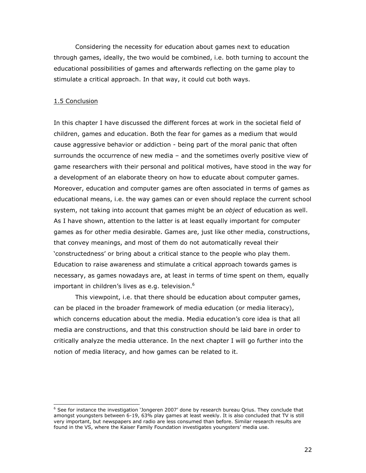Considering the necessity for education about games next to education through games, ideally, the two would be combined, i.e. both turning to account the educational possibilities of games and afterwards reflecting on the game play to stimulate a critical approach. In that way, it could cut both ways.

### 1.5 Conclusion

j

In this chapter I have discussed the different forces at work in the societal field of children, games and education. Both the fear for games as a medium that would cause aggressive behavior or addiction - being part of the moral panic that often surrounds the occurrence of new media – and the sometimes overly positive view of game researchers with their personal and political motives, have stood in the way for a development of an elaborate theory on how to educate about computer games. Moreover, education and computer games are often associated in terms of games as educational means, i.e. the way games can or even should replace the current school system, not taking into account that games might be an object of education as well. As I have shown, attention to the latter is at least equally important for computer games as for other media desirable. Games are, just like other media, constructions, that convey meanings, and most of them do not automatically reveal their 'constructedness' or bring about a critical stance to the people who play them. Education to raise awareness and stimulate a critical approach towards games is necessary, as games nowadays are, at least in terms of time spent on them, equally important in children's lives as e.g. television. $6$ 

 This viewpoint, i.e. that there should be education about computer games, can be placed in the broader framework of media education (or media literacy), which concerns education about the media. Media education's core idea is that all media are constructions, and that this construction should be laid bare in order to critically analyze the media utterance. In the next chapter I will go further into the notion of media literacy, and how games can be related to it.

<sup>&</sup>lt;sup>6</sup> See for instance the investigation 'Jongeren 2007' done by research bureau Qrius. They conclude that amongst youngsters between 6-19, 63% play games at least weekly. It is also concluded that TV is still very important, but newspapers and radio are less consumed than before. Similar research results are found in the VS, where the Kaiser Family Foundation investigates youngsters' media use.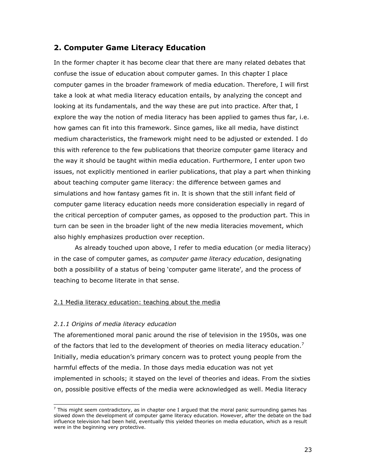# 2. Computer Game Literacy Education

In the former chapter it has become clear that there are many related debates that confuse the issue of education about computer games. In this chapter I place computer games in the broader framework of media education. Therefore, I will first take a look at what media literacy education entails, by analyzing the concept and looking at its fundamentals, and the way these are put into practice. After that, I explore the way the notion of media literacy has been applied to games thus far, i.e. how games can fit into this framework. Since games, like all media, have distinct medium characteristics, the framework might need to be adjusted or extended. I do this with reference to the few publications that theorize computer game literacy and the way it should be taught within media education. Furthermore, I enter upon two issues, not explicitly mentioned in earlier publications, that play a part when thinking about teaching computer game literacy: the difference between games and simulations and how fantasy games fit in. It is shown that the still infant field of computer game literacy education needs more consideration especially in regard of the critical perception of computer games, as opposed to the production part. This in turn can be seen in the broader light of the new media literacies movement, which also highly emphasizes production over reception.

As already touched upon above, I refer to media education (or media literacy) in the case of computer games, as *computer game literacy education*, designating both a possibility of a status of being 'computer game literate', and the process of teaching to become literate in that sense.

### 2.1 Media literacy education: teaching about the media

### 2.1.1 Origins of media literacy education

The aforementioned moral panic around the rise of television in the 1950s, was one of the factors that led to the development of theories on media literacy education.<sup>7</sup> Initially, media education's primary concern was to protect young people from the harmful effects of the media. In those days media education was not yet implemented in schools; it stayed on the level of theories and ideas. From the sixties on, possible positive effects of the media were acknowledged as well. Media literacy

 7 This might seem contradictory, as in chapter one I argued that the moral panic surrounding games has slowed down the development of computer game literacy education. However, after the debate on the bad influence television had been held, eventually this yielded theories on media education, which as a result were in the beginning very protective.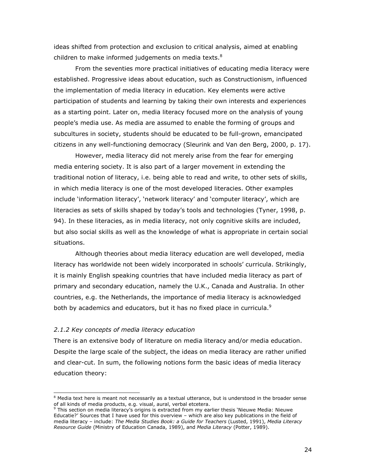ideas shifted from protection and exclusion to critical analysis, aimed at enabling children to make informed judgements on media texts.<sup>8</sup>

From the seventies more practical initiatives of educating media literacy were established. Progressive ideas about education, such as Constructionism, influenced the implementation of media literacy in education. Key elements were active participation of students and learning by taking their own interests and experiences as a starting point. Later on, media literacy focused more on the analysis of young people's media use. As media are assumed to enable the forming of groups and subcultures in society, students should be educated to be full-grown, emancipated citizens in any well-functioning democracy (Sleurink and Van den Berg, 2000, p. 17).

However, media literacy did not merely arise from the fear for emerging media entering society. It is also part of a larger movement in extending the traditional notion of literacy, i.e. being able to read and write, to other sets of skills, in which media literacy is one of the most developed literacies. Other examples include 'information literacy', 'network literacy' and 'computer literacy', which are literacies as sets of skills shaped by today's tools and technologies (Tyner, 1998, p. 94). In these literacies, as in media literacy, not only cognitive skills are included, but also social skills as well as the knowledge of what is appropriate in certain social situations.

Although theories about media literacy education are well developed, media literacy has worldwide not been widely incorporated in schools' curricula. Strikingly, it is mainly English speaking countries that have included media literacy as part of primary and secondary education, namely the U.K., Canada and Australia. In other countries, e.g. the Netherlands, the importance of media literacy is acknowledged both by academics and educators, but it has no fixed place in curricula. $9$ 

### 2.1.2 Key concepts of media literacy education

There is an extensive body of literature on media literacy and/or media education. Despite the large scale of the subject, the ideas on media literacy are rather unified and clear-cut. In sum, the following notions form the basic ideas of media literacy education theory:

 8 Media text here is meant not necessarily as a textual utterance, but is understood in the broader sense of all kinds of media products, e.g. visual, aural, verbal etcetera.

<sup>&</sup>lt;sup>9</sup> This section on media literacy's origins is extracted from my earlier thesis `Nieuwe Media: Nieuwe Educatie?' Sources that I have used for this overview – which are also key publications in the field of media literacy – include: The Media Studies Book: a Guide for Teachers (Lusted, 1991), Media Literacy Resource Guide (Ministry of Education Canada, 1989), and Media Literacy (Potter, 1989).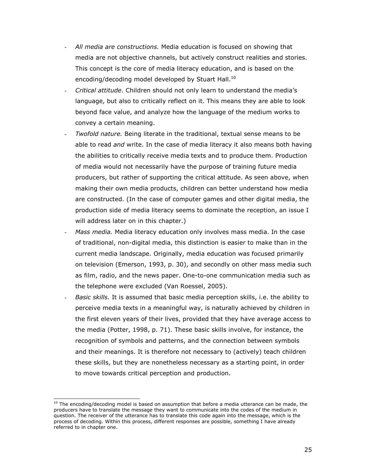- All media are constructions. Media education is focused on showing that media are not objective channels, but actively construct realities and stories. This concept is the core of media literacy education, and is based on the encoding/decoding model developed by Stuart Hall.<sup>10</sup>
- Critical attitude. Children should not only learn to understand the media's language, but also to critically reflect on it. This means they are able to look beyond face value, and analyze how the language of the medium works to convey a certain meaning.
- Twofold nature. Being literate in the traditional, textual sense means to be able to read *and* write. In the case of media literacy it also means both having the abilities to critically receive media texts and to produce them. Production of media would not necessarily have the purpose of training future media producers, but rather of supporting the critical attitude. As seen above, when making their own media products, children can better understand how media are constructed. (In the case of computer games and other digital media, the production side of media literacy seems to dominate the reception, an issue I will address later on in this chapter.)
- Mass media. Media literacy education only involves mass media. In the case of traditional, non-digital media, this distinction is easier to make than in the current media landscape. Originally, media education was focused primarily on television (Emerson, 1993, p. 30), and secondly on other mass media such as film, radio, and the news paper. One-to-one communication media such as the telephone were excluded (Van Roessel, 2005).
- Basic skills. It is assumed that basic media perception skills, i.e. the ability to perceive media texts in a meaningful way, is naturally achieved by children in the first eleven years of their lives, provided that they have average access to the media (Potter, 1998, p. 71). These basic skills involve, for instance, the recognition of symbols and patterns, and the connection between symbols and their meanings. It is therefore not necessary to (actively) teach children these skills, but they are nonetheless necessary as a starting point, in order to move towards critical perception and production.

j  $^{10}$  The encoding/decoding model is based on assumption that before a media utterance can be made, the producers have to translate the message they want to communicate into the codes of the medium in question. The receiver of the utterance has to translate this code again into the message, which is the process of decoding. Within this process, different responses are possible, something I have already referred to in chapter one.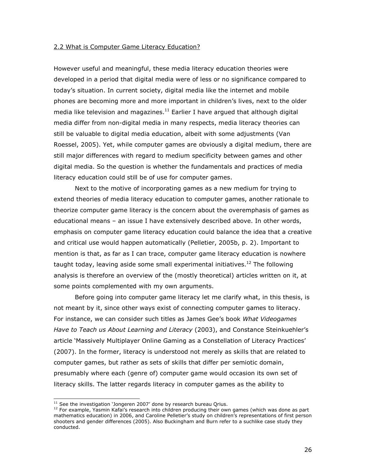### 2.2 What is Computer Game Literacy Education?

However useful and meaningful, these media literacy education theories were developed in a period that digital media were of less or no significance compared to today's situation. In current society, digital media like the internet and mobile phones are becoming more and more important in children's lives, next to the older media like television and magazines.<sup>11</sup> Earlier I have argued that although digital media differ from non-digital media in many respects, media literacy theories can still be valuable to digital media education, albeit with some adjustments (Van Roessel, 2005). Yet, while computer games are obviously a digital medium, there are still major differences with regard to medium specificity between games and other digital media. So the question is whether the fundamentals and practices of media literacy education could still be of use for computer games.

Next to the motive of incorporating games as a new medium for trying to extend theories of media literacy education to computer games, another rationale to theorize computer game literacy is the concern about the overemphasis of games as educational means – an issue I have extensively described above. In other words, emphasis on computer game literacy education could balance the idea that a creative and critical use would happen automatically (Pelletier, 2005b, p. 2). Important to mention is that, as far as I can trace, computer game literacy education is nowhere taught today, leaving aside some small experimental initiatives.<sup>12</sup> The following analysis is therefore an overview of the (mostly theoretical) articles written on it, at some points complemented with my own arguments.

Before going into computer game literacy let me clarify what, in this thesis, is not meant by it, since other ways exist of connecting computer games to literacy. For instance, we can consider such titles as James Gee's book What Videogames Have to Teach us About Learning and Literacy (2003), and Constance Steinkuehler's article 'Massively Multiplayer Online Gaming as a Constellation of Literacy Practices' (2007). In the former, literacy is understood not merely as skills that are related to computer games, but rather as sets of skills that differ per semiotic domain, presumably where each (genre of) computer game would occasion its own set of literacy skills. The latter regards literacy in computer games as the ability to

j

 $11$  See the investigation 'Jongeren 2007' done by research bureau Qrius.

<sup>&</sup>lt;sup>12</sup> For example, Yasmin Kafai's research into children producing their own games (which was done as part mathematics education) in 2006, and Caroline Pelletier's study on children's representations of first person shooters and gender differences (2005). Also Buckingham and Burn refer to a suchlike case study they conducted.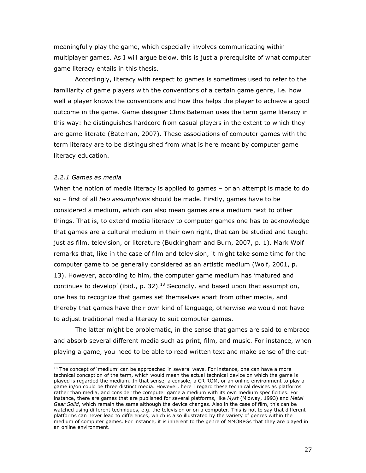meaningfully play the game, which especially involves communicating within multiplayer games. As I will argue below, this is just a prerequisite of what computer game literacy entails in this thesis.

Accordingly, literacy with respect to games is sometimes used to refer to the familiarity of game players with the conventions of a certain game genre, i.e. how well a player knows the conventions and how this helps the player to achieve a good outcome in the game. Game designer Chris Bateman uses the term game literacy in this way: he distinguishes hardcore from casual players in the extent to which they are game literate (Bateman, 2007). These associations of computer games with the term literacy are to be distinguished from what is here meant by computer game literacy education.

### 2.2.1 Games as media

ł

When the notion of media literacy is applied to games – or an attempt is made to do so – first of all two assumptions should be made. Firstly, games have to be considered a medium, which can also mean games are a medium next to other things. That is, to extend media literacy to computer games one has to acknowledge that games are a cultural medium in their own right, that can be studied and taught just as film, television, or literature (Buckingham and Burn, 2007, p. 1). Mark Wolf remarks that, like in the case of film and television, it might take some time for the computer game to be generally considered as an artistic medium (Wolf, 2001, p. 13). However, according to him, the computer game medium has 'matured and continues to develop' (ibid., p. 32).<sup>13</sup> Secondly, and based upon that assumption, one has to recognize that games set themselves apart from other media, and thereby that games have their own kind of language, otherwise we would not have to adjust traditional media literacy to suit computer games.

The latter might be problematic, in the sense that games are said to embrace and absorb several different media such as print, film, and music. For instance, when playing a game, you need to be able to read written text and make sense of the cut-

 $13$  The concept of 'medium' can be approached in several ways. For instance, one can have a more technical conception of the term, which would mean the actual technical device on which the game is played is regarded the medium. In that sense, a console, a CR ROM, or an online environment to play a game in/on could be three distinct media. However, here I regard these technical devices as platforms rather than media, and consider the computer game a medium with its own medium specificities. For instance, there are games that are published for several platforms, like Myst (Midway, 1993) and Metal Gear Solid, which remain the same although the device changes. Also in the case of film, this can be watched using different techniques, e.g. the television or on a computer. This is not to say that different platforms can never lead to differences, which is also illustrated by the variety of genres within the medium of computer games. For instance, it is inherent to the genre of MMORPGs that they are played in an online environment.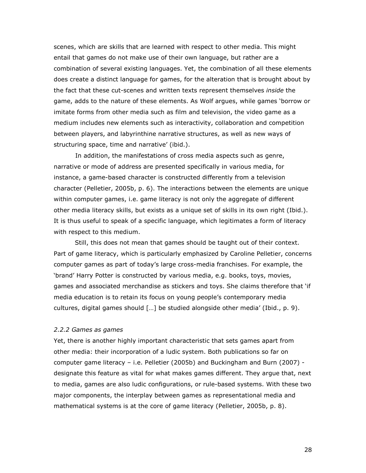scenes, which are skills that are learned with respect to other media. This might entail that games do not make use of their own language, but rather are a combination of several existing languages. Yet, the combination of all these elements does create a distinct language for games, for the alteration that is brought about by the fact that these cut-scenes and written texts represent themselves *inside* the game, adds to the nature of these elements. As Wolf argues, while games 'borrow or imitate forms from other media such as film and television, the video game as a medium includes new elements such as interactivity, collaboration and competition between players, and labyrinthine narrative structures, as well as new ways of structuring space, time and narrative' (ibid.).

In addition, the manifestations of cross media aspects such as genre, narrative or mode of address are presented specifically in various media, for instance, a game-based character is constructed differently from a television character (Pelletier, 2005b, p. 6). The interactions between the elements are unique within computer games, i.e. game literacy is not only the aggregate of different other media literacy skills, but exists as a unique set of skills in its own right (Ibid.). It is thus useful to speak of a specific language, which legitimates a form of literacy with respect to this medium.

Still, this does not mean that games should be taught out of their context. Part of game literacy, which is particularly emphasized by Caroline Pelletier, concerns computer games as part of today's large cross-media franchises. For example, the 'brand' Harry Potter is constructed by various media, e.g. books, toys, movies, games and associated merchandise as stickers and toys. She claims therefore that 'if media education is to retain its focus on young people's contemporary media cultures, digital games should […] be studied alongside other media' (Ibid., p. 9).

### 2.2.2 Games as games

Yet, there is another highly important characteristic that sets games apart from other media: their incorporation of a ludic system. Both publications so far on computer game literacy – i.e. Pelletier (2005b) and Buckingham and Burn (2007) designate this feature as vital for what makes games different. They argue that, next to media, games are also ludic configurations, or rule-based systems. With these two major components, the interplay between games as representational media and mathematical systems is at the core of game literacy (Pelletier, 2005b, p. 8).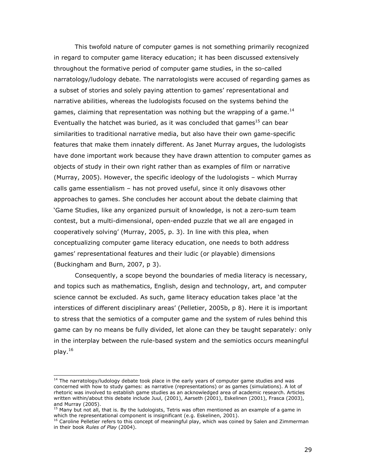This twofold nature of computer games is not something primarily recognized in regard to computer game literacy education; it has been discussed extensively throughout the formative period of computer game studies, in the so-called narratology/ludology debate. The narratologists were accused of regarding games as a subset of stories and solely paying attention to games' representational and narrative abilities, whereas the ludologists focused on the systems behind the games, claiming that representation was nothing but the wrapping of a game.<sup>14</sup> Eventually the hatchet was buried, as it was concluded that games $^{15}$  can bear similarities to traditional narrative media, but also have their own game-specific features that make them innately different. As Janet Murray argues, the ludologists have done important work because they have drawn attention to computer games as objects of study in their own right rather than as examples of film or narrative (Murray, 2005). However, the specific ideology of the ludologists – which Murray calls game essentialism – has not proved useful, since it only disavows other approaches to games. She concludes her account about the debate claiming that 'Game Studies, like any organized pursuit of knowledge, is not a zero-sum team contest, but a multi-dimensional, open-ended puzzle that we all are engaged in cooperatively solving' (Murray, 2005, p. 3). In line with this plea, when conceptualizing computer game literacy education, one needs to both address games' representational features and their ludic (or playable) dimensions (Buckingham and Burn, 2007, p 3).

Consequently, a scope beyond the boundaries of media literacy is necessary, and topics such as mathematics, English, design and technology, art, and computer science cannot be excluded. As such, game literacy education takes place 'at the interstices of different disciplinary areas' (Pelletier, 2005b, p 8). Here it is important to stress that the semiotics of a computer game and the system of rules behind this game can by no means be fully divided, let alone can they be taught separately: only in the interplay between the rule-based system and the semiotics occurs meaningful play.<sup>16</sup>

ł

 $14$  The narratology/ludology debate took place in the early years of computer game studies and was concerned with how to study games: as narrative (representations) or as games (simulations). A lot of rhetoric was involved to establish game studies as an acknowledged area of academic research. Articles written within/about this debate include Juul, (2001), Aarseth (2001), Eskelinen (2001), Frasca (2003), and Murray (2005).

<sup>&</sup>lt;sup>15</sup> Many but not all, that is. By the ludologists, Tetris was often mentioned as an example of a game in which the representational component is insignificant (e.g. Eskelinen, 2001).

<sup>&</sup>lt;sup>16</sup> Caroline Pelletier refers to this concept of meaningful play, which was coined by Salen and Zimmerman in their book Rules of Play (2004).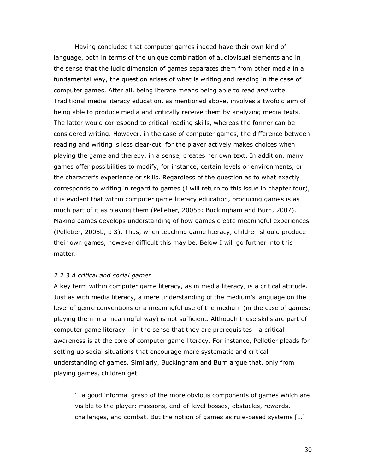Having concluded that computer games indeed have their own kind of language, both in terms of the unique combination of audiovisual elements and in the sense that the ludic dimension of games separates them from other media in a fundamental way, the question arises of what is writing and reading in the case of computer games. After all, being literate means being able to read and write. Traditional media literacy education, as mentioned above, involves a twofold aim of being able to produce media and critically receive them by analyzing media texts. The latter would correspond to critical reading skills, whereas the former can be considered writing. However, in the case of computer games, the difference between reading and writing is less clear-cut, for the player actively makes choices when playing the game and thereby, in a sense, creates her own text. In addition, many games offer possibilities to modify, for instance, certain levels or environments, or the character's experience or skills. Regardless of the question as to what exactly corresponds to writing in regard to games (I will return to this issue in chapter four), it is evident that within computer game literacy education, producing games is as much part of it as playing them (Pelletier, 2005b; Buckingham and Burn, 2007). Making games develops understanding of how games create meaningful experiences (Pelletier, 2005b, p 3). Thus, when teaching game literacy, children should produce their own games, however difficult this may be. Below I will go further into this matter.

### 2.2.3 A critical and social gamer

A key term within computer game literacy, as in media literacy, is a critical attitude. Just as with media literacy, a mere understanding of the medium's language on the level of genre conventions or a meaningful use of the medium (in the case of games: playing them in a meaningful way) is not sufficient. Although these skills are part of computer game literacy – in the sense that they are prerequisites - a critical awareness is at the core of computer game literacy. For instance, Pelletier pleads for setting up social situations that encourage more systematic and critical understanding of games. Similarly, Buckingham and Burn argue that, only from playing games, children get

'…a good informal grasp of the more obvious components of games which are visible to the player: missions, end-of-level bosses, obstacles, rewards, challenges, and combat. But the notion of games as rule-based systems […]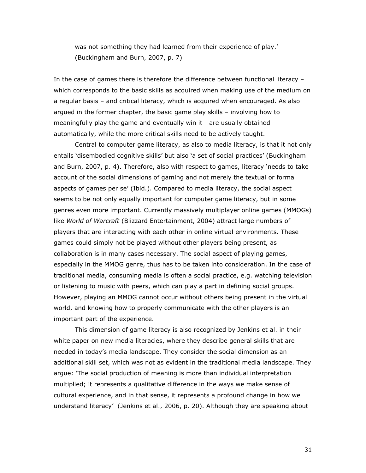was not something they had learned from their experience of play.' (Buckingham and Burn, 2007, p. 7)

In the case of games there is therefore the difference between functional literacy – which corresponds to the basic skills as acquired when making use of the medium on a regular basis – and critical literacy, which is acquired when encouraged. As also argued in the former chapter, the basic game play skills – involving how to meaningfully play the game and eventually win it - are usually obtained automatically, while the more critical skills need to be actively taught.

Central to computer game literacy, as also to media literacy, is that it not only entails 'disembodied cognitive skills' but also 'a set of social practices' (Buckingham and Burn, 2007, p. 4). Therefore, also with respect to games, literacy 'needs to take account of the social dimensions of gaming and not merely the textual or formal aspects of games per se' (Ibid.). Compared to media literacy, the social aspect seems to be not only equally important for computer game literacy, but in some genres even more important. Currently massively multiplayer online games (MMOGs) like World of Warcraft (Blizzard Entertainment, 2004) attract large numbers of players that are interacting with each other in online virtual environments. These games could simply not be played without other players being present, as collaboration is in many cases necessary. The social aspect of playing games, especially in the MMOG genre, thus has to be taken into consideration. In the case of traditional media, consuming media is often a social practice, e.g. watching television or listening to music with peers, which can play a part in defining social groups. However, playing an MMOG cannot occur without others being present in the virtual world, and knowing how to properly communicate with the other players is an important part of the experience.

This dimension of game literacy is also recognized by Jenkins et al. in their white paper on new media literacies, where they describe general skills that are needed in today's media landscape. They consider the social dimension as an additional skill set, which was not as evident in the traditional media landscape. They argue: 'The social production of meaning is more than individual interpretation multiplied; it represents a qualitative difference in the ways we make sense of cultural experience, and in that sense, it represents a profound change in how we understand literacy' (Jenkins et al., 2006, p. 20). Although they are speaking about

31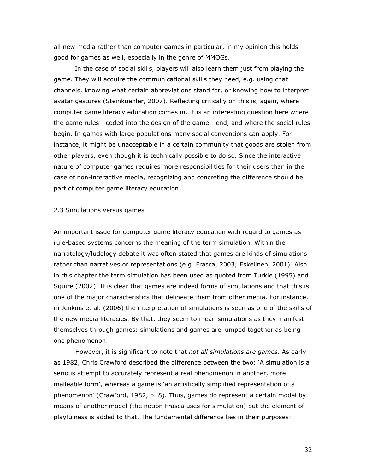all new media rather than computer games in particular, in my opinion this holds good for games as well, especially in the genre of MMOGs.

In the case of social skills, players will also learn them just from playing the game. They will acquire the communicational skills they need, e.g. using chat channels, knowing what certain abbreviations stand for, or knowing how to interpret avatar gestures (Steinkuehler, 2007). Reflecting critically on this is, again, where computer game literacy education comes in. It is an interesting question here where the game rules - coded into the design of the game - end, and where the social rules begin. In games with large populations many social conventions can apply. For instance, it might be unacceptable in a certain community that goods are stolen from other players, even though it is technically possible to do so. Since the interactive nature of computer games requires more responsibilities for their users than in the case of non-interactive media, recognizing and concreting the difference should be part of computer game literacy education.

### 2.3 Simulations versus games

An important issue for computer game literacy education with regard to games as rule-based systems concerns the meaning of the term simulation. Within the narratology/ludology debate it was often stated that games are kinds of simulations rather than narratives or representations (e.g. Frasca, 2003; Eskelinen, 2001). Also in this chapter the term simulation has been used as quoted from Turkle (1995) and Squire (2002). It is clear that games are indeed forms of simulations and that this is one of the major characteristics that delineate them from other media. For instance, in Jenkins et al. (2006) the interpretation of simulations is seen as one of the skills of the new media literacies. By that, they seem to mean simulations as they manifest themselves through games: simulations and games are lumped together as being one phenomenon.

However, it is significant to note that *not all simulations are games*. As early as 1982, Chris Crawford described the difference between the two: 'A simulation is a serious attempt to accurately represent a real phenomenon in another, more malleable form', whereas a game is 'an artistically simplified representation of a phenomenon' (Crawford, 1982, p. 8). Thus, games do represent a certain model by means of another model (the notion Frasca uses for simulation) but the element of playfulness is added to that. The fundamental difference lies in their purposes: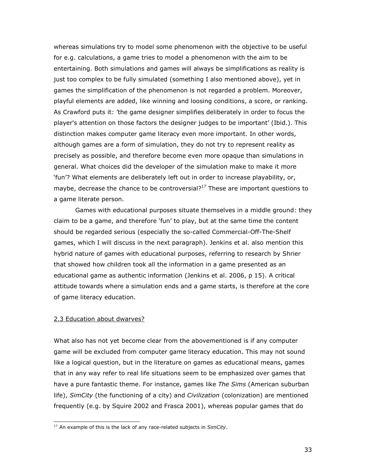whereas simulations try to model some phenomenon with the objective to be useful for e.g. calculations, a game tries to model a phenomenon with the aim to be entertaining. Both simulations and games will always be simplifications as reality is just too complex to be fully simulated (something I also mentioned above), yet in games the simplification of the phenomenon is not regarded a problem. Moreover, playful elements are added, like winning and loosing conditions, a score, or ranking. As Crawford puts it: 'the game designer simplifies deliberately in order to focus the player's attention on those factors the designer judges to be important' (Ibid.). This distinction makes computer game literacy even more important. In other words, although games are a form of simulation, they do not try to represent reality as precisely as possible, and therefore become even more opaque than simulations in general. What choices did the developer of the simulation make to make it more 'fun'? What elements are deliberately left out in order to increase playability, or, maybe, decrease the chance to be controversial? $17$  These are important questions to a game literate person.

Games with educational purposes situate themselves in a middle ground: they claim to be a game, and therefore 'fun' to play, but at the same time the content should be regarded serious (especially the so-called Commercial-Off-The-Shelf games, which I will discuss in the next paragraph). Jenkins et al. also mention this hybrid nature of games with educational purposes, referring to research by Shrier that showed how children took all the information in a game presented as an educational game as authentic information (Jenkins et al. 2006, p 15). A critical attitude towards where a simulation ends and a game starts, is therefore at the core of game literacy education.

### 2.3 Education about dwarves?

j

What also has not yet become clear from the abovementioned is if any computer game will be excluded from computer game literacy education. This may not sound like a logical question, but in the literature on games as educational means, games that in any way refer to real life situations seem to be emphasized over games that have a pure fantastic theme. For instance, games like The Sims (American suburban life), SimCity (the functioning of a city) and Civilization (colonization) are mentioned frequently (e.g. by Squire 2002 and Frasca 2001), whereas popular games that do

 $17$  An example of this is the lack of any race-related subjects in SimCity.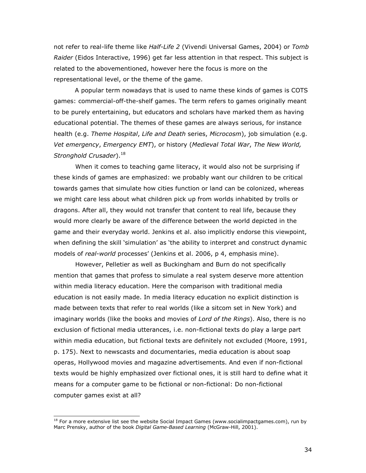not refer to real-life theme like *Half-Life 2* (Vivendi Universal Games, 2004) or Tomb Raider (Eidos Interactive, 1996) get far less attention in that respect. This subject is related to the abovementioned, however here the focus is more on the representational level, or the theme of the game.

A popular term nowadays that is used to name these kinds of games is COTS games: commercial-off-the-shelf games. The term refers to games originally meant to be purely entertaining, but educators and scholars have marked them as having educational potential. The themes of these games are always serious, for instance health (e.g. Theme Hospital, Life and Death series, Microcosm), job simulation (e.g. Vet emergency, Emergency EMT), or history (Medieval Total War, The New World, Stronghold Crusader).<sup>18</sup>

When it comes to teaching game literacy, it would also not be surprising if these kinds of games are emphasized: we probably want our children to be critical towards games that simulate how cities function or land can be colonized, whereas we might care less about what children pick up from worlds inhabited by trolls or dragons. After all, they would not transfer that content to real life, because they would more clearly be aware of the difference between the world depicted in the game and their everyday world. Jenkins et al. also implicitly endorse this viewpoint, when defining the skill 'simulation' as 'the ability to interpret and construct dynamic models of real-world processes' (Jenkins et al. 2006, p 4, emphasis mine).

However, Pelletier as well as Buckingham and Burn do not specifically mention that games that profess to simulate a real system deserve more attention within media literacy education. Here the comparison with traditional media education is not easily made. In media literacy education no explicit distinction is made between texts that refer to real worlds (like a sitcom set in New York) and imaginary worlds (like the books and movies of Lord of the Rings). Also, there is no exclusion of fictional media utterances, i.e. non-fictional texts do play a large part within media education, but fictional texts are definitely not excluded (Moore, 1991, p. 175). Next to newscasts and documentaries, media education is about soap operas, Hollywood movies and magazine advertisements. And even if non-fictional texts would be highly emphasized over fictional ones, it is still hard to define what it means for a computer game to be fictional or non-fictional: Do non-fictional computer games exist at all?

j

 $^{18}$  For a more extensive list see the website Social Impact Games (www.socialimpactgames.com), run by Marc Prensky, author of the book Digital Game-Based Learning (McGraw-Hill, 2001).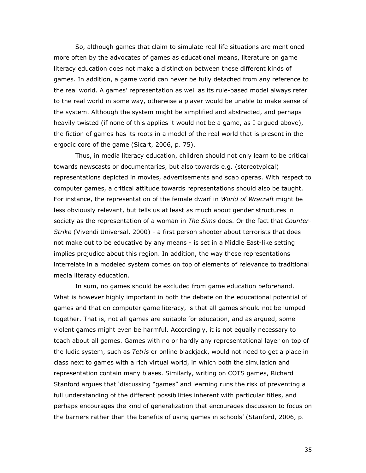So, although games that claim to simulate real life situations are mentioned more often by the advocates of games as educational means, literature on game literacy education does not make a distinction between these different kinds of games. In addition, a game world can never be fully detached from any reference to the real world. A games' representation as well as its rule-based model always refer to the real world in some way, otherwise a player would be unable to make sense of the system. Although the system might be simplified and abstracted, and perhaps heavily twisted (if none of this applies it would not be a game, as I argued above), the fiction of games has its roots in a model of the real world that is present in the ergodic core of the game (Sicart, 2006, p. 75).

Thus, in media literacy education, children should not only learn to be critical towards newscasts or documentaries, but also towards e.g. (stereotypical) representations depicted in movies, advertisements and soap operas. With respect to computer games, a critical attitude towards representations should also be taught. For instance, the representation of the female dwarf in World of Wracraft might be less obviously relevant, but tells us at least as much about gender structures in society as the representation of a woman in The Sims does. Or the fact that Counter-Strike (Vivendi Universal, 2000) - a first person shooter about terrorists that does not make out to be educative by any means - is set in a Middle East-like setting implies prejudice about this region. In addition, the way these representations interrelate in a modeled system comes on top of elements of relevance to traditional media literacy education.

In sum, no games should be excluded from game education beforehand. What is however highly important in both the debate on the educational potential of games and that on computer game literacy, is that all games should not be lumped together. That is, not all games are suitable for education, and as argued, some violent games might even be harmful. Accordingly, it is not equally necessary to teach about all games. Games with no or hardly any representational layer on top of the ludic system, such as Tetris or online blackjack, would not need to get a place in class next to games with a rich virtual world, in which both the simulation and representation contain many biases. Similarly, writing on COTS games, Richard Stanford argues that 'discussing "games" and learning runs the risk of preventing a full understanding of the different possibilities inherent with particular titles, and perhaps encourages the kind of generalization that encourages discussion to focus on the barriers rather than the benefits of using games in schools' (Stanford, 2006, p.

35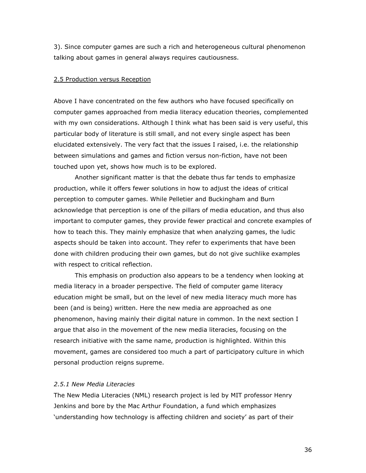3). Since computer games are such a rich and heterogeneous cultural phenomenon talking about games in general always requires cautiousness.

### 2.5 Production versus Reception

Above I have concentrated on the few authors who have focused specifically on computer games approached from media literacy education theories, complemented with my own considerations. Although I think what has been said is very useful, this particular body of literature is still small, and not every single aspect has been elucidated extensively. The very fact that the issues I raised, i.e. the relationship between simulations and games and fiction versus non-fiction, have not been touched upon yet, shows how much is to be explored.

Another significant matter is that the debate thus far tends to emphasize production, while it offers fewer solutions in how to adjust the ideas of critical perception to computer games. While Pelletier and Buckingham and Burn acknowledge that perception is one of the pillars of media education, and thus also important to computer games, they provide fewer practical and concrete examples of how to teach this. They mainly emphasize that when analyzing games, the ludic aspects should be taken into account. They refer to experiments that have been done with children producing their own games, but do not give suchlike examples with respect to critical reflection.

This emphasis on production also appears to be a tendency when looking at media literacy in a broader perspective. The field of computer game literacy education might be small, but on the level of new media literacy much more has been (and is being) written. Here the new media are approached as one phenomenon, having mainly their digital nature in common. In the next section I argue that also in the movement of the new media literacies, focusing on the research initiative with the same name, production is highlighted. Within this movement, games are considered too much a part of participatory culture in which personal production reigns supreme.

# 2.5.1 New Media Literacies

The New Media Literacies (NML) research project is led by MIT professor Henry Jenkins and bore by the Mac Arthur Foundation, a fund which emphasizes 'understanding how technology is affecting children and society' as part of their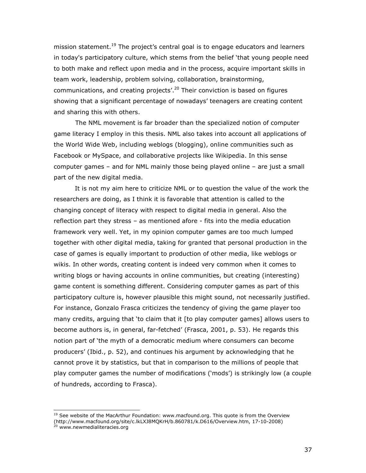mission statement.<sup>19</sup> The project's central goal is to engage educators and learners in today's participatory culture, which stems from the belief 'that young people need to both make and reflect upon media and in the process, acquire important skills in team work, leadership, problem solving, collaboration, brainstorming, communications, and creating projects'.<sup>20</sup> Their conviction is based on figures showing that a significant percentage of nowadays' teenagers are creating content and sharing this with others.

 The NML movement is far broader than the specialized notion of computer game literacy I employ in this thesis. NML also takes into account all applications of the World Wide Web, including weblogs (blogging), online communities such as Facebook or MySpace, and collaborative projects like Wikipedia. In this sense computer games – and for NML mainly those being played online – are just a small part of the new digital media.

It is not my aim here to criticize NML or to question the value of the work the researchers are doing, as I think it is favorable that attention is called to the changing concept of literacy with respect to digital media in general. Also the reflection part they stress – as mentioned afore - fits into the media education framework very well. Yet, in my opinion computer games are too much lumped together with other digital media, taking for granted that personal production in the case of games is equally important to production of other media, like weblogs or wikis. In other words, creating content is indeed very common when it comes to writing blogs or having accounts in online communities, but creating (interesting) game content is something different. Considering computer games as part of this participatory culture is, however plausible this might sound, not necessarily justified. For instance, Gonzalo Frasca criticizes the tendency of giving the game player too many credits, arguing that 'to claim that it [to play computer games] allows users to become authors is, in general, far-fetched' (Frasca, 2001, p. 53). He regards this notion part of 'the myth of a democratic medium where consumers can become producers' (Ibid., p. 52), and continues his argument by acknowledging that he cannot prove it by statistics, but that in comparison to the millions of people that play computer games the number of modifications ('mods') is strikingly low (a couple of hundreds, according to Frasca).

 $19$  See website of the MacArthur Foundation: www.macfound.org. This quote is from the Overview (http://www.macfound.org/site/c.lkLXJ8MQKrH/b.860781/k.D616/Overview.htm, 17-10-2008)<br>20 mag/site/c.lkLXJ8MQKrH/b.860781/k.D616/Overview.htm, 17-10-2008)

www.newmedialiteracies.org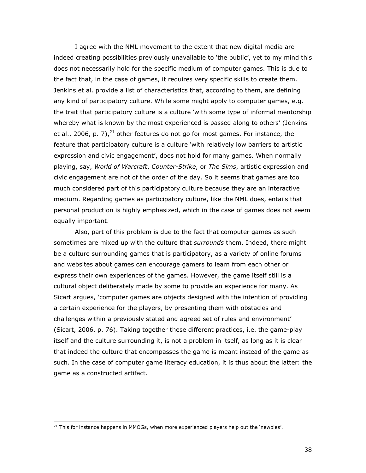I agree with the NML movement to the extent that new digital media are indeed creating possibilities previously unavailable to 'the public', yet to my mind this does not necessarily hold for the specific medium of computer games. This is due to the fact that, in the case of games, it requires very specific skills to create them. Jenkins et al. provide a list of characteristics that, according to them, are defining any kind of participatory culture. While some might apply to computer games, e.g. the trait that participatory culture is a culture 'with some type of informal mentorship whereby what is known by the most experienced is passed along to others' (Jenkins et al., 2006, p. 7), $^{21}$  other features do not go for most games. For instance, the feature that participatory culture is a culture 'with relatively low barriers to artistic expression and civic engagement', does not hold for many games. When normally playing, say, World of Warcraft, Counter-Strike, or The Sims, artistic expression and civic engagement are not of the order of the day. So it seems that games are too much considered part of this participatory culture because they are an interactive medium. Regarding games as participatory culture, like the NML does, entails that personal production is highly emphasized, which in the case of games does not seem equally important.

Also, part of this problem is due to the fact that computer games as such sometimes are mixed up with the culture that surrounds them. Indeed, there might be a culture surrounding games that is participatory, as a variety of online forums and websites about games can encourage gamers to learn from each other or express their own experiences of the games. However, the game itself still is a cultural object deliberately made by some to provide an experience for many. As Sicart argues, 'computer games are objects designed with the intention of providing a certain experience for the players, by presenting them with obstacles and challenges within a previously stated and agreed set of rules and environment' (Sicart, 2006, p. 76). Taking together these different practices, i.e. the game-play itself and the culture surrounding it, is not a problem in itself, as long as it is clear that indeed the culture that encompasses the game is meant instead of the game as such. In the case of computer game literacy education, it is thus about the latter: the game as a constructed artifact.

 $21$  This for instance happens in MMOGs, when more experienced players help out the 'newbies'.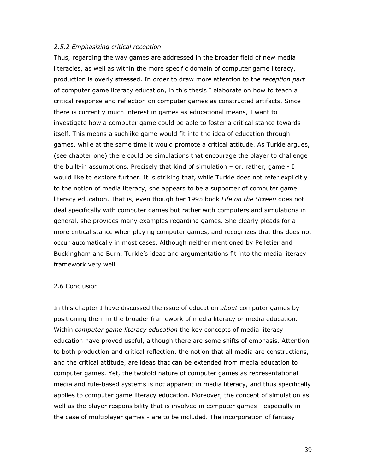# 2.5.2 Emphasizing critical reception

Thus, regarding the way games are addressed in the broader field of new media literacies, as well as within the more specific domain of computer game literacy, production is overly stressed. In order to draw more attention to the *reception part* of computer game literacy education, in this thesis I elaborate on how to teach a critical response and reflection on computer games as constructed artifacts. Since there is currently much interest in games as educational means, I want to investigate how a computer game could be able to foster a critical stance towards itself. This means a suchlike game would fit into the idea of education through games, while at the same time it would promote a critical attitude. As Turkle argues, (see chapter one) there could be simulations that encourage the player to challenge the built-in assumptions. Precisely that kind of simulation – or, rather, game - I would like to explore further. It is striking that, while Turkle does not refer explicitly to the notion of media literacy, she appears to be a supporter of computer game literacy education. That is, even though her 1995 book Life on the Screen does not deal specifically with computer games but rather with computers and simulations in general, she provides many examples regarding games. She clearly pleads for a more critical stance when playing computer games, and recognizes that this does not occur automatically in most cases. Although neither mentioned by Pelletier and Buckingham and Burn, Turkle's ideas and argumentations fit into the media literacy framework very well.

# 2.6 Conclusion

In this chapter I have discussed the issue of education *about* computer games by positioning them in the broader framework of media literacy or media education. Within *computer game literacy education* the key concepts of media literacy education have proved useful, although there are some shifts of emphasis. Attention to both production and critical reflection, the notion that all media are constructions, and the critical attitude, are ideas that can be extended from media education to computer games. Yet, the twofold nature of computer games as representational media and rule-based systems is not apparent in media literacy, and thus specifically applies to computer game literacy education. Moreover, the concept of simulation as well as the player responsibility that is involved in computer games - especially in the case of multiplayer games - are to be included. The incorporation of fantasy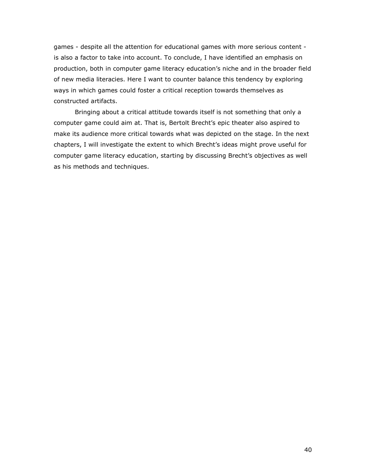games - despite all the attention for educational games with more serious content is also a factor to take into account. To conclude, I have identified an emphasis on production, both in computer game literacy education's niche and in the broader field of new media literacies. Here I want to counter balance this tendency by exploring ways in which games could foster a critical reception towards themselves as constructed artifacts.

Bringing about a critical attitude towards itself is not something that only a computer game could aim at. That is, Bertolt Brecht's epic theater also aspired to make its audience more critical towards what was depicted on the stage. In the next chapters, I will investigate the extent to which Brecht's ideas might prove useful for computer game literacy education, starting by discussing Brecht's objectives as well as his methods and techniques.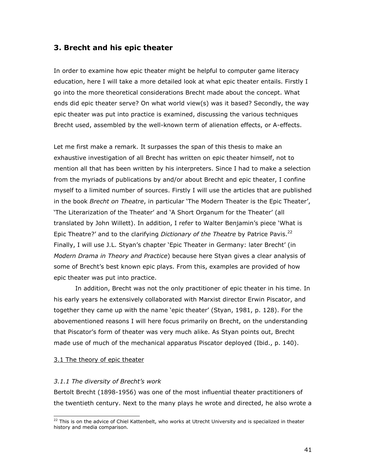# 3. Brecht and his epic theater

In order to examine how epic theater might be helpful to computer game literacy education, here I will take a more detailed look at what epic theater entails. Firstly I go into the more theoretical considerations Brecht made about the concept. What ends did epic theater serve? On what world view(s) was it based? Secondly, the way epic theater was put into practice is examined, discussing the various techniques Brecht used, assembled by the well-known term of alienation effects, or A-effects.

Let me first make a remark. It surpasses the span of this thesis to make an exhaustive investigation of all Brecht has written on epic theater himself, not to mention all that has been written by his interpreters. Since I had to make a selection from the myriads of publications by and/or about Brecht and epic theater, I confine myself to a limited number of sources. Firstly I will use the articles that are published in the book Brecht on Theatre, in particular 'The Modern Theater is the Epic Theater', 'The Literarization of the Theater' and 'A Short Organum for the Theater' (all translated by John Willett). In addition, I refer to Walter Benjamin's piece 'What is Epic Theatre?' and to the clarifying *Dictionary of the Theatre* by Patrice Pavis.<sup>22</sup> Finally, I will use J.L. Styan's chapter 'Epic Theater in Germany: later Brecht' (in Modern Drama in Theory and Practice) because here Styan gives a clear analysis of some of Brecht's best known epic plays. From this, examples are provided of how epic theater was put into practice.

 In addition, Brecht was not the only practitioner of epic theater in his time. In his early years he extensively collaborated with Marxist director Erwin Piscator, and together they came up with the name 'epic theater' (Styan, 1981, p. 128). For the abovementioned reasons I will here focus primarily on Brecht, on the understanding that Piscator's form of theater was very much alike. As Styan points out, Brecht made use of much of the mechanical apparatus Piscator deployed (Ibid., p. 140).

# 3.1 The theory of epic theater

j

# 3.1.1 The diversity of Brecht's work

Bertolt Brecht (1898-1956) was one of the most influential theater practitioners of the twentieth century. Next to the many plays he wrote and directed, he also wrote a

 $22$  This is on the advice of Chiel Kattenbelt, who works at Utrecht University and is specialized in theater history and media comparison.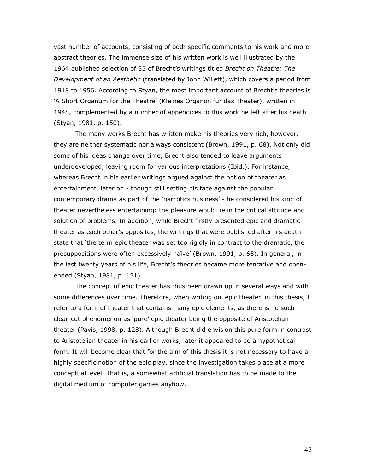vast number of accounts, consisting of both specific comments to his work and more abstract theories. The immense size of his written work is well illustrated by the 1964 published selection of 55 of Brecht's writings titled Brecht on Theatre: The Development of an Aesthetic (translated by John Willett), which covers a period from 1918 to 1956. According to Styan, the most important account of Brecht's theories is 'A Short Organum for the Theatre' (Kleines Organon für das Theater), written in 1948, complemented by a number of appendices to this work he left after his death (Styan, 1981, p. 150).

The many works Brecht has written make his theories very rich, however, they are neither systematic nor always consistent (Brown, 1991, p. 68). Not only did some of his ideas change over time, Brecht also tended to leave arguments underdeveloped, leaving room for various interpretations (Ibid.). For instance, whereas Brecht in his earlier writings argued against the notion of theater as entertainment, later on - though still setting his face against the popular contemporary drama as part of the 'narcotics business' - he considered his kind of theater nevertheless entertaining: the pleasure would lie in the critical attitude and solution of problems. In addition, while Brecht firstly presented epic and dramatic theater as each other's opposites, the writings that were published after his death state that 'the term epic theater was set too rigidly in contract to the dramatic, the presuppositions were often excessively naïve' (Brown, 1991, p. 68). In general, in the last twenty years of his life, Brecht's theories became more tentative and openended (Styan, 1981, p. 151).

The concept of epic theater has thus been drawn up in several ways and with some differences over time. Therefore, when writing on 'epic theater' in this thesis, I refer to a form of theater that contains many epic elements, as there is no such clear-cut phenomenon as 'pure' epic theater being the opposite of Aristotelian theater (Pavis, 1998, p. 128). Although Brecht did envision this pure form in contrast to Aristotelian theater in his earlier works, later it appeared to be a hypothetical form. It will become clear that for the aim of this thesis it is not necessary to have a highly specific notion of the epic play, since the investigation takes place at a more conceptual level. That is, a somewhat artificial translation has to be made to the digital medium of computer games anyhow.

42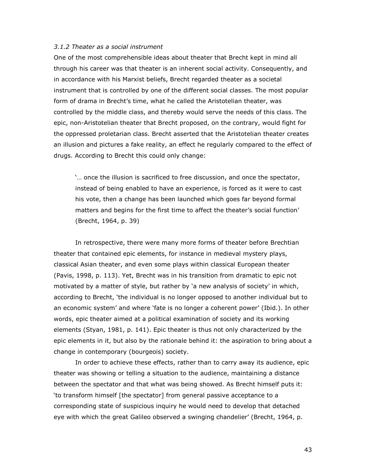# 3.1.2 Theater as a social instrument

One of the most comprehensible ideas about theater that Brecht kept in mind all through his career was that theater is an inherent social activity. Consequently, and in accordance with his Marxist beliefs, Brecht regarded theater as a societal instrument that is controlled by one of the different social classes. The most popular form of drama in Brecht's time, what he called the Aristotelian theater, was controlled by the middle class, and thereby would serve the needs of this class. The epic, non-Aristotelian theater that Brecht proposed, on the contrary, would fight for the oppressed proletarian class. Brecht asserted that the Aristotelian theater creates an illusion and pictures a fake reality, an effect he regularly compared to the effect of drugs. According to Brecht this could only change:

'… once the illusion is sacrificed to free discussion, and once the spectator, instead of being enabled to have an experience, is forced as it were to cast his vote, then a change has been launched which goes far beyond formal matters and begins for the first time to affect the theater's social function' (Brecht, 1964, p. 39)

In retrospective, there were many more forms of theater before Brechtian theater that contained epic elements, for instance in medieval mystery plays, classical Asian theater, and even some plays within classical European theater (Pavis, 1998, p. 113). Yet, Brecht was in his transition from dramatic to epic not motivated by a matter of style, but rather by 'a new analysis of society' in which, according to Brecht, 'the individual is no longer opposed to another individual but to an economic system' and where 'fate is no longer a coherent power' (Ibid.). In other words, epic theater aimed at a political examination of society and its working elements (Styan, 1981, p. 141). Epic theater is thus not only characterized by the epic elements in it, but also by the rationale behind it: the aspiration to bring about a change in contemporary (bourgeois) society.

In order to achieve these effects, rather than to carry away its audience, epic theater was showing or telling a situation to the audience, maintaining a distance between the spectator and that what was being showed. As Brecht himself puts it: 'to transform himself [the spectator] from general passive acceptance to a corresponding state of suspicious inquiry he would need to develop that detached eye with which the great Galileo observed a swinging chandelier' (Brecht, 1964, p.

43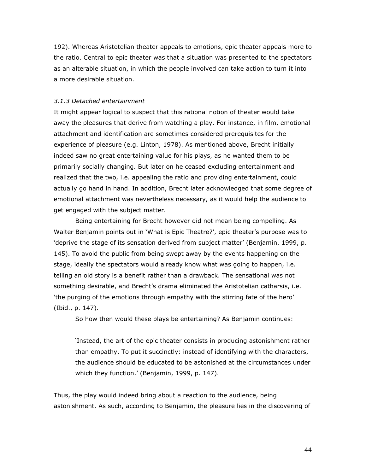192). Whereas Aristotelian theater appeals to emotions, epic theater appeals more to the ratio. Central to epic theater was that a situation was presented to the spectators as an alterable situation, in which the people involved can take action to turn it into a more desirable situation.

## 3.1.3 Detached entertainment

It might appear logical to suspect that this rational notion of theater would take away the pleasures that derive from watching a play. For instance, in film, emotional attachment and identification are sometimes considered prerequisites for the experience of pleasure (e.g. Linton, 1978). As mentioned above, Brecht initially indeed saw no great entertaining value for his plays, as he wanted them to be primarily socially changing. But later on he ceased excluding entertainment and realized that the two, i.e. appealing the ratio and providing entertainment, could actually go hand in hand. In addition, Brecht later acknowledged that some degree of emotional attachment was nevertheless necessary, as it would help the audience to get engaged with the subject matter.

Being entertaining for Brecht however did not mean being compelling. As Walter Benjamin points out in 'What is Epic Theatre?', epic theater's purpose was to 'deprive the stage of its sensation derived from subject matter' (Benjamin, 1999, p. 145). To avoid the public from being swept away by the events happening on the stage, ideally the spectators would already know what was going to happen, i.e. telling an old story is a benefit rather than a drawback. The sensational was not something desirable, and Brecht's drama eliminated the Aristotelian catharsis, i.e. 'the purging of the emotions through empathy with the stirring fate of the hero' (Ibid., p. 147).

So how then would these plays be entertaining? As Benjamin continues:

'Instead, the art of the epic theater consists in producing astonishment rather than empathy. To put it succinctly: instead of identifying with the characters, the audience should be educated to be astonished at the circumstances under which they function.' (Benjamin, 1999, p. 147).

Thus, the play would indeed bring about a reaction to the audience, being astonishment. As such, according to Benjamin, the pleasure lies in the discovering of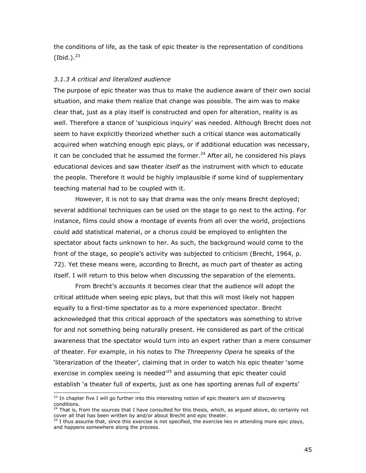the conditions of life, as the task of epic theater is the representation of conditions (Ibid.). $^{23}$ 

# 3.1.3 A critical and literalized audience

The purpose of epic theater was thus to make the audience aware of their own social situation, and make them realize that change was possible. The aim was to make clear that, just as a play itself is constructed and open for alteration, reality is as well. Therefore a stance of 'suspicious inquiry' was needed. Although Brecht does not seem to have explicitly theorized whether such a critical stance was automatically acquired when watching enough epic plays, or if additional education was necessary, it can be concluded that he assumed the former. $^{24}$  After all, he considered his plays educational devices and saw theater *itself* as the instrument with which to educate the people. Therefore it would be highly implausible if some kind of supplementary teaching material had to be coupled with it.

However, it is not to say that drama was the only means Brecht deployed; several additional techniques can be used on the stage to go next to the acting. For instance, films could show a montage of events from all over the world, projections could add statistical material, or a chorus could be employed to enlighten the spectator about facts unknown to her. As such, the background would come to the front of the stage, so people's activity was subjected to criticism (Brecht, 1964, p. 72). Yet these means were, according to Brecht, as much part of theater as acting itself. I will return to this below when discussing the separation of the elements.

From Brecht's accounts it becomes clear that the audience will adopt the critical attitude when seeing epic plays, but that this will most likely not happen equally to a first-time spectator as to a more experienced spectator. Brecht acknowledged that this critical approach of the spectators was something to strive for and not something being naturally present. He considered as part of the critical awareness that the spectator would turn into an expert rather than a mere consumer of theater. For example, in his notes to The Threepenny Opera he speaks of the 'literarization of the theater', claiming that in order to watch his epic theater 'some exercise in complex seeing is needed $^{25}$  and assuming that epic theater could establish 'a theater full of experts, just as one has sporting arenas full of experts'

 $^{23}$  In chapter five I will go further into this interesting notion of epic theater's aim of discovering conditions.

 $4$  That is, from the sources that I have consulted for this thesis, which, as argued above, do certainly not cover all that has been written by and/or about Brecht and epic theater.

 $25$  I thus assume that, since this exercise is not specified, the exercise lies in attending more epic plays, and happens somewhere along the process.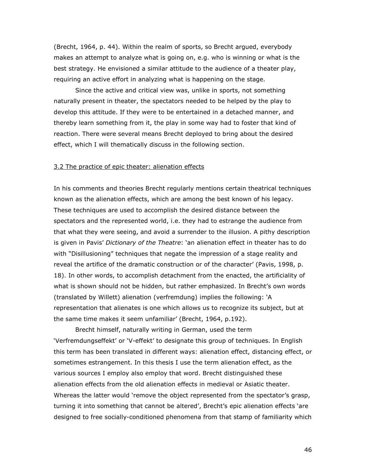(Brecht, 1964, p. 44). Within the realm of sports, so Brecht argued, everybody makes an attempt to analyze what is going on, e.g. who is winning or what is the best strategy. He envisioned a similar attitude to the audience of a theater play, requiring an active effort in analyzing what is happening on the stage.

Since the active and critical view was, unlike in sports, not something naturally present in theater, the spectators needed to be helped by the play to develop this attitude. If they were to be entertained in a detached manner, and thereby learn something from it, the play in some way had to foster that kind of reaction. There were several means Brecht deployed to bring about the desired effect, which I will thematically discuss in the following section.

# 3.2 The practice of epic theater: alienation effects

In his comments and theories Brecht regularly mentions certain theatrical techniques known as the alienation effects, which are among the best known of his legacy. These techniques are used to accomplish the desired distance between the spectators and the represented world, i.e. they had to estrange the audience from that what they were seeing, and avoid a surrender to the illusion. A pithy description is given in Pavis' Dictionary of the Theatre: 'an alienation effect in theater has to do with "Disillusioning" techniques that negate the impression of a stage reality and reveal the artifice of the dramatic construction or of the character' (Pavis, 1998, p. 18). In other words, to accomplish detachment from the enacted, the artificiality of what is shown should not be hidden, but rather emphasized. In Brecht's own words (translated by Willett) alienation (verfremdung) implies the following: 'A representation that alienates is one which allows us to recognize its subject, but at the same time makes it seem unfamiliar' (Brecht, 1964, p.192).

Brecht himself, naturally writing in German, used the term 'Verfremdungseffekt' or 'V-effekt' to designate this group of techniques. In English this term has been translated in different ways: alienation effect, distancing effect, or sometimes estrangement. In this thesis I use the term alienation effect, as the various sources I employ also employ that word. Brecht distinguished these alienation effects from the old alienation effects in medieval or Asiatic theater. Whereas the latter would 'remove the object represented from the spectator's grasp, turning it into something that cannot be altered', Brecht's epic alienation effects 'are designed to free socially-conditioned phenomena from that stamp of familiarity which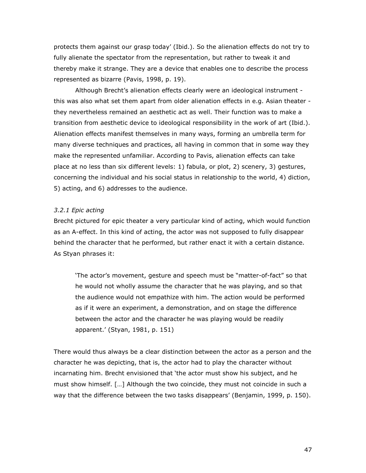protects them against our grasp today' (Ibid.). So the alienation effects do not try to fully alienate the spectator from the representation, but rather to tweak it and thereby make it strange. They are a device that enables one to describe the process represented as bizarre (Pavis, 1998, p. 19).

Although Brecht's alienation effects clearly were an ideological instrument this was also what set them apart from older alienation effects in e.g. Asian theater they nevertheless remained an aesthetic act as well. Their function was to make a transition from aesthetic device to ideological responsibility in the work of art (Ibid.). Alienation effects manifest themselves in many ways, forming an umbrella term for many diverse techniques and practices, all having in common that in some way they make the represented unfamiliar. According to Pavis, alienation effects can take place at no less than six different levels: 1) fabula, or plot, 2) scenery, 3) gestures, concerning the individual and his social status in relationship to the world, 4) diction, 5) acting, and 6) addresses to the audience.

# 3.2.1 Epic acting

Brecht pictured for epic theater a very particular kind of acting, which would function as an A-effect. In this kind of acting, the actor was not supposed to fully disappear behind the character that he performed, but rather enact it with a certain distance. As Styan phrases it:

'The actor's movement, gesture and speech must be "matter-of-fact" so that he would not wholly assume the character that he was playing, and so that the audience would not empathize with him. The action would be performed as if it were an experiment, a demonstration, and on stage the difference between the actor and the character he was playing would be readily apparent.' (Styan, 1981, p. 151)

There would thus always be a clear distinction between the actor as a person and the character he was depicting, that is, the actor had to play the character without incarnating him. Brecht envisioned that 'the actor must show his subject, and he must show himself. […] Although the two coincide, they must not coincide in such a way that the difference between the two tasks disappears' (Benjamin, 1999, p. 150).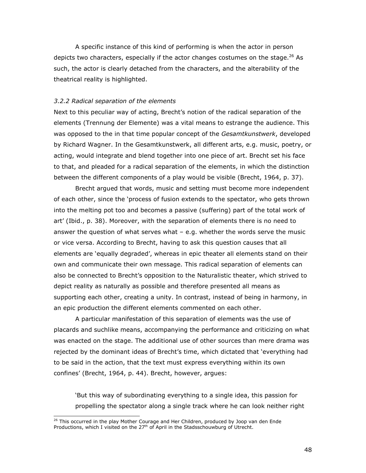A specific instance of this kind of performing is when the actor in person depicts two characters, especially if the actor changes costumes on the stage. $^{26}$  As such, the actor is clearly detached from the characters, and the alterability of the theatrical reality is highlighted.

### 3.2.2 Radical separation of the elements

Next to this peculiar way of acting, Brecht's notion of the radical separation of the elements (Trennung der Elemente) was a vital means to estrange the audience. This was opposed to the in that time popular concept of the Gesamtkunstwerk, developed by Richard Wagner. In the Gesamtkunstwerk, all different arts, e.g. music, poetry, or acting, would integrate and blend together into one piece of art. Brecht set his face to that, and pleaded for a radical separation of the elements, in which the distinction between the different components of a play would be visible (Brecht, 1964, p. 37).

Brecht argued that words, music and setting must become more independent of each other, since the 'process of fusion extends to the spectator, who gets thrown into the melting pot too and becomes a passive (suffering) part of the total work of art' (Ibid., p. 38). Moreover, with the separation of elements there is no need to answer the question of what serves what – e.g. whether the words serve the music or vice versa. According to Brecht, having to ask this question causes that all elements are 'equally degraded', whereas in epic theater all elements stand on their own and communicate their own message. This radical separation of elements can also be connected to Brecht's opposition to the Naturalistic theater, which strived to depict reality as naturally as possible and therefore presented all means as supporting each other, creating a unity. In contrast, instead of being in harmony, in an epic production the different elements commented on each other.

 A particular manifestation of this separation of elements was the use of placards and suchlike means, accompanying the performance and criticizing on what was enacted on the stage. The additional use of other sources than mere drama was rejected by the dominant ideas of Brecht's time, which dictated that 'everything had to be said in the action, that the text must express everything within its own confines' (Brecht, 1964, p. 44). Brecht, however, argues:

'But this way of subordinating everything to a single idea, this passion for propelling the spectator along a single track where he can look neither right

<sup>&</sup>lt;sup>26</sup> This occurred in the play Mother Courage and Her Children, produced by Joop van den Ende Productions, which I visited on the  $27<sup>th</sup>$  of April in the Stadsschouwburg of Utrecht.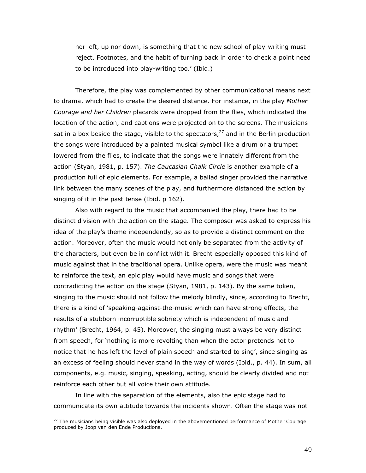nor left, up nor down, is something that the new school of play-writing must reject. Footnotes, and the habit of turning back in order to check a point need to be introduced into play-writing too.' (Ibid.)

Therefore, the play was complemented by other communicational means next to drama, which had to create the desired distance. For instance, in the play Mother Courage and her Children placards were dropped from the flies, which indicated the location of the action, and captions were projected on to the screens. The musicians sat in a box beside the stage, visible to the spectators,  $27$  and in the Berlin production the songs were introduced by a painted musical symbol like a drum or a trumpet lowered from the flies, to indicate that the songs were innately different from the action (Styan, 1981, p. 157). The Caucasian Chalk Circle is another example of a production full of epic elements. For example, a ballad singer provided the narrative link between the many scenes of the play, and furthermore distanced the action by singing of it in the past tense (Ibid. p 162).

 Also with regard to the music that accompanied the play, there had to be distinct division with the action on the stage. The composer was asked to express his idea of the play's theme independently, so as to provide a distinct comment on the action. Moreover, often the music would not only be separated from the activity of the characters, but even be in conflict with it. Brecht especially opposed this kind of music against that in the traditional opera. Unlike opera, were the music was meant to reinforce the text, an epic play would have music and songs that were contradicting the action on the stage (Styan, 1981, p. 143). By the same token, singing to the music should not follow the melody blindly, since, according to Brecht, there is a kind of 'speaking-against-the-music which can have strong effects, the results of a stubborn incorruptible sobriety which is independent of music and rhythm' (Brecht, 1964, p. 45). Moreover, the singing must always be very distinct from speech, for 'nothing is more revolting than when the actor pretends not to notice that he has left the level of plain speech and started to sing', since singing as an excess of feeling should never stand in the way of words (Ibid., p. 44). In sum, all components, e.g. music, singing, speaking, acting, should be clearly divided and not reinforce each other but all voice their own attitude.

In line with the separation of the elements, also the epic stage had to communicate its own attitude towards the incidents shown. Often the stage was not

 $27$  The musicians being visible was also deployed in the abovementioned performance of Mother Courage produced by Joop van den Ende Productions.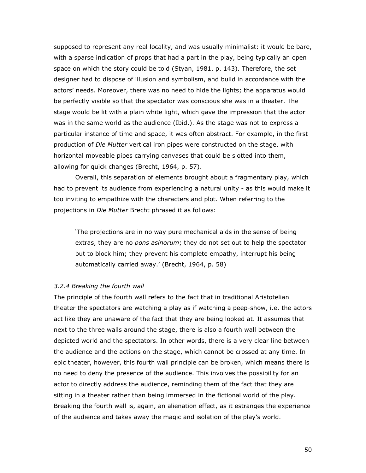supposed to represent any real locality, and was usually minimalist: it would be bare, with a sparse indication of props that had a part in the play, being typically an open space on which the story could be told (Styan, 1981, p. 143). Therefore, the set designer had to dispose of illusion and symbolism, and build in accordance with the actors' needs. Moreover, there was no need to hide the lights; the apparatus would be perfectly visible so that the spectator was conscious she was in a theater. The stage would be lit with a plain white light, which gave the impression that the actor was in the same world as the audience (Ibid.). As the stage was not to express a particular instance of time and space, it was often abstract. For example, in the first production of Die Mutter vertical iron pipes were constructed on the stage, with horizontal moveable pipes carrying canvases that could be slotted into them, allowing for quick changes (Brecht, 1964, p. 57).

Overall, this separation of elements brought about a fragmentary play, which had to prevent its audience from experiencing a natural unity - as this would make it too inviting to empathize with the characters and plot. When referring to the projections in Die Mutter Brecht phrased it as follows:

'The projections are in no way pure mechanical aids in the sense of being extras, they are no *pons asinorum*; they do not set out to help the spectator but to block him; they prevent his complete empathy, interrupt his being automatically carried away.' (Brecht, 1964, p. 58)

# 3.2.4 Breaking the fourth wall

The principle of the fourth wall refers to the fact that in traditional Aristotelian theater the spectators are watching a play as if watching a peep-show, i.e. the actors act like they are unaware of the fact that they are being looked at. It assumes that next to the three walls around the stage, there is also a fourth wall between the depicted world and the spectators. In other words, there is a very clear line between the audience and the actions on the stage, which cannot be crossed at any time. In epic theater, however, this fourth wall principle can be broken, which means there is no need to deny the presence of the audience. This involves the possibility for an actor to directly address the audience, reminding them of the fact that they are sitting in a theater rather than being immersed in the fictional world of the play. Breaking the fourth wall is, again, an alienation effect, as it estranges the experience of the audience and takes away the magic and isolation of the play's world.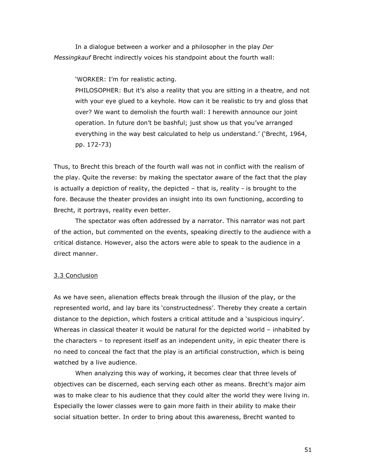In a dialogue between a worker and a philosopher in the play Der Messingkauf Brecht indirectly voices his standpoint about the fourth wall:

'WORKER: I'm for realistic acting.

PHILOSOPHER: But it's also a reality that you are sitting in a theatre, and not with your eye glued to a keyhole. How can it be realistic to try and gloss that over? We want to demolish the fourth wall: I herewith announce our joint operation. In future don't be bashful; just show us that you've arranged everything in the way best calculated to help us understand.' ('Brecht, 1964, pp. 172-73)

Thus, to Brecht this breach of the fourth wall was not in conflict with the realism of the play. Quite the reverse: by making the spectator aware of the fact that the play is actually a depiction of reality, the depicted – that is, reality - is brought to the fore. Because the theater provides an insight into its own functioning, according to Brecht, it portrays, reality even better.

The spectator was often addressed by a narrator. This narrator was not part of the action, but commented on the events, speaking directly to the audience with a critical distance. However, also the actors were able to speak to the audience in a direct manner.

#### 3.3 Conclusion

As we have seen, alienation effects break through the illusion of the play, or the represented world, and lay bare its 'constructedness'. Thereby they create a certain distance to the depiction, which fosters a critical attitude and a 'suspicious inquiry'. Whereas in classical theater it would be natural for the depicted world – inhabited by the characters – to represent itself as an independent unity, in epic theater there is no need to conceal the fact that the play is an artificial construction, which is being watched by a live audience.

 When analyzing this way of working, it becomes clear that three levels of objectives can be discerned, each serving each other as means. Brecht's major aim was to make clear to his audience that they could alter the world they were living in. Especially the lower classes were to gain more faith in their ability to make their social situation better. In order to bring about this awareness, Brecht wanted to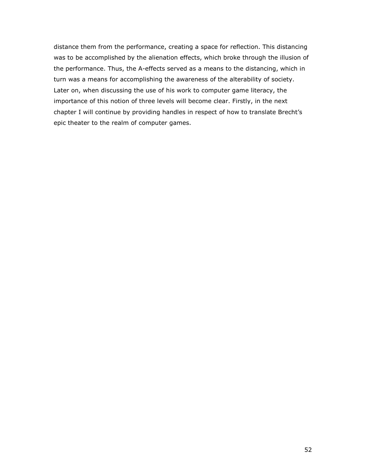distance them from the performance, creating a space for reflection. This distancing was to be accomplished by the alienation effects, which broke through the illusion of the performance. Thus, the A-effects served as a means to the distancing, which in turn was a means for accomplishing the awareness of the alterability of society. Later on, when discussing the use of his work to computer game literacy, the importance of this notion of three levels will become clear. Firstly, in the next chapter I will continue by providing handles in respect of how to translate Brecht's epic theater to the realm of computer games.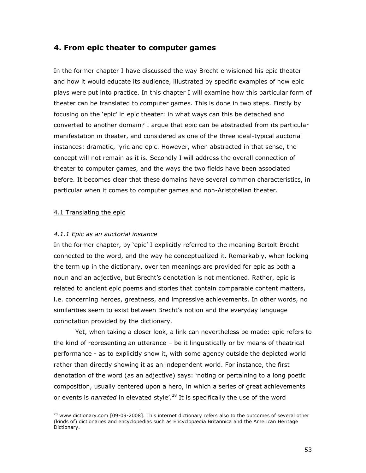# 4. From epic theater to computer games

In the former chapter I have discussed the way Brecht envisioned his epic theater and how it would educate its audience, illustrated by specific examples of how epic plays were put into practice. In this chapter I will examine how this particular form of theater can be translated to computer games. This is done in two steps. Firstly by focusing on the 'epic' in epic theater: in what ways can this be detached and converted to another domain? I argue that epic can be abstracted from its particular manifestation in theater, and considered as one of the three ideal-typical auctorial instances: dramatic, lyric and epic. However, when abstracted in that sense, the concept will not remain as it is. Secondly I will address the overall connection of theater to computer games, and the ways the two fields have been associated before. It becomes clear that these domains have several common characteristics, in particular when it comes to computer games and non-Aristotelian theater.

# 4.1 Translating the epic

j

# 4.1.1 Epic as an auctorial instance

In the former chapter, by 'epic' I explicitly referred to the meaning Bertolt Brecht connected to the word, and the way he conceptualized it. Remarkably, when looking the term up in the dictionary, over ten meanings are provided for epic as both a noun and an adjective, but Brecht's denotation is not mentioned. Rather, epic is related to ancient epic poems and stories that contain comparable content matters, i.e. concerning heroes, greatness, and impressive achievements. In other words, no similarities seem to exist between Brecht's notion and the everyday language connotation provided by the dictionary.

Yet, when taking a closer look, a link can nevertheless be made: epic refers to the kind of representing an utterance – be it linguistically or by means of theatrical performance - as to explicitly show it, with some agency outside the depicted world rather than directly showing it as an independent world. For instance, the first denotation of the word (as an adjective) says: 'noting or pertaining to a long poetic composition, usually centered upon a hero, in which a series of great achievements or events is narrated in elevated style'.<sup>28</sup> It is specifically the use of the word

 $^{28}$  www.dictionary.com [09-09-2008]. This internet dictionary refers also to the outcomes of several other (kinds of) dictionaries and encyclopedias such as Encyclopædia Britannica and the American Heritage Dictionary.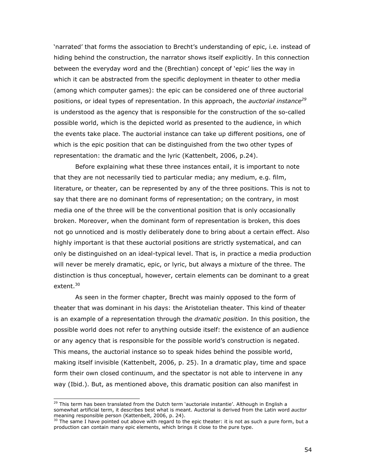'narrated' that forms the association to Brecht's understanding of epic, i.e. instead of hiding behind the construction, the narrator shows itself explicitly. In this connection between the everyday word and the (Brechtian) concept of 'epic' lies the way in which it can be abstracted from the specific deployment in theater to other media (among which computer games): the epic can be considered one of three auctorial positions, or ideal types of representation. In this approach, the *auctorial instance*<sup>29</sup> is understood as the agency that is responsible for the construction of the so-called possible world, which is the depicted world as presented to the audience, in which the events take place. The auctorial instance can take up different positions, one of which is the epic position that can be distinguished from the two other types of representation: the dramatic and the lyric (Kattenbelt, 2006, p.24).

Before explaining what these three instances entail, it is important to note that they are not necessarily tied to particular media; any medium, e.g. film, literature, or theater, can be represented by any of the three positions. This is not to say that there are no dominant forms of representation; on the contrary, in most media one of the three will be the conventional position that is only occasionally broken. Moreover, when the dominant form of representation is broken, this does not go unnoticed and is mostly deliberately done to bring about a certain effect. Also highly important is that these auctorial positions are strictly systematical, and can only be distinguished on an ideal-typical level. That is, in practice a media production will never be merely dramatic, epic, or lyric, but always a mixture of the three. The distinction is thus conceptual, however, certain elements can be dominant to a great extent.<sup>30</sup>

As seen in the former chapter, Brecht was mainly opposed to the form of theater that was dominant in his days: the Aristotelian theater. This kind of theater is an example of a representation through the *dramatic position*. In this position, the possible world does not refer to anything outside itself: the existence of an audience or any agency that is responsible for the possible world's construction is negated. This means, the auctorial instance so to speak hides behind the possible world, making itself invisible (Kattenbelt, 2006, p. 25). In a dramatic play, time and space form their own closed continuum, and the spectator is not able to intervene in any way (Ibid.). But, as mentioned above, this dramatic position can also manifest in

<sup>&</sup>lt;sup>29</sup> This term has been translated from the Dutch term 'auctoriale instantie'. Although in English a somewhat artificial term, it describes best what is meant. Auctorial is derived from the Latin word auctor meaning responsible person (Kattenbelt, 2006, p. 24).

 $30$  The same I have pointed out above with regard to the epic theater: it is not as such a pure form, but a production can contain many epic elements, which brings it close to the pure type.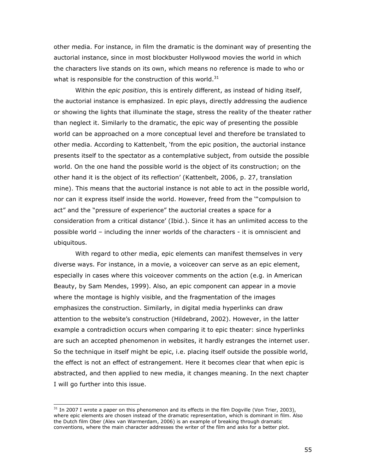other media. For instance, in film the dramatic is the dominant way of presenting the auctorial instance, since in most blockbuster Hollywood movies the world in which the characters live stands on its own, which means no reference is made to who or what is responsible for the construction of this world.<sup>31</sup>

Within the *epic position*, this is entirely different, as instead of hiding itself, the auctorial instance is emphasized. In epic plays, directly addressing the audience or showing the lights that illuminate the stage, stress the reality of the theater rather than neglect it. Similarly to the dramatic, the epic way of presenting the possible world can be approached on a more conceptual level and therefore be translated to other media. According to Kattenbelt, 'from the epic position, the auctorial instance presents itself to the spectator as a contemplative subject, from outside the possible world. On the one hand the possible world is the object of its construction; on the other hand it is the object of its reflection' (Kattenbelt, 2006, p. 27, translation mine). This means that the auctorial instance is not able to act in the possible world, nor can it express itself inside the world. However, freed from the '"compulsion to act" and the "pressure of experience" the auctorial creates a space for a consideration from a critical distance' (Ibid.). Since it has an unlimited access to the possible world – including the inner worlds of the characters - it is omniscient and ubiquitous.

With regard to other media, epic elements can manifest themselves in very diverse ways. For instance, in a movie, a voiceover can serve as an epic element, especially in cases where this voiceover comments on the action (e.g. in American Beauty, by Sam Mendes, 1999). Also, an epic component can appear in a movie where the montage is highly visible, and the fragmentation of the images emphasizes the construction. Similarly, in digital media hyperlinks can draw attention to the website's construction (Hildebrand, 2002). However, in the latter example a contradiction occurs when comparing it to epic theater: since hyperlinks are such an accepted phenomenon in websites, it hardly estranges the internet user. So the technique in itself might be epic, i.e. placing itself outside the possible world, the effect is not an effect of estrangement. Here it becomes clear that when epic is abstracted, and then applied to new media, it changes meaning. In the next chapter I will go further into this issue.

 $31$  In 2007 I wrote a paper on this phenomenon and its effects in the film Dogville (Von Trier, 2003), where epic elements are chosen instead of the dramatic representation, which is dominant in film. Also the Dutch film Ober (Alex van Warmerdam, 2006) is an example of breaking through dramatic conventions, where the main character addresses the writer of the film and asks for a better plot.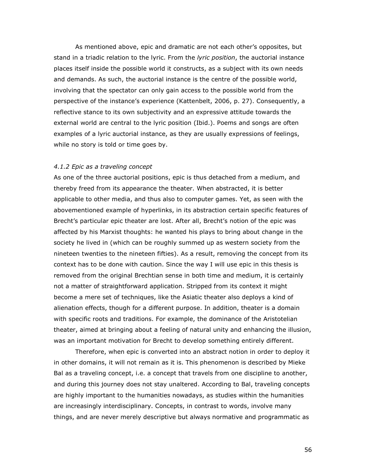As mentioned above, epic and dramatic are not each other's opposites, but stand in a triadic relation to the lyric. From the *lyric position*, the auctorial instance places itself inside the possible world it constructs, as a subject with its own needs and demands. As such, the auctorial instance is the centre of the possible world, involving that the spectator can only gain access to the possible world from the perspective of the instance's experience (Kattenbelt, 2006, p. 27). Consequently, a reflective stance to its own subjectivity and an expressive attitude towards the external world are central to the lyric position (Ibid.). Poems and songs are often examples of a lyric auctorial instance, as they are usually expressions of feelings, while no story is told or time goes by.

#### 4.1.2 Epic as a traveling concept

As one of the three auctorial positions, epic is thus detached from a medium, and thereby freed from its appearance the theater. When abstracted, it is better applicable to other media, and thus also to computer games. Yet, as seen with the abovementioned example of hyperlinks, in its abstraction certain specific features of Brecht's particular epic theater are lost. After all, Brecht's notion of the epic was affected by his Marxist thoughts: he wanted his plays to bring about change in the society he lived in (which can be roughly summed up as western society from the nineteen twenties to the nineteen fifties). As a result, removing the concept from its context has to be done with caution. Since the way I will use epic in this thesis is removed from the original Brechtian sense in both time and medium, it is certainly not a matter of straightforward application. Stripped from its context it might become a mere set of techniques, like the Asiatic theater also deploys a kind of alienation effects, though for a different purpose. In addition, theater is a domain with specific roots and traditions. For example, the dominance of the Aristotelian theater, aimed at bringing about a feeling of natural unity and enhancing the illusion, was an important motivation for Brecht to develop something entirely different.

Therefore, when epic is converted into an abstract notion in order to deploy it in other domains, it will not remain as it is. This phenomenon is described by Mieke Bal as a traveling concept, i.e. a concept that travels from one discipline to another, and during this journey does not stay unaltered. According to Bal, traveling concepts are highly important to the humanities nowadays, as studies within the humanities are increasingly interdisciplinary. Concepts, in contrast to words, involve many things, and are never merely descriptive but always normative and programmatic as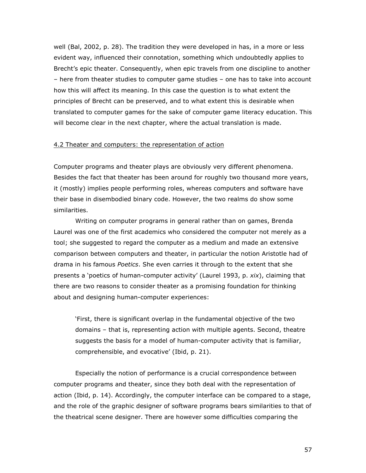well (Bal, 2002, p. 28). The tradition they were developed in has, in a more or less evident way, influenced their connotation, something which undoubtedly applies to Brecht's epic theater. Consequently, when epic travels from one discipline to another – here from theater studies to computer game studies – one has to take into account how this will affect its meaning. In this case the question is to what extent the principles of Brecht can be preserved, and to what extent this is desirable when translated to computer games for the sake of computer game literacy education. This will become clear in the next chapter, where the actual translation is made.

# 4.2 Theater and computers: the representation of action

Computer programs and theater plays are obviously very different phenomena. Besides the fact that theater has been around for roughly two thousand more years, it (mostly) implies people performing roles, whereas computers and software have their base in disembodied binary code. However, the two realms do show some similarities.

Writing on computer programs in general rather than on games, Brenda Laurel was one of the first academics who considered the computer not merely as a tool; she suggested to regard the computer as a medium and made an extensive comparison between computers and theater, in particular the notion Aristotle had of drama in his famous Poetics. She even carries it through to the extent that she presents a 'poetics of human-computer activity' (Laurel 1993, p. xix), claiming that there are two reasons to consider theater as a promising foundation for thinking about and designing human-computer experiences:

'First, there is significant overlap in the fundamental objective of the two domains – that is, representing action with multiple agents. Second, theatre suggests the basis for a model of human-computer activity that is familiar, comprehensible, and evocative' (Ibid, p. 21).

Especially the notion of performance is a crucial correspondence between computer programs and theater, since they both deal with the representation of action (Ibid, p. 14). Accordingly, the computer interface can be compared to a stage, and the role of the graphic designer of software programs bears similarities to that of the theatrical scene designer. There are however some difficulties comparing the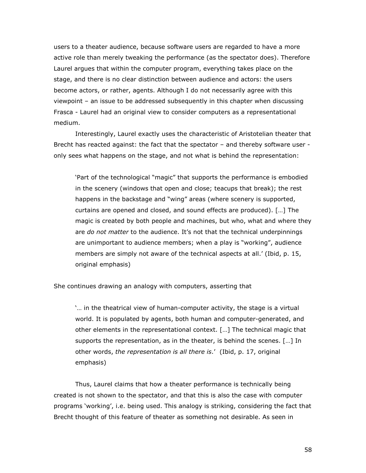users to a theater audience, because software users are regarded to have a more active role than merely tweaking the performance (as the spectator does). Therefore Laurel argues that within the computer program, everything takes place on the stage, and there is no clear distinction between audience and actors: the users become actors, or rather, agents. Although I do not necessarily agree with this viewpoint – an issue to be addressed subsequently in this chapter when discussing Frasca - Laurel had an original view to consider computers as a representational medium.

Interestingly, Laurel exactly uses the characteristic of Aristotelian theater that Brecht has reacted against: the fact that the spectator – and thereby software user only sees what happens on the stage, and not what is behind the representation:

'Part of the technological "magic" that supports the performance is embodied in the scenery (windows that open and close; teacups that break); the rest happens in the backstage and "wing" areas (where scenery is supported, curtains are opened and closed, and sound effects are produced). […] The magic is created by both people and machines, but who, what and where they are do not matter to the audience. It's not that the technical underpinnings are unimportant to audience members; when a play is "working", audience members are simply not aware of the technical aspects at all.' (Ibid, p. 15, original emphasis)

She continues drawing an analogy with computers, asserting that

'… in the theatrical view of human-computer activity, the stage is a virtual world. It is populated by agents, both human and computer-generated, and other elements in the representational context. […] The technical magic that supports the representation, as in the theater, is behind the scenes. […] In other words, the representation is all there is.' (Ibid, p. 17, original emphasis)

Thus, Laurel claims that how a theater performance is technically being created is not shown to the spectator, and that this is also the case with computer programs 'working', i.e. being used. This analogy is striking, considering the fact that Brecht thought of this feature of theater as something not desirable. As seen in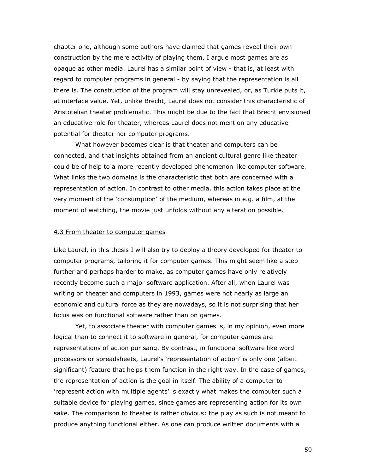chapter one, although some authors have claimed that games reveal their own construction by the mere activity of playing them, I argue most games are as opaque as other media. Laurel has a similar point of view - that is, at least with regard to computer programs in general - by saying that the representation is all there is. The construction of the program will stay unrevealed, or, as Turkle puts it, at interface value. Yet, unlike Brecht, Laurel does not consider this characteristic of Aristotelian theater problematic. This might be due to the fact that Brecht envisioned an educative role for theater, whereas Laurel does not mention any educative potential for theater nor computer programs.

What however becomes clear is that theater and computers can be connected, and that insights obtained from an ancient cultural genre like theater could be of help to a more recently developed phenomenon like computer software. What links the two domains is the characteristic that both are concerned with a representation of action. In contrast to other media, this action takes place at the very moment of the 'consumption' of the medium, whereas in e.g. a film, at the moment of watching, the movie just unfolds without any alteration possible.

#### 4.3 From theater to computer games

Like Laurel, in this thesis I will also try to deploy a theory developed for theater to computer programs, tailoring it for computer games. This might seem like a step further and perhaps harder to make, as computer games have only relatively recently become such a major software application. After all, when Laurel was writing on theater and computers in 1993, games were not nearly as large an economic and cultural force as they are nowadays, so it is not surprising that her focus was on functional software rather than on games.

Yet, to associate theater with computer games is, in my opinion, even more logical than to connect it to software in general, for computer games are representations of action pur sang. By contrast, in functional software like word processors or spreadsheets, Laurel's 'representation of action' is only one (albeit significant) feature that helps them function in the right way. In the case of games, the representation of action is the goal in itself. The ability of a computer to 'represent action with multiple agents' is exactly what makes the computer such a suitable device for playing games, since games are representing action for its own sake. The comparison to theater is rather obvious: the play as such is not meant to produce anything functional either. As one can produce written documents with a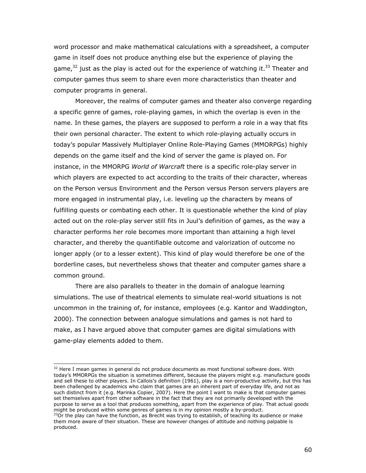word processor and make mathematical calculations with a spreadsheet, a computer game in itself does not produce anything else but the experience of playing the game,  $32$  just as the play is acted out for the experience of watching it.  $33$  Theater and computer games thus seem to share even more characteristics than theater and computer programs in general.

 Moreover, the realms of computer games and theater also converge regarding a specific genre of games, role-playing games, in which the overlap is even in the name. In these games, the players are supposed to perform a role in a way that fits their own personal character. The extent to which role-playing actually occurs in today's popular Massively Multiplayer Online Role-Playing Games (MMORPGs) highly depends on the game itself and the kind of server the game is played on. For instance, in the MMORPG World of Warcraft there is a specific role-play server in which players are expected to act according to the traits of their character, whereas on the Person versus Environment and the Person versus Person servers players are more engaged in instrumental play, i.e. leveling up the characters by means of fulfilling quests or combating each other. It is questionable whether the kind of play acted out on the role-play server still fits in Juul's definition of games, as the way a character performs her role becomes more important than attaining a high level character, and thereby the quantifiable outcome and valorization of outcome no longer apply (or to a lesser extent). This kind of play would therefore be one of the borderline cases, but nevertheless shows that theater and computer games share a common ground.

 There are also parallels to theater in the domain of analogue learning simulations. The use of theatrical elements to simulate real-world situations is not uncommon in the training of, for instance, employees (e.g. Kantor and Waddington, 2000). The connection between analogue simulations and games is not hard to make, as I have argued above that computer games are digital simulations with game-play elements added to them.

ł

 $32$  Here I mean games in general do not produce documents as most functional software does. With today's MMORPGs the situation is sometimes different, because the players might e.g. manufacture goods and sell these to other players. In Callois's definition (1961), play is a non-productive activity, but this has been challenged by academics who claim that games are an inherent part of everyday life, and not as such distinct from it (e.g. Marinka Copier, 2007). Here the point I want to make is that computer games set themselves apart from other software in the fact that they are not primarily developed with the purpose to serve as a tool that produces something, apart from the experience of play. That actual goods might be produced within some genres of games is in my opinion mostly a by-product.

 $33$ Or the play can have the function, as Brecht was trying to establish, of teaching its audience or make them more aware of their situation. These are however changes of attitude and nothing palpable is produced.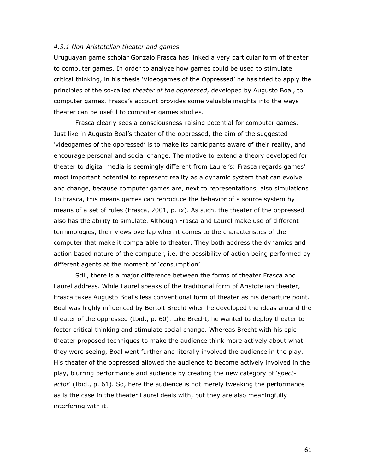## 4.3.1 Non-Aristotelian theater and games

Uruguayan game scholar Gonzalo Frasca has linked a very particular form of theater to computer games. In order to analyze how games could be used to stimulate critical thinking, in his thesis 'Videogames of the Oppressed' he has tried to apply the principles of the so-called theater of the oppressed, developed by Augusto Boal, to computer games. Frasca's account provides some valuable insights into the ways theater can be useful to computer games studies.

Frasca clearly sees a consciousness-raising potential for computer games. Just like in Augusto Boal's theater of the oppressed, the aim of the suggested 'videogames of the oppressed' is to make its participants aware of their reality, and encourage personal and social change. The motive to extend a theory developed for theater to digital media is seemingly different from Laurel's: Frasca regards games' most important potential to represent reality as a dynamic system that can evolve and change, because computer games are, next to representations, also simulations. To Frasca, this means games can reproduce the behavior of a source system by means of a set of rules (Frasca, 2001, p. ix). As such, the theater of the oppressed also has the ability to simulate. Although Frasca and Laurel make use of different terminologies, their views overlap when it comes to the characteristics of the computer that make it comparable to theater. They both address the dynamics and action based nature of the computer, i.e. the possibility of action being performed by different agents at the moment of 'consumption'.

Still, there is a major difference between the forms of theater Frasca and Laurel address. While Laurel speaks of the traditional form of Aristotelian theater, Frasca takes Augusto Boal's less conventional form of theater as his departure point. Boal was highly influenced by Bertolt Brecht when he developed the ideas around the theater of the oppressed (Ibid., p. 60). Like Brecht, he wanted to deploy theater to foster critical thinking and stimulate social change. Whereas Brecht with his epic theater proposed techniques to make the audience think more actively about what they were seeing, Boal went further and literally involved the audience in the play. His theater of the oppressed allowed the audience to become actively involved in the play, blurring performance and audience by creating the new category of 'spectactor' (Ibid., p. 61). So, here the audience is not merely tweaking the performance as is the case in the theater Laurel deals with, but they are also meaningfully interfering with it.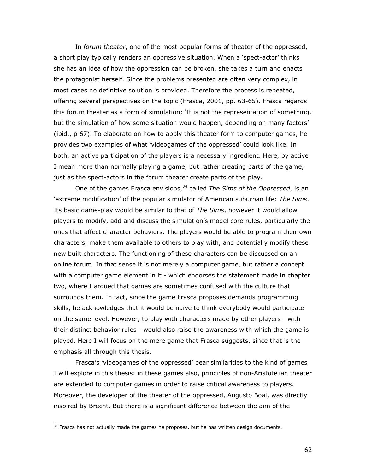In forum theater, one of the most popular forms of theater of the oppressed, a short play typically renders an oppressive situation. When a 'spect-actor' thinks she has an idea of how the oppression can be broken, she takes a turn and enacts the protagonist herself. Since the problems presented are often very complex, in most cases no definitive solution is provided. Therefore the process is repeated, offering several perspectives on the topic (Frasca, 2001, pp. 63-65). Frasca regards this forum theater as a form of simulation: 'It is not the representation of something, but the simulation of how some situation would happen, depending on many factors' (ibid., p 67). To elaborate on how to apply this theater form to computer games, he provides two examples of what 'videogames of the oppressed' could look like. In both, an active participation of the players is a necessary ingredient. Here, by active I mean more than normally playing a game, but rather creating parts of the game, just as the spect-actors in the forum theater create parts of the play.

One of the games Frasca envisions,  $34$  called The Sims of the Oppressed, is an 'extreme modification' of the popular simulator of American suburban life: The Sims. Its basic game-play would be similar to that of The Sims, however it would allow players to modify, add and discuss the simulation's model core rules, particularly the ones that affect character behaviors. The players would be able to program their own characters, make them available to others to play with, and potentially modify these new built characters. The functioning of these characters can be discussed on an online forum. In that sense it is not merely a computer game, but rather a concept with a computer game element in it - which endorses the statement made in chapter two, where I argued that games are sometimes confused with the culture that surrounds them. In fact, since the game Frasca proposes demands programming skills, he acknowledges that it would be naïve to think everybody would participate on the same level. However, to play with characters made by other players - with their distinct behavior rules - would also raise the awareness with which the game is played. Here I will focus on the mere game that Frasca suggests, since that is the emphasis all through this thesis.

Frasca's 'videogames of the oppressed' bear similarities to the kind of games I will explore in this thesis: in these games also, principles of non-Aristotelian theater are extended to computer games in order to raise critical awareness to players. Moreover, the developer of the theater of the oppressed, Augusto Boal, was directly inspired by Brecht. But there is a significant difference between the aim of the

 $34$  Frasca has not actually made the games he proposes, but he has written design documents.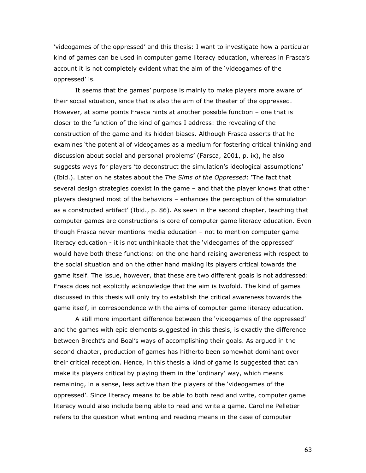'videogames of the oppressed' and this thesis: I want to investigate how a particular kind of games can be used in computer game literacy education, whereas in Frasca's account it is not completely evident what the aim of the 'videogames of the oppressed' is.

It seems that the games' purpose is mainly to make players more aware of their social situation, since that is also the aim of the theater of the oppressed. However, at some points Frasca hints at another possible function – one that is closer to the function of the kind of games I address: the revealing of the construction of the game and its hidden biases. Although Frasca asserts that he examines 'the potential of videogames as a medium for fostering critical thinking and discussion about social and personal problems' (Farsca, 2001, p. ix), he also suggests ways for players 'to deconstruct the simulation's ideological assumptions' (Ibid.). Later on he states about the The Sims of the Oppressed: 'The fact that several design strategies coexist in the game – and that the player knows that other players designed most of the behaviors – enhances the perception of the simulation as a constructed artifact' (Ibid., p. 86). As seen in the second chapter, teaching that computer games are constructions is core of computer game literacy education. Even though Frasca never mentions media education – not to mention computer game literacy education - it is not unthinkable that the 'videogames of the oppressed' would have both these functions: on the one hand raising awareness with respect to the social situation and on the other hand making its players critical towards the game itself. The issue, however, that these are two different goals is not addressed: Frasca does not explicitly acknowledge that the aim is twofold. The kind of games discussed in this thesis will only try to establish the critical awareness towards the game itself, in correspondence with the aims of computer game literacy education.

A still more important difference between the 'videogames of the oppressed' and the games with epic elements suggested in this thesis, is exactly the difference between Brecht's and Boal's ways of accomplishing their goals. As argued in the second chapter, production of games has hitherto been somewhat dominant over their critical reception. Hence, in this thesis a kind of game is suggested that can make its players critical by playing them in the 'ordinary' way, which means remaining, in a sense, less active than the players of the 'videogames of the oppressed'. Since literacy means to be able to both read and write, computer game literacy would also include being able to read and write a game. Caroline Pelletier refers to the question what writing and reading means in the case of computer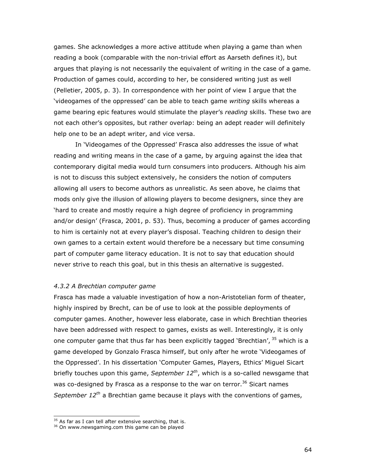games. She acknowledges a more active attitude when playing a game than when reading a book (comparable with the non-trivial effort as Aarseth defines it), but argues that playing is not necessarily the equivalent of writing in the case of a game. Production of games could, according to her, be considered writing just as well (Pelletier, 2005, p. 3). In correspondence with her point of view I argue that the 'videogames of the oppressed' can be able to teach game writing skills whereas a game bearing epic features would stimulate the player's reading skills. These two are not each other's opposites, but rather overlap: being an adept reader will definitely help one to be an adept writer, and vice versa.

In 'Videogames of the Oppressed' Frasca also addresses the issue of what reading and writing means in the case of a game, by arguing against the idea that contemporary digital media would turn consumers into producers. Although his aim is not to discuss this subject extensively, he considers the notion of computers allowing all users to become authors as unrealistic. As seen above, he claims that mods only give the illusion of allowing players to become designers, since they are 'hard to create and mostly require a high degree of proficiency in programming and/or design' (Frasca, 2001, p. 53). Thus, becoming a producer of games according to him is certainly not at every player's disposal. Teaching children to design their own games to a certain extent would therefore be a necessary but time consuming part of computer game literacy education. It is not to say that education should never strive to reach this goal, but in this thesis an alternative is suggested.

# 4.3.2 A Brechtian computer game

Frasca has made a valuable investigation of how a non-Aristotelian form of theater, highly inspired by Brecht, can be of use to look at the possible deployments of computer games. Another, however less elaborate, case in which Brechtian theories have been addressed with respect to games, exists as well. Interestingly, it is only one computer game that thus far has been explicitly tagged 'Brechtian',  $35$  which is a game developed by Gonzalo Frasca himself, but only after he wrote 'Videogames of the Oppressed'. In his dissertation 'Computer Games, Players, Ethics' Miguel Sicart briefly touches upon this game, September  $12^{th}$ , which is a so-called newsgame that was co-designed by Frasca as a response to the war on terror.<sup>36</sup> Sicart names September  $12^{th}$  a Brechtian game because it plays with the conventions of games,

 $35$  As far as I can tell after extensive searching, that is.

<sup>&</sup>lt;sup>36</sup> On www.newsgaming.com this game can be played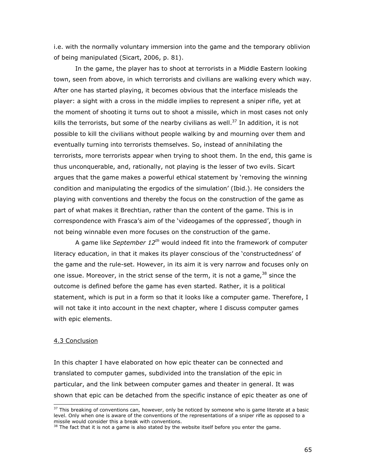i.e. with the normally voluntary immersion into the game and the temporary oblivion of being manipulated (Sicart, 2006, p. 81).

In the game, the player has to shoot at terrorists in a Middle Eastern looking town, seen from above, in which terrorists and civilians are walking every which way. After one has started playing, it becomes obvious that the interface misleads the player: a sight with a cross in the middle implies to represent a sniper rifle, yet at the moment of shooting it turns out to shoot a missile, which in most cases not only kills the terrorists, but some of the nearby civilians as well.<sup>37</sup> In addition, it is not possible to kill the civilians without people walking by and mourning over them and eventually turning into terrorists themselves. So, instead of annihilating the terrorists, more terrorists appear when trying to shoot them. In the end, this game is thus unconquerable, and, rationally, not playing is the lesser of two evils. Sicart argues that the game makes a powerful ethical statement by 'removing the winning condition and manipulating the ergodics of the simulation' (Ibid.). He considers the playing with conventions and thereby the focus on the construction of the game as part of what makes it Brechtian, rather than the content of the game. This is in correspondence with Frasca's aim of the 'videogames of the oppressed', though in not being winnable even more focuses on the construction of the game.

A game like September  $12^{th}$  would indeed fit into the framework of computer literacy education, in that it makes its player conscious of the 'constructedness' of the game and the rule-set. However, in its aim it is very narrow and focuses only on one issue. Moreover, in the strict sense of the term, it is not a game,<sup>38</sup> since the outcome is defined before the game has even started. Rather, it is a political statement, which is put in a form so that it looks like a computer game. Therefore, I will not take it into account in the next chapter, where I discuss computer games with epic elements.

### 4.3 Conclusion

j

In this chapter I have elaborated on how epic theater can be connected and translated to computer games, subdivided into the translation of the epic in particular, and the link between computer games and theater in general. It was shown that epic can be detached from the specific instance of epic theater as one of

 $37$  This breaking of conventions can, however, only be noticed by someone who is game literate at a basic level. Only when one is aware of the conventions of the representations of a sniper rifle as opposed to a missile would consider this a break with conventions.

 $38$  The fact that it is not a game is also stated by the website itself before you enter the game.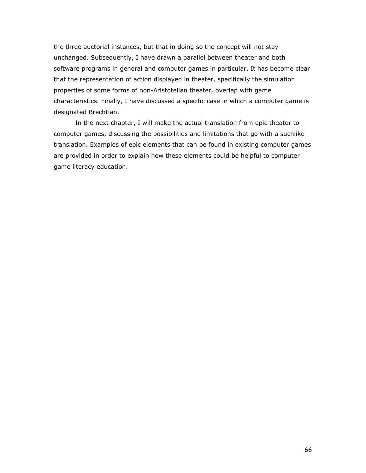the three auctorial instances, but that in doing so the concept will not stay unchanged. Subsequently, I have drawn a parallel between theater and both software programs in general and computer games in particular. It has become clear that the representation of action displayed in theater, specifically the simulation properties of some forms of non-Aristotelian theater, overlap with game characteristics. Finally, I have discussed a specific case in which a computer game is designated Brechtian.

In the next chapter, I will make the actual translation from epic theater to computer games, discussing the possibilities and limitations that go with a suchlike translation. Examples of epic elements that can be found in existing computer games are provided in order to explain how these elements could be helpful to computer game literacy education.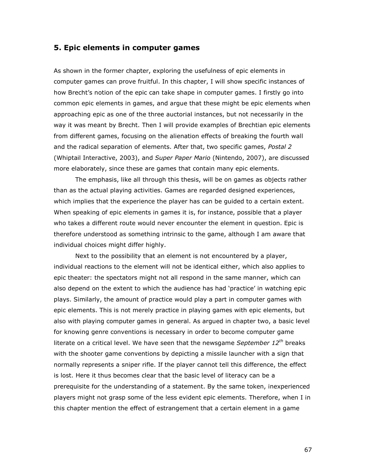# 5. Epic elements in computer games

As shown in the former chapter, exploring the usefulness of epic elements in computer games can prove fruitful. In this chapter, I will show specific instances of how Brecht's notion of the epic can take shape in computer games. I firstly go into common epic elements in games, and argue that these might be epic elements when approaching epic as one of the three auctorial instances, but not necessarily in the way it was meant by Brecht. Then I will provide examples of Brechtian epic elements from different games, focusing on the alienation effects of breaking the fourth wall and the radical separation of elements. After that, two specific games, Postal 2 (Whiptail Interactive, 2003), and Super Paper Mario (Nintendo, 2007), are discussed more elaborately, since these are games that contain many epic elements.

The emphasis, like all through this thesis, will be on games as objects rather than as the actual playing activities. Games are regarded designed experiences, which implies that the experience the player has can be guided to a certain extent. When speaking of epic elements in games it is, for instance, possible that a player who takes a different route would never encounter the element in question. Epic is therefore understood as something intrinsic to the game, although I am aware that individual choices might differ highly.

Next to the possibility that an element is not encountered by a player, individual reactions to the element will not be identical either, which also applies to epic theater: the spectators might not all respond in the same manner, which can also depend on the extent to which the audience has had 'practice' in watching epic plays. Similarly, the amount of practice would play a part in computer games with epic elements. This is not merely practice in playing games with epic elements, but also with playing computer games in general. As argued in chapter two, a basic level for knowing genre conventions is necessary in order to become computer game literate on a critical level. We have seen that the newsgame September  $12^{th}$  breaks with the shooter game conventions by depicting a missile launcher with a sign that normally represents a sniper rifle. If the player cannot tell this difference, the effect is lost. Here it thus becomes clear that the basic level of literacy can be a prerequisite for the understanding of a statement. By the same token, inexperienced players might not grasp some of the less evident epic elements. Therefore, when I in this chapter mention the effect of estrangement that a certain element in a game

67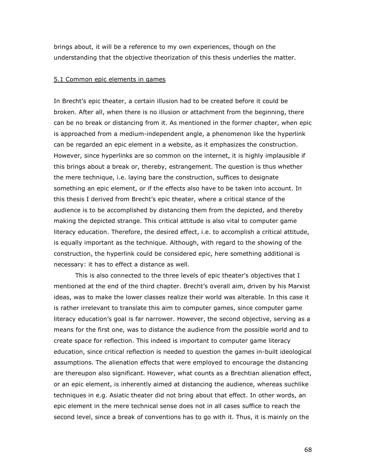brings about, it will be a reference to my own experiences, though on the understanding that the objective theorization of this thesis underlies the matter.

## 5.1 Common epic elements in games

In Brecht's epic theater, a certain illusion had to be created before it could be broken. After all, when there is no illusion or attachment from the beginning, there can be no break or distancing from it. As mentioned in the former chapter, when epic is approached from a medium-independent angle, a phenomenon like the hyperlink can be regarded an epic element in a website, as it emphasizes the construction. However, since hyperlinks are so common on the internet, it is highly implausible if this brings about a break or, thereby, estrangement. The question is thus whether the mere technique, i.e. laying bare the construction, suffices to designate something an epic element, or if the effects also have to be taken into account. In this thesis I derived from Brecht's epic theater, where a critical stance of the audience is to be accomplished by distancing them from the depicted, and thereby making the depicted strange. This critical attitude is also vital to computer game literacy education. Therefore, the desired effect, i.e. to accomplish a critical attitude, is equally important as the technique. Although, with regard to the showing of the construction, the hyperlink could be considered epic, here something additional is necessary: it has to effect a distance as well.

This is also connected to the three levels of epic theater's objectives that I mentioned at the end of the third chapter. Brecht's overall aim, driven by his Marxist ideas, was to make the lower classes realize their world was alterable. In this case it is rather irrelevant to translate this aim to computer games, since computer game literacy education's goal is far narrower. However, the second objective, serving as a means for the first one, was to distance the audience from the possible world and to create space for reflection. This indeed is important to computer game literacy education, since critical reflection is needed to question the games in-built ideological assumptions. The alienation effects that were employed to encourage the distancing are thereupon also significant. However, what counts as a Brechtian alienation effect, or an epic element, is inherently aimed at distancing the audience, whereas suchlike techniques in e.g. Asiatic theater did not bring about that effect. In other words, an epic element in the mere technical sense does not in all cases suffice to reach the second level, since a break of conventions has to go with it. Thus, it is mainly on the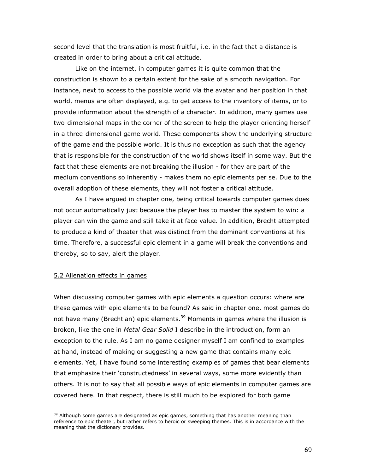second level that the translation is most fruitful, i.e. in the fact that a distance is created in order to bring about a critical attitude.

Like on the internet, in computer games it is quite common that the construction is shown to a certain extent for the sake of a smooth navigation. For instance, next to access to the possible world via the avatar and her position in that world, menus are often displayed, e.g. to get access to the inventory of items, or to provide information about the strength of a character. In addition, many games use two-dimensional maps in the corner of the screen to help the player orienting herself in a three-dimensional game world. These components show the underlying structure of the game and the possible world. It is thus no exception as such that the agency that is responsible for the construction of the world shows itself in some way. But the fact that these elements are not breaking the illusion - for they are part of the medium conventions so inherently - makes them no epic elements per se. Due to the overall adoption of these elements, they will not foster a critical attitude.

As I have argued in chapter one, being critical towards computer games does not occur automatically just because the player has to master the system to win: a player can win the game and still take it at face value. In addition, Brecht attempted to produce a kind of theater that was distinct from the dominant conventions at his time. Therefore, a successful epic element in a game will break the conventions and thereby, so to say, alert the player.

# 5.2 Alienation effects in games

j

When discussing computer games with epic elements a question occurs: where are these games with epic elements to be found? As said in chapter one, most games do not have many (Brechtian) epic elements.<sup>39</sup> Moments in games where the illusion is broken, like the one in Metal Gear Solid I describe in the introduction, form an exception to the rule. As I am no game designer myself I am confined to examples at hand, instead of making or suggesting a new game that contains many epic elements. Yet, I have found some interesting examples of games that bear elements that emphasize their 'constructedness' in several ways, some more evidently than others. It is not to say that all possible ways of epic elements in computer games are covered here. In that respect, there is still much to be explored for both game

 $39$  Although some games are designated as epic games, something that has another meaning than reference to epic theater, but rather refers to heroic or sweeping themes. This is in accordance with the meaning that the dictionary provides.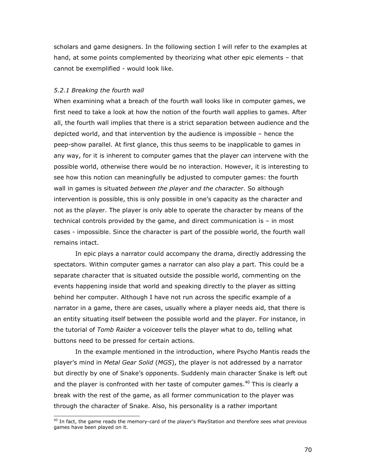scholars and game designers. In the following section I will refer to the examples at hand, at some points complemented by theorizing what other epic elements – that cannot be exemplified - would look like.

# 5.2.1 Breaking the fourth wall

j

When examining what a breach of the fourth wall looks like in computer games, we first need to take a look at how the notion of the fourth wall applies to games. After all, the fourth wall implies that there is a strict separation between audience and the depicted world, and that intervention by the audience is impossible – hence the peep-show parallel. At first glance, this thus seems to be inapplicable to games in any way, for it is inherent to computer games that the player can intervene with the possible world, otherwise there would be no interaction. However, it is interesting to see how this notion can meaningfully be adjusted to computer games: the fourth wall in games is situated between the player and the character. So although intervention is possible, this is only possible in one's capacity as the character and not as the player. The player is only able to operate the character by means of the technical controls provided by the game, and direct communication is – in most cases - impossible. Since the character is part of the possible world, the fourth wall remains intact.

In epic plays a narrator could accompany the drama, directly addressing the spectators. Within computer games a narrator can also play a part. This could be a separate character that is situated outside the possible world, commenting on the events happening inside that world and speaking directly to the player as sitting behind her computer. Although I have not run across the specific example of a narrator in a game, there are cases, usually where a player needs aid, that there is an entity situating itself between the possible world and the player. For instance, in the tutorial of Tomb Raider a voiceover tells the player what to do, telling what buttons need to be pressed for certain actions.

 In the example mentioned in the introduction, where Psycho Mantis reads the player's mind in Metal Gear Solid (MGS), the player is not addressed by a narrator but directly by one of Snake's opponents. Suddenly main character Snake is left out and the player is confronted with her taste of computer games.<sup>40</sup> This is clearly a break with the rest of the game, as all former communication to the player was through the character of Snake. Also, his personality is a rather important

 $^{40}$  In fact, the game reads the memory-card of the player's PlayStation and therefore sees what previous games have been played on it.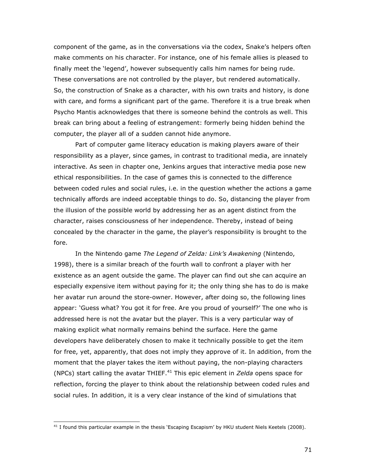component of the game, as in the conversations via the codex, Snake's helpers often make comments on his character. For instance, one of his female allies is pleased to finally meet the 'legend', however subsequently calls him names for being rude. These conversations are not controlled by the player, but rendered automatically. So, the construction of Snake as a character, with his own traits and history, is done with care, and forms a significant part of the game. Therefore it is a true break when Psycho Mantis acknowledges that there is someone behind the controls as well. This break can bring about a feeling of estrangement: formerly being hidden behind the computer, the player all of a sudden cannot hide anymore.

Part of computer game literacy education is making players aware of their responsibility as a player, since games, in contrast to traditional media, are innately interactive. As seen in chapter one, Jenkins argues that interactive media pose new ethical responsibilities. In the case of games this is connected to the difference between coded rules and social rules, i.e. in the question whether the actions a game technically affords are indeed acceptable things to do. So, distancing the player from the illusion of the possible world by addressing her as an agent distinct from the character, raises consciousness of her independence. Thereby, instead of being concealed by the character in the game, the player's responsibility is brought to the fore.

In the Nintendo game The Legend of Zelda: Link's Awakening (Nintendo, 1998), there is a similar breach of the fourth wall to confront a player with her existence as an agent outside the game. The player can find out she can acquire an especially expensive item without paying for it; the only thing she has to do is make her avatar run around the store-owner. However, after doing so, the following lines appear: 'Guess what? You got it for free. Are you proud of yourself?' The one who is addressed here is not the avatar but the player. This is a very particular way of making explicit what normally remains behind the surface. Here the game developers have deliberately chosen to make it technically possible to get the item for free, yet, apparently, that does not imply they approve of it. In addition, from the moment that the player takes the item without paying, the non-playing characters (NPCs) start calling the avatar THIEF.<sup>41</sup> This epic element in *Zelda* opens space for reflection, forcing the player to think about the relationship between coded rules and social rules. In addition, it is a very clear instance of the kind of simulations that

 $41$  I found this particular example in the thesis 'Escaping Escapism' by HKU student Niels Keetels (2008).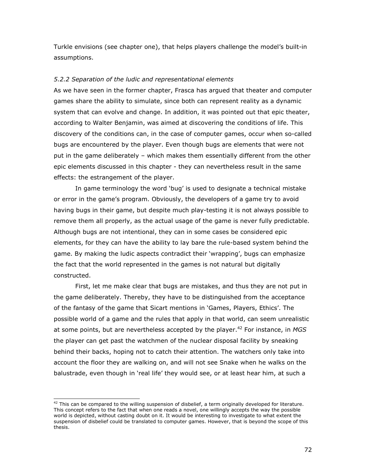Turkle envisions (see chapter one), that helps players challenge the model's built-in assumptions.

# 5.2.2 Separation of the ludic and representational elements

As we have seen in the former chapter, Frasca has argued that theater and computer games share the ability to simulate, since both can represent reality as a dynamic system that can evolve and change. In addition, it was pointed out that epic theater, according to Walter Benjamin, was aimed at discovering the conditions of life. This discovery of the conditions can, in the case of computer games, occur when so-called bugs are encountered by the player. Even though bugs are elements that were not put in the game deliberately – which makes them essentially different from the other epic elements discussed in this chapter - they can nevertheless result in the same effects: the estrangement of the player.

In game terminology the word 'bug' is used to designate a technical mistake or error in the game's program. Obviously, the developers of a game try to avoid having bugs in their game, but despite much play-testing it is not always possible to remove them all properly, as the actual usage of the game is never fully predictable. Although bugs are not intentional, they can in some cases be considered epic elements, for they can have the ability to lay bare the rule-based system behind the game. By making the ludic aspects contradict their 'wrapping', bugs can emphasize the fact that the world represented in the games is not natural but digitally constructed.

First, let me make clear that bugs are mistakes, and thus they are not put in the game deliberately. Thereby, they have to be distinguished from the acceptance of the fantasy of the game that Sicart mentions in 'Games, Players, Ethics'. The possible world of a game and the rules that apply in that world, can seem unrealistic at some points, but are nevertheless accepted by the player.<sup>42</sup> For instance, in MGS the player can get past the watchmen of the nuclear disposal facility by sneaking behind their backs, hoping not to catch their attention. The watchers only take into account the floor they are walking on, and will not see Snake when he walks on the balustrade, even though in 'real life' they would see, or at least hear him, at such a

 $42$  This can be compared to the willing suspension of disbelief, a term originally developed for literature. This concept refers to the fact that when one reads a novel, one willingly accepts the way the possible world is depicted, without casting doubt on it. It would be interesting to investigate to what extent the suspension of disbelief could be translated to computer games. However, that is beyond the scope of this thesis.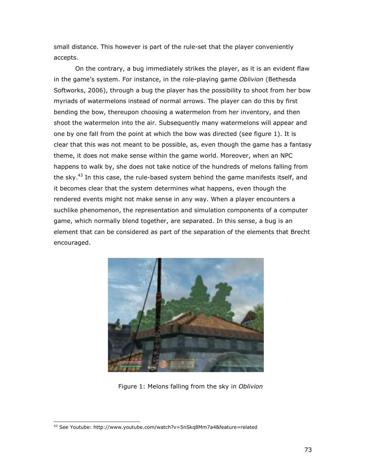small distance. This however is part of the rule-set that the player conveniently accepts.

On the contrary, a bug immediately strikes the player, as it is an evident flaw in the game's system. For instance, in the role-playing game Oblivion (Bethesda Softworks, 2006), through a bug the player has the possibility to shoot from her bow myriads of watermelons instead of normal arrows. The player can do this by first bending the bow, thereupon choosing a watermelon from her inventory, and then shoot the watermelon into the air. Subsequently many watermelons will appear and one by one fall from the point at which the bow was directed (see figure 1). It is clear that this was not meant to be possible, as, even though the game has a fantasy theme, it does not make sense within the game world. Moreover, when an NPC happens to walk by, she does not take notice of the hundreds of melons falling from the sky. $43$  In this case, the rule-based system behind the game manifests itself, and it becomes clear that the system determines what happens, even though the rendered events might not make sense in any way. When a player encounters a suchlike phenomenon, the representation and simulation components of a computer game, which normally blend together, are separated. In this sense, a bug is an element that can be considered as part of the separation of the elements that Brecht encouraged.



Figure 1: Melons falling from the sky in Oblivion

j <sup>43</sup> See Youtube: http://www.youtube.com/watch?v=5nSkq8Mm7a4&feature=related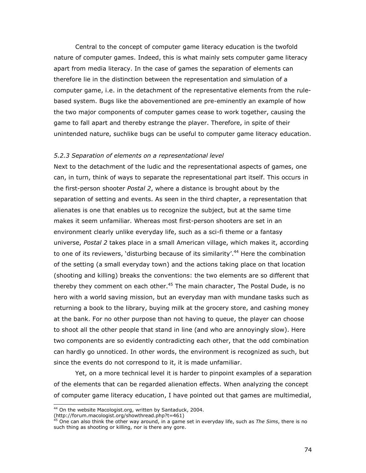Central to the concept of computer game literacy education is the twofold nature of computer games. Indeed, this is what mainly sets computer game literacy apart from media literacy. In the case of games the separation of elements can therefore lie in the distinction between the representation and simulation of a computer game, i.e. in the detachment of the representative elements from the rulebased system. Bugs like the abovementioned are pre-eminently an example of how the two major components of computer games cease to work together, causing the game to fall apart and thereby estrange the player. Therefore, in spite of their unintended nature, suchlike bugs can be useful to computer game literacy education.

#### 5.2.3 Separation of elements on a representational level

Next to the detachment of the ludic and the representational aspects of games, one can, in turn, think of ways to separate the representational part itself. This occurs in the first-person shooter Postal 2, where a distance is brought about by the separation of setting and events. As seen in the third chapter, a representation that alienates is one that enables us to recognize the subject, but at the same time makes it seem unfamiliar. Whereas most first-person shooters are set in an environment clearly unlike everyday life, such as a sci-fi theme or a fantasy universe, Postal 2 takes place in a small American village, which makes it, according to one of its reviewers, 'disturbing because of its similarity'.<sup>44</sup> Here the combination of the setting (a small everyday town) and the actions taking place on that location (shooting and killing) breaks the conventions: the two elements are so different that thereby they comment on each other.<sup>45</sup> The main character, The Postal Dude, is no hero with a world saving mission, but an everyday man with mundane tasks such as returning a book to the library, buying milk at the grocery store, and cashing money at the bank. For no other purpose than not having to queue, the player can choose to shoot all the other people that stand in line (and who are annoyingly slow). Here two components are so evidently contradicting each other, that the odd combination can hardly go unnoticed. In other words, the environment is recognized as such, but since the events do not correspond to it, it is made unfamiliar.

Yet, on a more technical level it is harder to pinpoint examples of a separation of the elements that can be regarded alienation effects. When analyzing the concept of computer game literacy education, I have pointed out that games are multimedial,

(http://forum.macologist.org/showthread.php?t=461)

ī

<sup>&</sup>lt;sup>44</sup> On the website Macologist.org, written by Santaduck, 2004.

<sup>&</sup>lt;sup>45</sup> One can also think the other way around, in a game set in everyday life, such as The Sims, there is no such thing as shooting or killing, nor is there any gore.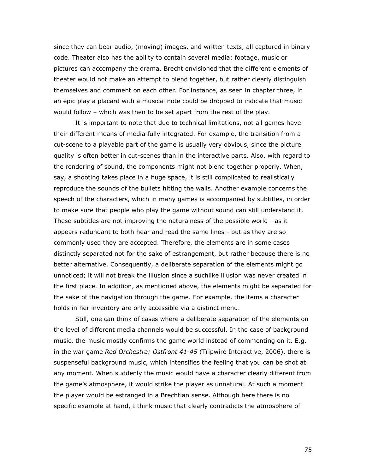since they can bear audio, (moving) images, and written texts, all captured in binary code. Theater also has the ability to contain several media; footage, music or pictures can accompany the drama. Brecht envisioned that the different elements of theater would not make an attempt to blend together, but rather clearly distinguish themselves and comment on each other. For instance, as seen in chapter three, in an epic play a placard with a musical note could be dropped to indicate that music would follow – which was then to be set apart from the rest of the play.

It is important to note that due to technical limitations, not all games have their different means of media fully integrated. For example, the transition from a cut-scene to a playable part of the game is usually very obvious, since the picture quality is often better in cut-scenes than in the interactive parts. Also, with regard to the rendering of sound, the components might not blend together properly. When, say, a shooting takes place in a huge space, it is still complicated to realistically reproduce the sounds of the bullets hitting the walls. Another example concerns the speech of the characters, which in many games is accompanied by subtitles, in order to make sure that people who play the game without sound can still understand it. These subtitles are not improving the naturalness of the possible world - as it appears redundant to both hear and read the same lines - but as they are so commonly used they are accepted. Therefore, the elements are in some cases distinctly separated not for the sake of estrangement, but rather because there is no better alternative. Consequently, a deliberate separation of the elements might go unnoticed; it will not break the illusion since a suchlike illusion was never created in the first place. In addition, as mentioned above, the elements might be separated for the sake of the navigation through the game. For example, the items a character holds in her inventory are only accessible via a distinct menu.

 Still, one can think of cases where a deliberate separation of the elements on the level of different media channels would be successful. In the case of background music, the music mostly confirms the game world instead of commenting on it. E.g. in the war game Red Orchestra: Ostfront 41-45 (Tripwire Interactive, 2006), there is suspenseful background music, which intensifies the feeling that you can be shot at any moment. When suddenly the music would have a character clearly different from the game's atmosphere, it would strike the player as unnatural. At such a moment the player would be estranged in a Brechtian sense. Although here there is no specific example at hand, I think music that clearly contradicts the atmosphere of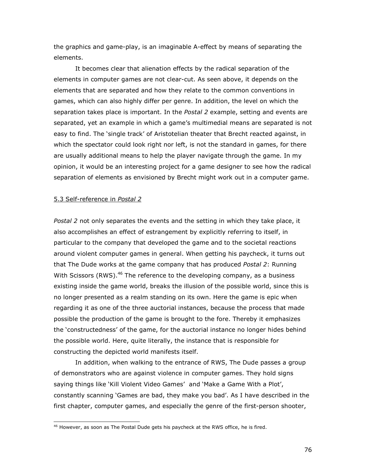the graphics and game-play, is an imaginable A-effect by means of separating the elements.

It becomes clear that alienation effects by the radical separation of the elements in computer games are not clear-cut. As seen above, it depends on the elements that are separated and how they relate to the common conventions in games, which can also highly differ per genre. In addition, the level on which the separation takes place is important. In the Postal 2 example, setting and events are separated, yet an example in which a game's multimedial means are separated is not easy to find. The 'single track' of Aristotelian theater that Brecht reacted against, in which the spectator could look right nor left, is not the standard in games, for there are usually additional means to help the player navigate through the game. In my opinion, it would be an interesting project for a game designer to see how the radical separation of elements as envisioned by Brecht might work out in a computer game.

#### 5.3 Self-reference in Postal 2

j

Postal 2 not only separates the events and the setting in which they take place, it also accomplishes an effect of estrangement by explicitly referring to itself, in particular to the company that developed the game and to the societal reactions around violent computer games in general. When getting his paycheck, it turns out that The Dude works at the game company that has produced Postal 2: Running With Scissors (RWS).<sup>46</sup> The reference to the developing company, as a business existing inside the game world, breaks the illusion of the possible world, since this is no longer presented as a realm standing on its own. Here the game is epic when regarding it as one of the three auctorial instances, because the process that made possible the production of the game is brought to the fore. Thereby it emphasizes the 'constructedness' of the game, for the auctorial instance no longer hides behind the possible world. Here, quite literally, the instance that is responsible for constructing the depicted world manifests itself.

In addition, when walking to the entrance of RWS, The Dude passes a group of demonstrators who are against violence in computer games. They hold signs saying things like 'Kill Violent Video Games' and 'Make a Game With a Plot', constantly scanning 'Games are bad, they make you bad'. As I have described in the first chapter, computer games, and especially the genre of the first-person shooter,

 $46$  However, as soon as The Postal Dude gets his paycheck at the RWS office, he is fired.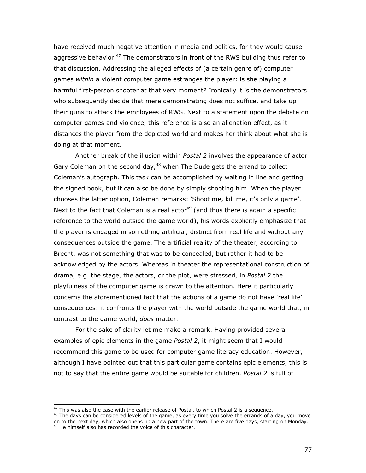have received much negative attention in media and politics, for they would cause aggressive behavior.<sup>47</sup> The demonstrators in front of the RWS building thus refer to that discussion. Addressing the alleged effects of (a certain genre of) computer games within a violent computer game estranges the player: is she playing a harmful first-person shooter at that very moment? Ironically it is the demonstrators who subsequently decide that mere demonstrating does not suffice, and take up their guns to attack the employees of RWS. Next to a statement upon the debate on computer games and violence, this reference is also an alienation effect, as it distances the player from the depicted world and makes her think about what she is doing at that moment.

Another break of the illusion within Postal 2 involves the appearance of actor Gary Coleman on the second day, $48$  when The Dude gets the errand to collect Coleman's autograph. This task can be accomplished by waiting in line and getting the signed book, but it can also be done by simply shooting him. When the player chooses the latter option, Coleman remarks: 'Shoot me, kill me, it's only a game'. Next to the fact that Coleman is a real actor $49$  (and thus there is again a specific reference to the world outside the game world), his words explicitly emphasize that the player is engaged in something artificial, distinct from real life and without any consequences outside the game. The artificial reality of the theater, according to Brecht, was not something that was to be concealed, but rather it had to be acknowledged by the actors. Whereas in theater the representational construction of drama, e.g. the stage, the actors, or the plot, were stressed, in Postal 2 the playfulness of the computer game is drawn to the attention. Here it particularly concerns the aforementioned fact that the actions of a game do not have 'real life' consequences: it confronts the player with the world outside the game world that, in contrast to the game world, does matter.

For the sake of clarity let me make a remark. Having provided several examples of epic elements in the game *Postal 2*, it might seem that I would recommend this game to be used for computer game literacy education. However, although I have pointed out that this particular game contains epic elements, this is not to say that the entire game would be suitable for children. Postal 2 is full of

j

 $47$  This was also the case with the earlier release of Postal, to which Postal 2 is a sequence.

<sup>&</sup>lt;sup>48</sup> The days can be considered levels of the game, as every time you solve the errands of a day, you move on to the next day, which also opens up a new part of the town. There are five days, starting on Monday.

<sup>&</sup>lt;sup>49</sup> He himself also has recorded the voice of this character.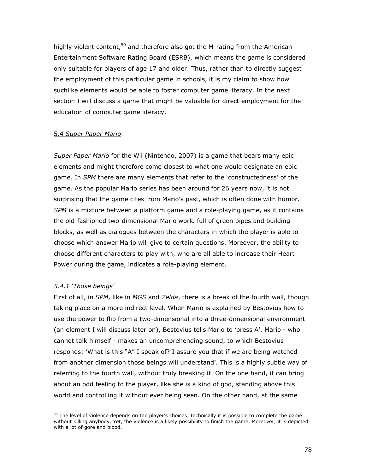highly violent content,  $50$  and therefore also got the M-rating from the American Entertainment Software Rating Board (ESRB), which means the game is considered only suitable for players of age 17 and older. Thus, rather than to directly suggest the employment of this particular game in schools, it is my claim to show how suchlike elements would be able to foster computer game literacy. In the next section I will discuss a game that might be valuable for direct employment for the education of computer game literacy.

### 5.4 Super Paper Mario

Super Paper Mario for the Wii (Nintendo, 2007) is a game that bears many epic elements and might therefore come closest to what one would designate an epic game. In SPM there are many elements that refer to the 'constructedness' of the game. As the popular Mario series has been around for 26 years now, it is not surprising that the game cites from Mario's past, which is often done with humor. SPM is a mixture between a platform game and a role-playing game, as it contains the old-fashioned two-dimensional Mario world full of green pipes and building blocks, as well as dialogues between the characters in which the player is able to choose which answer Mario will give to certain questions. Moreover, the ability to choose different characters to play with, who are all able to increase their Heart Power during the game, indicates a role-playing element.

## 5.4.1 'Those beings'

ī

First of all, in SPM, like in MGS and Zelda, there is a break of the fourth wall, though taking place on a more indirect level. When Mario is explained by Bestovius how to use the power to flip from a two-dimensional into a three-dimensional environment (an element I will discuss later on), Bestovius tells Mario to 'press A'. Mario - who cannot talk himself - makes an uncomprehending sound, to which Bestovius responds: 'What is this "A" I speak of? I assure you that if we are being watched from another dimension those beings will understand'. This is a highly subtle way of referring to the fourth wall, without truly breaking it. On the one hand, it can bring about an odd feeling to the player, like she is a kind of god, standing above this world and controlling it without ever being seen. On the other hand, at the same

 $50$  The level of violence depends on the player's choices; technically it is possible to complete the game without killing anybody. Yet, the violence is a likely possibility to finish the game. Moreover, it is depicted with a lot of gore and blood.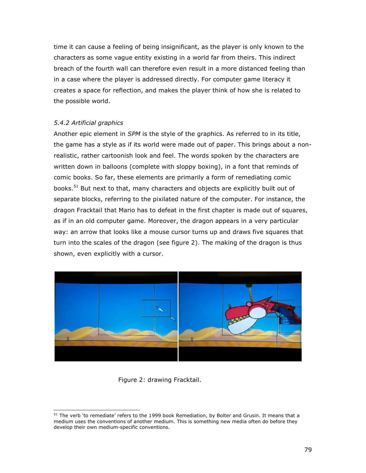time it can cause a feeling of being insignificant, as the player is only known to the characters as some vague entity existing in a world far from theirs. This indirect breach of the fourth wall can therefore even result in a more distanced feeling than in a case where the player is addressed directly. For computer game literacy it creates a space for reflection, and makes the player think of how she is related to the possible world.

### 5.4.2 Artificial graphics

Another epic element in *SPM* is the style of the graphics. As referred to in its title, the game has a style as if its world were made out of paper. This brings about a nonrealistic, rather cartoonish look and feel. The words spoken by the characters are written down in balloons (complete with sloppy boxing), in a font that reminds of comic books. So far, these elements are primarily a form of remediating comic books.<sup>51</sup> But next to that, many characters and objects are explicitly built out of separate blocks, referring to the pixilated nature of the computer. For instance, the dragon Fracktail that Mario has to defeat in the first chapter is made out of squares, as if in an old computer game. Moreover, the dragon appears in a very particular way: an arrow that looks like a mouse cursor turns up and draws five squares that turn into the scales of the dragon (see figure 2). The making of the dragon is thus shown, even explicitly with a cursor.



## Figure 2: drawing Fracktail.

j <sup>51</sup> The verb 'to remediate' refers to the 1999 book Remediation, by Bolter and Grusin. It means that a medium uses the conventions of another medium. This is something new media often do before they develop their own medium-specific conventions.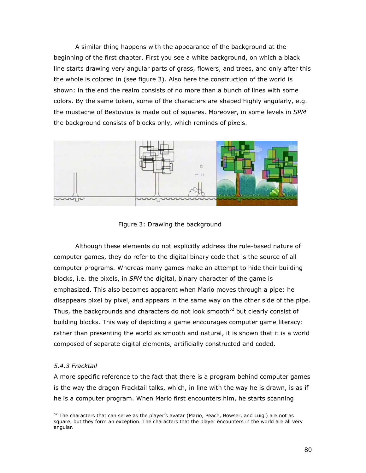A similar thing happens with the appearance of the background at the beginning of the first chapter. First you see a white background, on which a black line starts drawing very angular parts of grass, flowers, and trees, and only after this the whole is colored in (see figure 3). Also here the construction of the world is shown: in the end the realm consists of no more than a bunch of lines with some colors. By the same token, some of the characters are shaped highly angularly, e.g. the mustache of Bestovius is made out of squares. Moreover, in some levels in SPM the background consists of blocks only, which reminds of pixels.



Figure 3: Drawing the background

Although these elements do not explicitly address the rule-based nature of computer games, they do refer to the digital binary code that is the source of all computer programs. Whereas many games make an attempt to hide their building blocks, i.e. the pixels, in SPM the digital, binary character of the game is emphasized. This also becomes apparent when Mario moves through a pipe: he disappears pixel by pixel, and appears in the same way on the other side of the pipe. Thus, the backgrounds and characters do not look smooth $52$  but clearly consist of building blocks. This way of depicting a game encourages computer game literacy: rather than presenting the world as smooth and natural, it is shown that it is a world composed of separate digital elements, artificially constructed and coded.

## 5.4.3 Fracktail

j

A more specific reference to the fact that there is a program behind computer games is the way the dragon Fracktail talks, which, in line with the way he is drawn, is as if he is a computer program. When Mario first encounters him, he starts scanning

 $52$  The characters that can serve as the player's avatar (Mario, Peach, Bowser, and Luigi) are not as square, but they form an exception. The characters that the player encounters in the world are all very angular.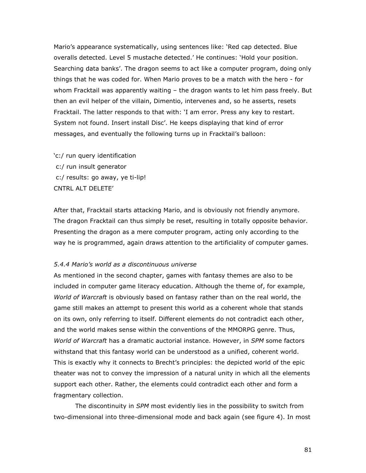Mario's appearance systematically, using sentences like: 'Red cap detected. Blue overalls detected. Level 5 mustache detected.' He continues: 'Hold your position. Searching data banks'. The dragon seems to act like a computer program, doing only things that he was coded for. When Mario proves to be a match with the hero - for whom Fracktail was apparently waiting – the dragon wants to let him pass freely. But then an evil helper of the villain, Dimentio, intervenes and, so he asserts, resets Fracktail. The latter responds to that with: 'I am error. Press any key to restart. System not found. Insert install Disc'. He keeps displaying that kind of error messages, and eventually the following turns up in Fracktail's balloon:

'c:/ run query identification c:/ run insult generator c:/ results: go away, ye ti-lip! CNTRL ALT DELETE'

After that, Fracktail starts attacking Mario, and is obviously not friendly anymore. The dragon Fracktail can thus simply be reset, resulting in totally opposite behavior. Presenting the dragon as a mere computer program, acting only according to the way he is programmed, again draws attention to the artificiality of computer games.

#### 5.4.4 Mario's world as a discontinuous universe

As mentioned in the second chapter, games with fantasy themes are also to be included in computer game literacy education. Although the theme of, for example, World of Warcraft is obviously based on fantasy rather than on the real world, the game still makes an attempt to present this world as a coherent whole that stands on its own, only referring to itself. Different elements do not contradict each other, and the world makes sense within the conventions of the MMORPG genre. Thus, World of Warcraft has a dramatic auctorial instance. However, in SPM some factors withstand that this fantasy world can be understood as a unified, coherent world. This is exactly why it connects to Brecht's principles: the depicted world of the epic theater was not to convey the impression of a natural unity in which all the elements support each other. Rather, the elements could contradict each other and form a fragmentary collection.

The discontinuity in SPM most evidently lies in the possibility to switch from two-dimensional into three-dimensional mode and back again (see figure 4). In most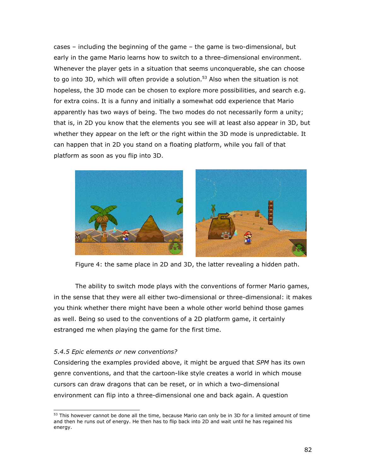cases – including the beginning of the game – the game is two-dimensional, but early in the game Mario learns how to switch to a three-dimensional environment. Whenever the player gets in a situation that seems unconquerable, she can choose to go into 3D, which will often provide a solution.<sup>53</sup> Also when the situation is not hopeless, the 3D mode can be chosen to explore more possibilities, and search e.g. for extra coins. It is a funny and initially a somewhat odd experience that Mario apparently has two ways of being. The two modes do not necessarily form a unity; that is, in 2D you know that the elements you see will at least also appear in 3D, but whether they appear on the left or the right within the 3D mode is unpredictable. It can happen that in 2D you stand on a floating platform, while you fall of that platform as soon as you flip into 3D.



Figure 4: the same place in 2D and 3D, the latter revealing a hidden path.

The ability to switch mode plays with the conventions of former Mario games, in the sense that they were all either two-dimensional or three-dimensional: it makes you think whether there might have been a whole other world behind those games as well. Being so used to the conventions of a 2D platform game, it certainly estranged me when playing the game for the first time.

## 5.4.5 Epic elements or new conventions?

Considering the examples provided above, it might be argued that SPM has its own genre conventions, and that the cartoon-like style creates a world in which mouse cursors can draw dragons that can be reset, or in which a two-dimensional environment can flip into a three-dimensional one and back again. A question

j  $53$  This however cannot be done all the time, because Mario can only be in 3D for a limited amount of time and then he runs out of energy. He then has to flip back into 2D and wait until he has regained his energy.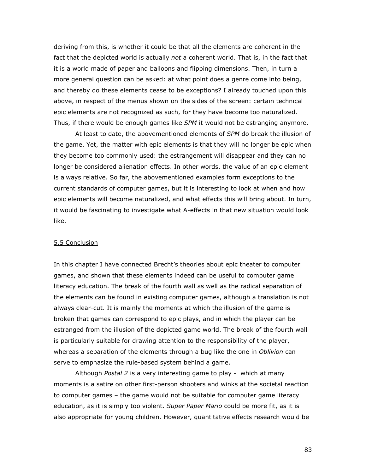deriving from this, is whether it could be that all the elements are coherent in the fact that the depicted world is actually not a coherent world. That is, in the fact that it is a world made of paper and balloons and flipping dimensions. Then, in turn a more general question can be asked: at what point does a genre come into being, and thereby do these elements cease to be exceptions? I already touched upon this above, in respect of the menus shown on the sides of the screen: certain technical epic elements are not recognized as such, for they have become too naturalized. Thus, if there would be enough games like SPM it would not be estranging anymore.

At least to date, the abovementioned elements of SPM do break the illusion of the game. Yet, the matter with epic elements is that they will no longer be epic when they become too commonly used: the estrangement will disappear and they can no longer be considered alienation effects. In other words, the value of an epic element is always relative. So far, the abovementioned examples form exceptions to the current standards of computer games, but it is interesting to look at when and how epic elements will become naturalized, and what effects this will bring about. In turn, it would be fascinating to investigate what A-effects in that new situation would look like.

#### 5.5 Conclusion

In this chapter I have connected Brecht's theories about epic theater to computer games, and shown that these elements indeed can be useful to computer game literacy education. The break of the fourth wall as well as the radical separation of the elements can be found in existing computer games, although a translation is not always clear-cut. It is mainly the moments at which the illusion of the game is broken that games can correspond to epic plays, and in which the player can be estranged from the illusion of the depicted game world. The break of the fourth wall is particularly suitable for drawing attention to the responsibility of the player, whereas a separation of the elements through a bug like the one in Oblivion can serve to emphasize the rule-based system behind a game.

Although *Postal 2* is a very interesting game to play - which at many moments is a satire on other first-person shooters and winks at the societal reaction to computer games – the game would not be suitable for computer game literacy education, as it is simply too violent. Super Paper Mario could be more fit, as it is also appropriate for young children. However, quantitative effects research would be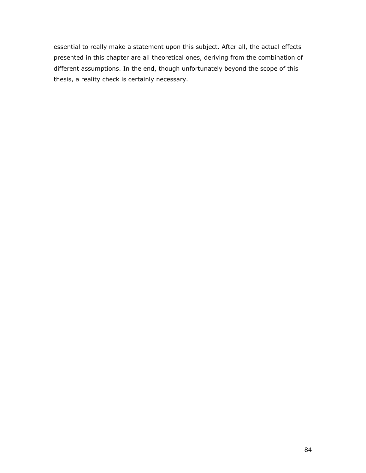essential to really make a statement upon this subject. After all, the actual effects presented in this chapter are all theoretical ones, deriving from the combination of different assumptions. In the end, though unfortunately beyond the scope of this thesis, a reality check is certainly necessary.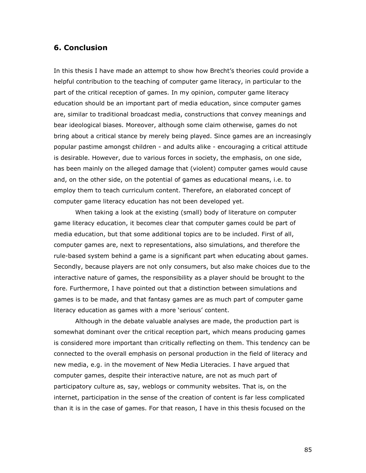## 6. Conclusion

In this thesis I have made an attempt to show how Brecht's theories could provide a helpful contribution to the teaching of computer game literacy, in particular to the part of the critical reception of games. In my opinion, computer game literacy education should be an important part of media education, since computer games are, similar to traditional broadcast media, constructions that convey meanings and bear ideological biases. Moreover, although some claim otherwise, games do not bring about a critical stance by merely being played. Since games are an increasingly popular pastime amongst children - and adults alike - encouraging a critical attitude is desirable. However, due to various forces in society, the emphasis, on one side, has been mainly on the alleged damage that (violent) computer games would cause and, on the other side, on the potential of games as educational means, i.e. to employ them to teach curriculum content. Therefore, an elaborated concept of computer game literacy education has not been developed yet.

 When taking a look at the existing (small) body of literature on computer game literacy education, it becomes clear that computer games could be part of media education, but that some additional topics are to be included. First of all, computer games are, next to representations, also simulations, and therefore the rule-based system behind a game is a significant part when educating about games. Secondly, because players are not only consumers, but also make choices due to the interactive nature of games, the responsibility as a player should be brought to the fore. Furthermore, I have pointed out that a distinction between simulations and games is to be made, and that fantasy games are as much part of computer game literacy education as games with a more 'serious' content.

Although in the debate valuable analyses are made, the production part is somewhat dominant over the critical reception part, which means producing games is considered more important than critically reflecting on them. This tendency can be connected to the overall emphasis on personal production in the field of literacy and new media, e.g. in the movement of New Media Literacies. I have argued that computer games, despite their interactive nature, are not as much part of participatory culture as, say, weblogs or community websites. That is, on the internet, participation in the sense of the creation of content is far less complicated than it is in the case of games. For that reason, I have in this thesis focused on the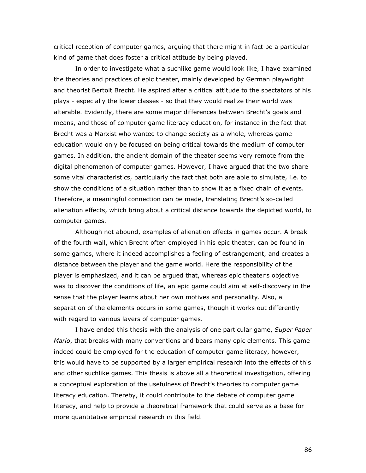critical reception of computer games, arguing that there might in fact be a particular kind of game that does foster a critical attitude by being played.

In order to investigate what a suchlike game would look like, I have examined the theories and practices of epic theater, mainly developed by German playwright and theorist Bertolt Brecht. He aspired after a critical attitude to the spectators of his plays - especially the lower classes - so that they would realize their world was alterable. Evidently, there are some major differences between Brecht's goals and means, and those of computer game literacy education, for instance in the fact that Brecht was a Marxist who wanted to change society as a whole, whereas game education would only be focused on being critical towards the medium of computer games. In addition, the ancient domain of the theater seems very remote from the digital phenomenon of computer games. However, I have argued that the two share some vital characteristics, particularly the fact that both are able to simulate, i.e. to show the conditions of a situation rather than to show it as a fixed chain of events. Therefore, a meaningful connection can be made, translating Brecht's so-called alienation effects, which bring about a critical distance towards the depicted world, to computer games.

Although not abound, examples of alienation effects in games occur. A break of the fourth wall, which Brecht often employed in his epic theater, can be found in some games, where it indeed accomplishes a feeling of estrangement, and creates a distance between the player and the game world. Here the responsibility of the player is emphasized, and it can be argued that, whereas epic theater's objective was to discover the conditions of life, an epic game could aim at self-discovery in the sense that the player learns about her own motives and personality. Also, a separation of the elements occurs in some games, though it works out differently with regard to various layers of computer games.

I have ended this thesis with the analysis of one particular game, Super Paper Mario, that breaks with many conventions and bears many epic elements. This game indeed could be employed for the education of computer game literacy, however, this would have to be supported by a larger empirical research into the effects of this and other suchlike games. This thesis is above all a theoretical investigation, offering a conceptual exploration of the usefulness of Brecht's theories to computer game literacy education. Thereby, it could contribute to the debate of computer game literacy, and help to provide a theoretical framework that could serve as a base for more quantitative empirical research in this field.

86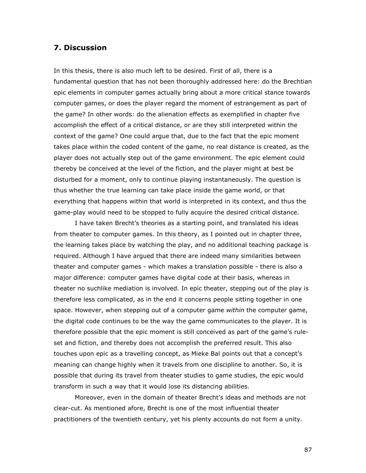## 7. Discussion

In this thesis, there is also much left to be desired. First of all, there is a fundamental question that has not been thoroughly addressed here: do the Brechtian epic elements in computer games actually bring about a more critical stance towards computer games, or does the player regard the moment of estrangement as part of the game? In other words: do the alienation effects as exemplified in chapter five accomplish the effect of a critical distance, or are they still interpreted within the context of the game? One could argue that, due to the fact that the epic moment takes place within the coded content of the game, no real distance is created, as the player does not actually step out of the game environment. The epic element could thereby be conceived at the level of the fiction, and the player might at best be disturbed for a moment, only to continue playing instantaneously. The question is thus whether the true learning can take place inside the game world, or that everything that happens within that world is interpreted in its context, and thus the game-play would need to be stopped to fully acquire the desired critical distance.

I have taken Brecht's theories as a starting point, and translated his ideas from theater to computer games. In this theory, as I pointed out in chapter three, the learning takes place by watching the play, and no additional teaching package is required. Although I have argued that there are indeed many similarities between theater and computer games - which makes a translation possible - there is also a major difference: computer games have digital code at their basis, whereas in theater no suchlike mediation is involved. In epic theater, stepping out of the play is therefore less complicated, as in the end it concerns people sitting together in one space. However, when stepping out of a computer game within the computer game, the digital code continues to be the way the game communicates to the player. It is therefore possible that the epic moment is still conceived as part of the game's ruleset and fiction, and thereby does not accomplish the preferred result. This also touches upon epic as a travelling concept, as Mieke Bal points out that a concept's meaning can change highly when it travels from one discipline to another. So, it is possible that during its travel from theater studies to game studies, the epic would transform in such a way that it would lose its distancing abilities.

Moreover, even in the domain of theater Brecht's ideas and methods are not clear-cut. As mentioned afore, Brecht is one of the most influential theater practitioners of the twentieth century, yet his plenty accounts do not form a unity.

87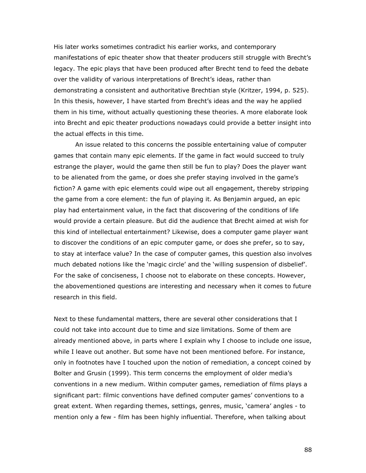His later works sometimes contradict his earlier works, and contemporary manifestations of epic theater show that theater producers still struggle with Brecht's legacy. The epic plays that have been produced after Brecht tend to feed the debate over the validity of various interpretations of Brecht's ideas, rather than demonstrating a consistent and authoritative Brechtian style (Kritzer, 1994, p. 525). In this thesis, however, I have started from Brecht's ideas and the way he applied them in his time, without actually questioning these theories. A more elaborate look into Brecht and epic theater productions nowadays could provide a better insight into the actual effects in this time.

An issue related to this concerns the possible entertaining value of computer games that contain many epic elements. If the game in fact would succeed to truly estrange the player, would the game then still be fun to play? Does the player want to be alienated from the game, or does she prefer staying involved in the game's fiction? A game with epic elements could wipe out all engagement, thereby stripping the game from a core element: the fun of playing it. As Benjamin argued, an epic play had entertainment value, in the fact that discovering of the conditions of life would provide a certain pleasure. But did the audience that Brecht aimed at wish for this kind of intellectual entertainment? Likewise, does a computer game player want to discover the conditions of an epic computer game, or does she prefer, so to say, to stay at interface value? In the case of computer games, this question also involves much debated notions like the 'magic circle' and the 'willing suspension of disbelief'. For the sake of conciseness, I choose not to elaborate on these concepts. However, the abovementioned questions are interesting and necessary when it comes to future research in this field.

Next to these fundamental matters, there are several other considerations that I could not take into account due to time and size limitations. Some of them are already mentioned above, in parts where I explain why I choose to include one issue, while I leave out another. But some have not been mentioned before. For instance, only in footnotes have I touched upon the notion of remediation, a concept coined by Bolter and Grusin (1999). This term concerns the employment of older media's conventions in a new medium. Within computer games, remediation of films plays a significant part: filmic conventions have defined computer games' conventions to a great extent. When regarding themes, settings, genres, music, 'camera' angles - to mention only a few - film has been highly influential. Therefore, when talking about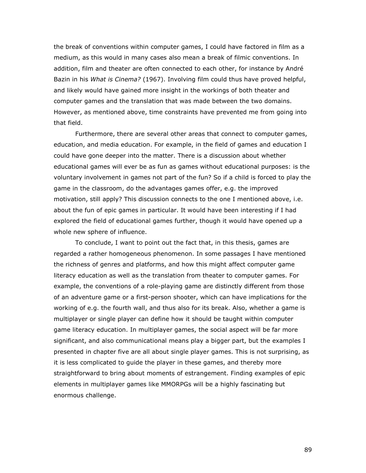the break of conventions within computer games, I could have factored in film as a medium, as this would in many cases also mean a break of filmic conventions. In addition, film and theater are often connected to each other, for instance by André Bazin in his What is Cinema? (1967). Involving film could thus have proved helpful, and likely would have gained more insight in the workings of both theater and computer games and the translation that was made between the two domains. However, as mentioned above, time constraints have prevented me from going into that field.

 Furthermore, there are several other areas that connect to computer games, education, and media education. For example, in the field of games and education I could have gone deeper into the matter. There is a discussion about whether educational games will ever be as fun as games without educational purposes: is the voluntary involvement in games not part of the fun? So if a child is forced to play the game in the classroom, do the advantages games offer, e.g. the improved motivation, still apply? This discussion connects to the one I mentioned above, i.e. about the fun of epic games in particular. It would have been interesting if I had explored the field of educational games further, though it would have opened up a whole new sphere of influence.

 To conclude, I want to point out the fact that, in this thesis, games are regarded a rather homogeneous phenomenon. In some passages I have mentioned the richness of genres and platforms, and how this might affect computer game literacy education as well as the translation from theater to computer games. For example, the conventions of a role-playing game are distinctly different from those of an adventure game or a first-person shooter, which can have implications for the working of e.g. the fourth wall, and thus also for its break. Also, whether a game is multiplayer or single player can define how it should be taught within computer game literacy education. In multiplayer games, the social aspect will be far more significant, and also communicational means play a bigger part, but the examples I presented in chapter five are all about single player games. This is not surprising, as it is less complicated to guide the player in these games, and thereby more straightforward to bring about moments of estrangement. Finding examples of epic elements in multiplayer games like MMORPGs will be a highly fascinating but enormous challenge.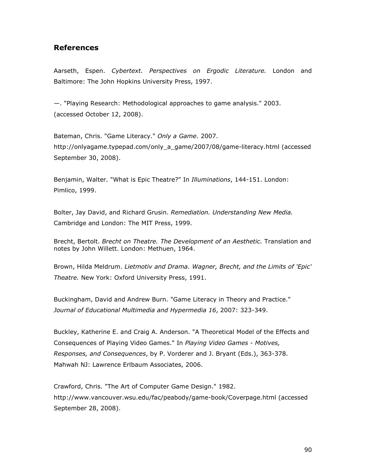# References

Aarseth, Espen. Cybertext. Perspectives on Ergodic Literature. London and Baltimore: The John Hopkins University Press, 1997.

—. "Playing Research: Methodological approaches to game analysis." 2003. (accessed October 12, 2008).

Bateman, Chris. "Game Literacy." Only a Game. 2007. http://onlyagame.typepad.com/only\_a\_game/2007/08/game-literacy.html (accessed September 30, 2008).

Benjamin, Walter. "What is Epic Theatre?" In *Illuminations*, 144-151. London: Pimlico, 1999.

Bolter, Jay David, and Richard Grusin. Remediation. Understanding New Media. Cambridge and London: The MIT Press, 1999.

Brecht, Bertolt. Brecht on Theatre. The Development of an Aesthetic. Translation and notes by John Willett. London: Methuen, 1964.

Brown, Hilda Meldrum. Lietmotiv and Drama. Wagner, Brecht, and the Limits of 'Epic' Theatre. New York: Oxford University Press, 1991.

Buckingham, David and Andrew Burn. "Game Literacy in Theory and Practice." Journal of Educational Multimedia and Hypermedia 16, 2007: 323-349.

Buckley, Katherine E. and Craig A. Anderson. "A Theoretical Model of the Effects and Consequences of Playing Video Games." In Playing Video Games - Motives, Responses, and Consequences, by P. Vorderer and J. Bryant (Eds.), 363-378. Mahwah NJ: Lawrence Erlbaum Associates, 2006.

Crawford, Chris. "The Art of Computer Game Design." 1982. http://www.vancouver.wsu.edu/fac/peabody/game-book/Coverpage.html (accessed September 28, 2008).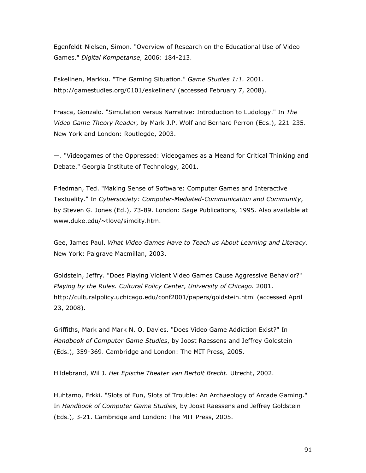Egenfeldt-Nielsen, Simon. "Overview of Research on the Educational Use of Video Games." Digital Kompetanse, 2006: 184-213.

Eskelinen, Markku. "The Gaming Situation." Game Studies 1:1. 2001. http://gamestudies.org/0101/eskelinen/ (accessed February 7, 2008).

Frasca, Gonzalo. "Simulation versus Narrative: Introduction to Ludology." In The Video Game Theory Reader, by Mark J.P. Wolf and Bernard Perron (Eds.), 221-235. New York and London: Routlegde, 2003.

—. "Videogames of the Oppressed: Videogames as a Meand for Critical Thinking and Debate." Georgia Institute of Technology, 2001.

Friedman, Ted. "Making Sense of Software: Computer Games and Interactive Textuality." In Cybersociety: Computer-Mediated-Communication and Community, by Steven G. Jones (Ed.), 73-89. London: Sage Publications, 1995. Also available at www.duke.edu/~tlove/simcity.htm.

Gee, James Paul. What Video Games Have to Teach us About Learning and Literacy. New York: Palgrave Macmillan, 2003.

Goldstein, Jeffry. "Does Playing Violent Video Games Cause Aggressive Behavior?" Playing by the Rules. Cultural Policy Center, University of Chicago. 2001. http://culturalpolicy.uchicago.edu/conf2001/papers/goldstein.html (accessed April 23, 2008).

Griffiths, Mark and Mark N. O. Davies. "Does Video Game Addiction Exist?" In Handbook of Computer Game Studies, by Joost Raessens and Jeffrey Goldstein (Eds.), 359-369. Cambridge and London: The MIT Press, 2005.

Hildebrand, Wil J. Het Epische Theater van Bertolt Brecht. Utrecht, 2002.

Huhtamo, Erkki. "Slots of Fun, Slots of Trouble: An Archaeology of Arcade Gaming." In Handbook of Computer Game Studies, by Joost Raessens and Jeffrey Goldstein (Eds.), 3-21. Cambridge and London: The MIT Press, 2005.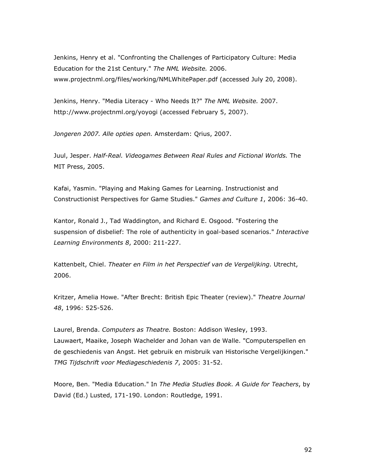Jenkins, Henry et al. "Confronting the Challenges of Participatory Culture: Media Education for the 21st Century." The NML Website. 2006. www.projectnml.org/files/working/NMLWhitePaper.pdf (accessed July 20, 2008).

Jenkins, Henry. "Media Literacy - Who Needs It?" The NML Website. 2007. http://www.projectnml.org/yoyogi (accessed February 5, 2007).

Jongeren 2007. Alle opties open. Amsterdam: Qrius, 2007.

Juul, Jesper. Half-Real. Videogames Between Real Rules and Fictional Worlds. The MIT Press, 2005.

Kafai, Yasmin. "Playing and Making Games for Learning. Instructionist and Constructionist Perspectives for Game Studies." Games and Culture 1, 2006: 36-40.

Kantor, Ronald J., Tad Waddington, and Richard E. Osgood. "Fostering the suspension of disbelief: The role of authenticity in goal-based scenarios." Interactive Learning Environments 8, 2000: 211-227.

Kattenbelt, Chiel. Theater en Film in het Perspectief van de Vergelijking. Utrecht, 2006.

Kritzer, Amelia Howe. "After Brecht: British Epic Theater (review)." Theatre Journal 48, 1996: 525-526.

Laurel, Brenda. Computers as Theatre. Boston: Addison Wesley, 1993. Lauwaert, Maaike, Joseph Wachelder and Johan van de Walle. "Computerspellen en de geschiedenis van Angst. Het gebruik en misbruik van Historische Vergelijkingen." TMG Tijdschrift voor Mediageschiedenis 7, 2005: 31-52.

Moore, Ben. "Media Education." In The Media Studies Book. A Guide for Teachers, by David (Ed.) Lusted, 171-190. London: Routledge, 1991.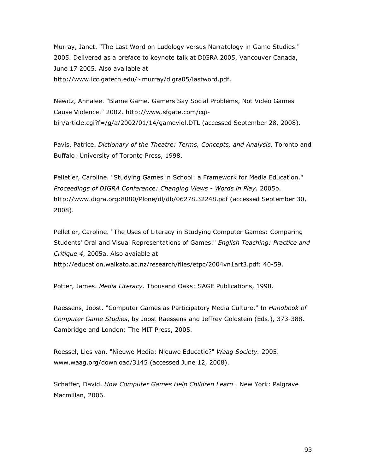Murray, Janet. "The Last Word on Ludology versus Narratology in Game Studies." 2005. Delivered as a preface to keynote talk at DIGRA 2005, Vancouver Canada, June 17 2005. Also available at http://www.lcc.gatech.edu/~murray/digra05/lastword.pdf.

Newitz, Annalee. "Blame Game. Gamers Say Social Problems, Not Video Games Cause Violence." 2002. http://www.sfgate.com/cgibin/article.cgi?f=/g/a/2002/01/14/gameviol.DTL (accessed September 28, 2008).

Pavis, Patrice. Dictionary of the Theatre: Terms, Concepts, and Analysis. Toronto and Buffalo: University of Toronto Press, 1998.

Pelletier, Caroline. "Studying Games in School: a Framework for Media Education." Proceedings of DIGRA Conference: Changing Views - Words in Play. 2005b. http://www.digra.org:8080/Plone/dl/db/06278.32248.pdf (accessed September 30, 2008).

Pelletier, Caroline. "The Uses of Literacy in Studying Computer Games: Comparing Students' Oral and Visual Representations of Games." English Teaching: Practice and Critique 4, 2005a. Also avaiable at http://education.waikato.ac.nz/research/files/etpc/2004vn1art3.pdf: 40-59.

Potter, James. Media Literacy. Thousand Oaks: SAGE Publications, 1998.

Raessens, Joost. "Computer Games as Participatory Media Culture." In Handbook of Computer Game Studies, by Joost Raessens and Jeffrey Goldstein (Eds.), 373-388. Cambridge and London: The MIT Press, 2005.

Roessel, Lies van. "Nieuwe Media: Nieuwe Educatie?" Waag Society. 2005. www.waag.org/download/3145 (accessed June 12, 2008).

Schaffer, David. How Computer Games Help Children Learn . New York: Palgrave Macmillan, 2006.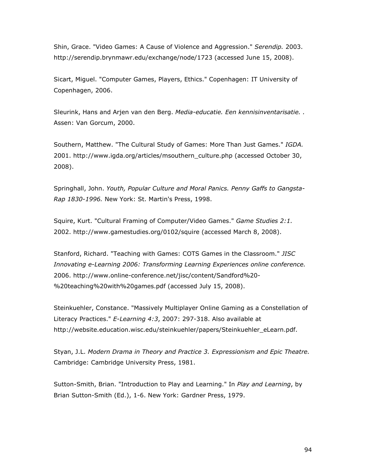Shin, Grace. "Video Games: A Cause of Violence and Aggression." Serendip. 2003. http://serendip.brynmawr.edu/exchange/node/1723 (accessed June 15, 2008).

Sicart, Miguel. "Computer Games, Players, Ethics." Copenhagen: IT University of Copenhagen, 2006.

Sleurink, Hans and Arjen van den Berg. Media-educatie. Een kennisinventarisatie.. Assen: Van Gorcum, 2000.

Southern, Matthew. "The Cultural Study of Games: More Than Just Games." IGDA. 2001. http://www.igda.org/articles/msouthern\_culture.php (accessed October 30, 2008).

Springhall, John. Youth, Popular Culture and Moral Panics. Penny Gaffs to Gangsta-Rap 1830-1996. New York: St. Martin's Press, 1998.

Squire, Kurt. "Cultural Framing of Computer/Video Games." Game Studies 2:1. 2002. http://www.gamestudies.org/0102/squire (accessed March 8, 2008).

Stanford, Richard. "Teaching with Games: COTS Games in the Classroom." JISC Innovating e-Learning 2006: Transforming Learning Experiences online conference. 2006. http://www.online-conference.net/jisc/content/Sandford%20- %20teaching%20with%20games.pdf (accessed July 15, 2008).

Steinkuehler, Constance. "Massively Multiplayer Online Gaming as a Constellation of Literacy Practices." E-Learning 4:3, 2007: 297-318. Also available at http://website.education.wisc.edu/steinkuehler/papers/Steinkuehler\_eLearn.pdf.

Styan, J.L. Modern Drama in Theory and Practice 3. Expressionism and Epic Theatre. Cambridge: Cambridge University Press, 1981.

Sutton-Smith, Brian. "Introduction to Play and Learning." In Play and Learning, by Brian Sutton-Smith (Ed.), 1-6. New York: Gardner Press, 1979.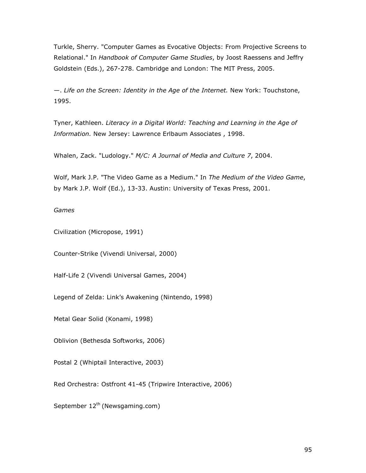Turkle, Sherry. "Computer Games as Evocative Objects: From Projective Screens to Relational." In Handbook of Computer Game Studies, by Joost Raessens and Jeffry Goldstein (Eds.), 267-278. Cambridge and London: The MIT Press, 2005.

—. Life on the Screen: Identity in the Age of the Internet. New York: Touchstone, 1995.

Tyner, Kathleen. Literacy in a Digital World: Teaching and Learning in the Age of Information. New Jersey: Lawrence Erlbaum Associates , 1998.

Whalen, Zack. "Ludology." M/C: A Journal of Media and Culture 7, 2004.

Wolf, Mark J.P. "The Video Game as a Medium." In The Medium of the Video Game, by Mark J.P. Wolf (Ed.), 13-33. Austin: University of Texas Press, 2001.

#### Games

Civilization (Micropose, 1991)

Counter-Strike (Vivendi Universal, 2000)

Half-Life 2 (Vivendi Universal Games, 2004)

Legend of Zelda: Link's Awakening (Nintendo, 1998)

Metal Gear Solid (Konami, 1998)

Oblivion (Bethesda Softworks, 2006)

Postal 2 (Whiptail Interactive, 2003)

Red Orchestra: Ostfront 41-45 (Tripwire Interactive, 2006)

September  $12^{th}$  (Newsgaming.com)